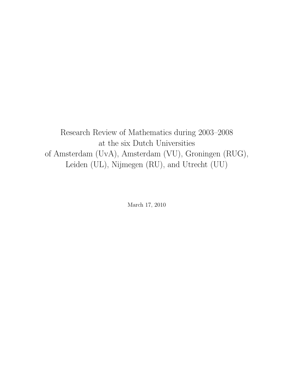Research Review of Mathematics during 2003–2008 at the six Dutch Universities of Amsterdam (UvA), Amsterdam (VU), Groningen (RUG), Leiden (UL), Nijmegen (RU), and Utrecht (UU)

March 17, 2010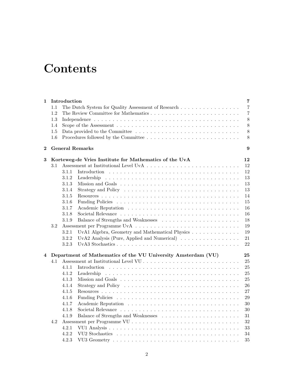# **Contents**

| 1            |         | Introduction                                                                                           | 7              |
|--------------|---------|--------------------------------------------------------------------------------------------------------|----------------|
|              | 1.1     | The Dutch System for Quality Assessment of Research                                                    | $\overline{7}$ |
|              | 1.2     |                                                                                                        | $\overline{7}$ |
|              | 1.3     |                                                                                                        | $8\,$          |
|              | 1.4     |                                                                                                        | $8\,$          |
|              | 1.5     |                                                                                                        | $8\,$          |
|              | 1.6     |                                                                                                        | $8\,$          |
| $\mathbf{2}$ |         | <b>General Remarks</b>                                                                                 | 9              |
| 3            |         | Korteweg-de Vries Institute for Mathematics of the UvA                                                 | 12             |
|              | $3.1\,$ |                                                                                                        | 12             |
|              |         | 3.1.1                                                                                                  | 12             |
|              |         | 3.1.2<br>Leadership                                                                                    | 13             |
|              |         | 3.1.3                                                                                                  | 13             |
|              |         | 3.1.4                                                                                                  | 13             |
|              |         | 3.1.5                                                                                                  | 14             |
|              |         | 3.1.6                                                                                                  | 15             |
|              |         | 3.1.7                                                                                                  | 16             |
|              |         | 3.1.8                                                                                                  | 16             |
|              |         | Balance of Strengths and Weaknesses<br>3.1.9                                                           | 18             |
|              | 3.2     |                                                                                                        | 19             |
|              |         | 3.2.1<br>UvA1 Algebra, Geometry and Mathematical Physics                                               | 19             |
|              |         | 3.2.2<br>UvA2 Analysis (Pure, Applied and Numerical)                                                   | 21             |
|              |         | 3.2.3                                                                                                  | 22             |
| 4            |         | Department of Mathematics of the VU University Amsterdam (VU)                                          | 25             |
|              | 4.1     |                                                                                                        | $25\,$         |
|              |         | 4.1.1                                                                                                  | $25\,$         |
|              |         | 4.1.2<br>Leadership                                                                                    | $25\,$         |
|              |         | 4.1.3                                                                                                  | 25             |
|              |         | 4.1.4<br>Strategy and Policy $\dots \dots \dots \dots \dots \dots \dots \dots \dots \dots \dots \dots$ | 26             |
|              |         | 4.1.5                                                                                                  | 27             |
|              |         | 4.1.6                                                                                                  | 29             |
|              |         | 4.1.7                                                                                                  | 30             |
|              |         | 4.1.8                                                                                                  | $30\,$         |
|              |         | 4.1.9                                                                                                  | 31             |
|              | 4.2     |                                                                                                        | 32             |
|              |         | 4.2.1                                                                                                  | 33             |
|              |         | 4.2.2                                                                                                  | 34             |
|              |         | 4.2.3                                                                                                  | 35             |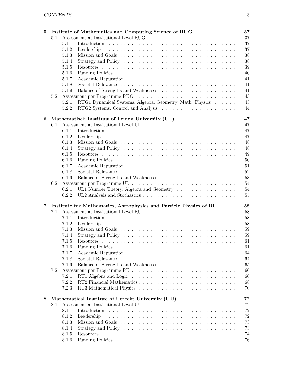| 5 |     | 37<br>Institute of Mathematics and Computing Science of RUG                                                             |
|---|-----|-------------------------------------------------------------------------------------------------------------------------|
|   | 5.1 | 37                                                                                                                      |
|   |     | 37<br>5.1.1                                                                                                             |
|   |     | 37<br>5.1.2                                                                                                             |
|   |     | $38\,$<br>5.1.3                                                                                                         |
|   |     | $38\,$<br>5.1.4                                                                                                         |
|   |     | 39<br>5.1.5                                                                                                             |
|   |     | 5.1.6<br>40                                                                                                             |
|   |     | 41<br>5.1.7                                                                                                             |
|   |     | 41<br>5.1.8                                                                                                             |
|   |     | 41<br>5.1.9                                                                                                             |
|   | 5.2 | 43                                                                                                                      |
|   |     | RUG1 Dynamical Systems, Algebra, Geometry, Math. Physics<br>43<br>5.2.1                                                 |
|   |     | 5.2.2<br>44                                                                                                             |
|   |     |                                                                                                                         |
| 6 | 6.1 | 47<br>Mathematisch Instituut of Leiden University (UL)<br>47                                                            |
|   |     | 47<br>6.1.1                                                                                                             |
|   |     | 47<br>6.1.2                                                                                                             |
|   |     | Leadership<br>48                                                                                                        |
|   |     | 6.1.3                                                                                                                   |
|   |     | 48<br>6.1.4<br>Strategy and Policy $\dots \dots \dots \dots \dots \dots \dots \dots \dots \dots \dots \dots \dots$      |
|   |     | 49<br>6.1.5<br>6.1.6                                                                                                    |
|   |     | $50\,$                                                                                                                  |
|   |     | 6.1.7<br>$51\,$                                                                                                         |
|   |     | 52<br>6.1.8                                                                                                             |
|   |     | 53<br>6.1.9                                                                                                             |
|   | 6.2 | 54                                                                                                                      |
|   |     | UL1 Number Theory, Algebra and Geometry<br>54<br>6.2.1                                                                  |
|   |     | 6.2.2<br>$55\,$                                                                                                         |
| 7 |     | 58<br>Institute for Mathematics, Astrophysics and Particle Physics of RU                                                |
|   | 7.1 | 58                                                                                                                      |
|   |     | 58<br>7.1.1                                                                                                             |
|   |     | 58<br>7.1.2<br>Leadership                                                                                               |
|   |     | 59<br>7.1.3                                                                                                             |
|   |     | 59<br>7.1.4                                                                                                             |
|   |     | 7.1.5<br>61                                                                                                             |
|   |     | 61<br>7.1.6                                                                                                             |
|   |     | 7.1.7<br>64                                                                                                             |
|   |     | 7.1.8<br>64                                                                                                             |
|   |     | Balance of Strengths and Weaknesses $\hfill\ldots\ldots\ldots\ldots\ldots\ldots\ldots\ldots\ldots\ldots$<br>65<br>7.1.9 |
|   | 7.2 | 66                                                                                                                      |
|   |     | 66<br>7.2.1<br>RU1 Algebra and Logic $\dots \dots \dots \dots \dots \dots \dots \dots \dots \dots \dots \dots$          |
|   |     | 68<br>7.2.2                                                                                                             |
|   |     | 7.2.3<br>70                                                                                                             |
|   |     |                                                                                                                         |
| 8 | 8.1 | Mathematical Institute of Utrecht University (UU)<br>72<br>72                                                           |
|   |     | 72<br>8.1.1<br>Introduction                                                                                             |
|   |     | 72<br>8.1.2<br>Leadership                                                                                               |
|   |     | 73<br>8.1.3                                                                                                             |
|   |     | 73<br>8.1.4                                                                                                             |
|   |     | 8.1.5<br>74                                                                                                             |
|   |     | 76<br>8.1.6                                                                                                             |
|   |     |                                                                                                                         |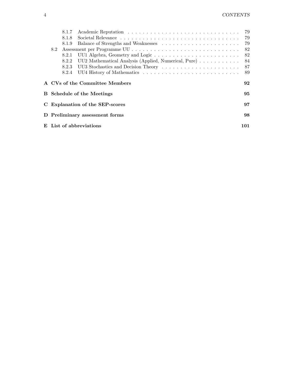|     | 8.1.7 |                                   | -79  |
|-----|-------|-----------------------------------|------|
|     | 8.1.8 |                                   |      |
|     | 8.1.9 |                                   |      |
| 8.2 |       |                                   |      |
|     | 8.2.1 |                                   |      |
|     | 8.2.2 |                                   |      |
|     | 8.2.3 |                                   |      |
|     | 8.2.4 |                                   | - 89 |
|     |       |                                   |      |
|     |       | A CVs of the Committee Members    | 92   |
|     |       | <b>B</b> Schedule of the Meetings | 95   |
|     |       | C Explanation of the SEP-scores   | 97   |
|     |       | D Preliminary assessment forms    | 98   |
|     |       | E List of abbreviations           | 101  |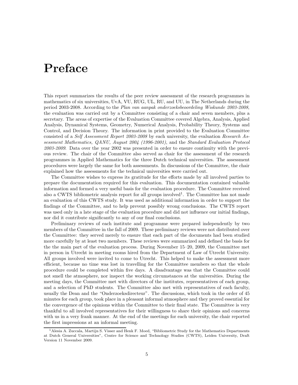# Preface

This report summarizes the results of the peer review assessment of the research programmes in mathematics of six universities, UvA, VU, RUG, UL, RU, and UU, in The Netherlands during the period 2003-2008. According to the Plan van aanpak onderzoeksbeoordeling Wiskunde 2003-2008, the evaluation was carried out by a Committee consisting of a chair and seven members, plus a secretary. The areas of expertise of the Evaluation Committee covered Algebra, Analysis, Applied Analysis, Dynamical Systems, Geometry, Numerical Analysis, Probability Theory, Systems and Control, and Decision Theory. The information in print provided to the Evaluation Committee consisted of a Self Assessment Report 2003-2008 by each university, the evaluation Research Assessment Mathematics, QANU, August 2004 (1996-2001), and the Standard Evaluation Protocol 2003-2009. Data over the year 2002 was presented in order to ensure continuity with the previous review. The chair of the Committee also served as chair for the assessment of the research programmes in Applied Mathematics for the three Dutch technical universities. The assessment procedures were largely the same for both assessments. In discussions of the Committee, the chair explained how the assessments for the technical universities were carried out.

The Committee wishes to express its gratitude for the efforts made by all involved parties to prepare the documentation required for this evaluation. This documentation contained valuable information and formed a very useful basis for the evaluation procedure. The Committee received also a CWTS bibliometric analysis report for all groups involved<sup>1</sup>. The Committee has not made an evaluation of this CWTS study. It was used as additional information in order to support the findings of the Committee, and to help prevent possibly wrong conclusions. The CWTS report was used only in a late stage of the evaluation procedure and did not influence our initial findings, nor did it contribute significantly to any of our final conclusions.

Preliminary reviews of each institute and programme were prepared independently by two members of the Committee in the fall of 2009. These preliminary reviews were not distributed over the Committee: they served merely to ensure that each part of the documents had been studied more carefully by at least two members. These reviews were summarized and defined the basis for the the main part of the evaluation process. During November 15–20, 2009, the Committee met in person in Utrecht in meeting rooms hired from the Department of Law of Utrecht University. All groups involved were invited to come to Utrecht. This helped to make the assessment more efficient, because no time was lost in travelling for the Committee members so that the whole procedure could be completed within five days. A disadvantage was that the Committee could not smell the atmosphere, nor inspect the working circumstances at the universities. During the meeting days, the Committee met with directors of the institutes, representatives of each group, and a selection of PhD students. The Committee also met with representatives of each faculty, usually the Dean and the "Onderzoeksdirecteur". The discussions, which took in the order of 45 minutes for each group, took place in a pleasant informal atmosphere and they proved essential for the convergence of the opinions within the Committee to their final state. The Committee is very thankful to all involved representatives for their willingness to share their opinions and concerns with us in a very frank manner. At the end of the meetings for each university, the chair reported the first impressions at an informal meeting.

<sup>&</sup>lt;sup>1</sup> Alesia A. Zuccala, Martijn S. Visser and Henk F. Moed, "Bibliometric Study for the Mathematics Departments at Dutch General Universities", Centre for Science and Technology Studies (CWTS), Leiden University, Draft Version 11 November 2009.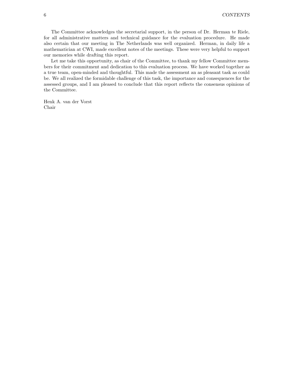The Committee acknowledges the secretarial support, in the person of Dr. Herman te Riele, for all administrative matters and technical guidance for the evaluation procedure. He made also certain that our meeting in The Netherlands was well organized. Herman, in daily life a mathematician at CWI, made excellent notes of the meetings. These were very helpful to support our memories while drafting this report.

Let me take this opportunity, as chair of the Committee, to thank my fellow Committee members for their commitment and dedication to this evaluation process. We have worked together as a true team, open-minded and thoughtful. This made the assessment an as pleasant task as could be. We all realized the formidable challenge of this task, the importance and consequences for the assessed groups, and I am pleased to conclude that this report reflects the consensus opinions of the Committee.

Henk A. van der Vorst Chair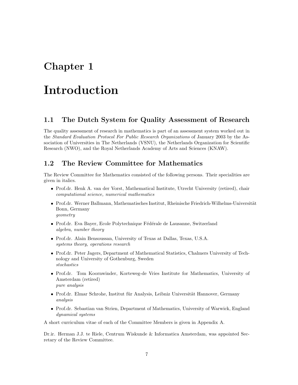# Chapter 1

# Introduction

# 1.1 The Dutch System for Quality Assessment of Research

The quality assessment of research in mathematics is part of an assessment system worked out in the Standard Evaluation Protocol For Public Research Organizations of January 2003 by the Association of Universities in The Netherlands (VSNU), the Netherlands Organization for Scientific Research (NWO), and the Royal Netherlands Academy of Arts and Sciences (KNAW).

# 1.2 The Review Committee for Mathematics

The Review Committee for Mathematics consisted of the following persons. Their specialities are given in italics.

- Prof.dr. Henk A. van der Vorst, Mathematical Institute, Utrecht University (retired), chair computational science, numerical mathematics
- Prof.dr. Werner Ballmann, Mathematisches Institut, Rheinische Friedrich-Wilhelms-Universität Bonn, Germany geometry
- Prof.dr. Eva Bayer, Ecole Polytechnique Fédérale de Lausanne, Switzerland algebra, number theory
- Prof.dr. Alain Bensoussan, University of Texas at Dallas, Texas, U.S.A. systems theory, operations research
- Prof.dr. Peter Jagers, Department of Mathematical Statistics, Chalmers University of Technology and University of Gothenburg, Sweden stochastics
- Prof.dr. Tom Koornwinder, Korteweg-de Vries Institute for Mathematics, University of Amsterdam (retired) pure analysis
- Prof.dr. Elmar Schrohe, Institut für Analysis, Leibniz Universität Hannover, Germany analysis
- Prof.dr. Sebastian van Strien, Department of Mathematics, University of Warwick, England dynamical systems

A short curriculum vitae of each of the Committee Members is given in Appendix A.

Dr.ir. Herman J.J. te Riele, Centrum Wiskunde & Informatica Amsterdam, was appointed Secretary of the Review Committee.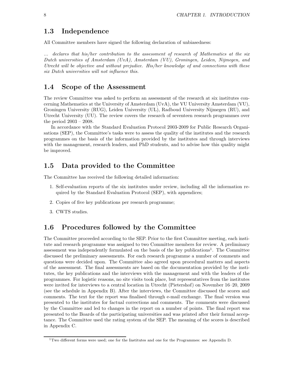# 1.3 Independence

All Committee members have signed the following declaration of unbiasedness:

... declares that his/her contribution to the assessment of research of Mathematics at the six Dutch universities of Amsterdam (UvA), Amsterdam (VU), Groningen, Leiden, Nijmegen, and Utrecht will be objective and without prejudice. His/her knowledge of and connections with these six Dutch universities will not influence this.

# 1.4 Scope of the Assessment

The review Committee was asked to perform an assessment of the research at six institutes concerning Mathematics at the University of Amsterdam (UvA), the VU University Amsterdam (VU), Groningen University (RUG), Leiden University (UL), Radboud University Nijmegen (RU), and Utrecht University (UU). The review covers the research of seventeen research programmes over the period 2003 – 2008.

In accordance with the Standard Evaluation Protocol 2003-2009 for Public Research Organisations (SEP), the Committee's tasks were to assess the quality of the institutes and the research programmes on the basis of the information provided by the institutes and through interviews with the management, research leaders, and PhD students, and to advise how this quality might be improved.

# 1.5 Data provided to the Committee

The Committee has received the following detailed information:

- 1. Self-evaluation reports of the six institutes under review, including all the information required by the Standard Evaluation Protocol (SEP), with appendices;
- 2. Copies of five key publications per research programme;
- 3. CWTS studies.

# 1.6 Procedures followed by the Committee

The Committee proceeded according to the SEP. Prior to the first Committee meeting, each institute and research programme was assigned to two Committee members for review. A preliminary assessment was independently formulated on the basis of the key publications<sup>1</sup>. The Committee discussed the preliminary assessments. For each research programme a number of comments and questions were decided upon. The Committee also agreed upon procedural matters and aspects of the assessment. The final assessments are based on the documentation provided by the institutes, the key publications and the interviews with the management and with the leaders of the programmes. For logistic reasons, no site visits took place, but representatives from the institutes were invited for interviews to a central location in Utrecht (Pietershof) on November 16–20, 2009 (see the schedule in Appendix B). After the interviews, the Committee discussed the scores and comments. The text for the report was finalised through e-mail exchange. The final version was presented to the institutes for factual corrections and comments. The comments were discussed by the Committee and led to changes in the report on a number of points. The final report was presented to the Boards of the participating universities and was printed after their formal acceptance. The Committee used the rating system of the SEP. The meaning of the scores is described in Appendix C.

 $1$ Two different forms were used; one for the Institutes and one for the Programmes: see Appendix D.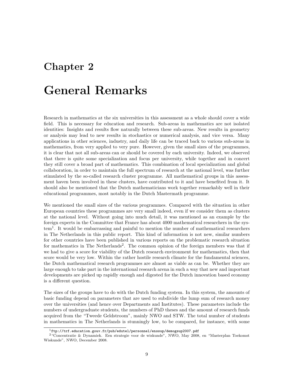# Chapter 2

# General Remarks

Research in mathematics at the six universities in this assessment as a whole should cover a wide field. This is necessary for education and research. Sub-areas in mathematics are not isolated identities: Insights and results flow naturally between these sub-areas. New results in geometry or analysis may lead to new results in stochastics or numerical analysis, and vice versa. Many applications in other sciences, industry, and daily life can be traced back to various sub-areas in mathematics, from very applied to very pure. However, given the small sizes of the programmes, it is clear that not all sub-areas can or should be covered by each university. Indeed, we observed that there is quite some specialization and focus per university, while together and in concert they still cover a broad part of mathematics. This combination of local specialization and global collaboration, in order to maintain the full spectrum of research at the national level, was further stimulated by the so-called research cluster programme. All mathematical groups in this assessment haven been involved in these clusters, have contributed to it and have benefited from it. It should also be mentioned that the Dutch mathematicians work together remarkably well in their educational programmes, most notably in the Dutch Mastermath programme.

We mentioned the small sizes of the various programmes. Compared with the situation in other European countries these programmes are very small indeed, even if we consider them as clusters at the national level. Without going into much detail, it was mentioned as an example by the foreign experts in the Committee that France has about 4000 mathematical researchers in the system<sup>1</sup>. It would be embarrassing and painful to mention the number of mathematical researchers in The Netherlands in this public report. This kind of information is not new, similar numbers for other countries have been published in various reports on the problematic research situation for mathematics in The Netherlands<sup>2</sup>. The common opinion of the foreign members was that if we had to give a score for viability of the Dutch research environment for mathematics, then that score would be very low. Within the rather hostile research climate for the fundamental sciences, the Dutch mathematical research programmes are almost as viable as can be. Whether they are large enough to take part in the international research arena in such a way that new and important developments are picked up rapidly enough and digested for the Dutch innovation based economy is a different question.

The sizes of the groups have to do with the Dutch funding system. In this system, the amounts of basic funding depend on parameters that are used to subdivide the lump sum of research money over the universities (and hence over Departments and Institutes). These parameters include the numbers of undergraduate students, the numbers of PhD theses and the amount of research funds acquired from the "Tweede Geldstroom", mainly NWO and STW. The total number of students in mathematics in The Netherlands is stunningly low, to be compared, for instance, with some

 $^{1}$ ftp://trf.education.gouv.fr/pub/edutel/personnel/enssup/demogsup2007.pdf

<sup>2</sup>"Concentratie & Dynamiek. Een strategie voor de wiskunde", NWO, May 2008, en "Masterplan Toekomst Wiskunde", NWO, December 2008.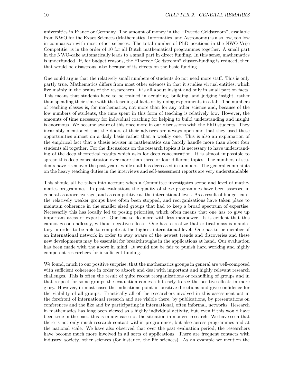universities in France or Germany. The amount of money in the "Tweede Geldstroom", available from NWO for the Exact Sciences (Mathematics, Informatics, and Astronomy) is also low, too low in comparison with most other sciences. The total number of PhD positions in the NWO-Vrije Competitie, is in the order of 10 for all Dutch mathematical programmes together. A small part in the NWO-cake automatically leads to a small part in direct funding. In this sense, mathematics is underfunded. If, for budget reasons, the "Tweede Geldstroom" cluster-funding is reduced, then that would be disastrous, also because of its effects on the basic funding.

One could argue that the relatively small numbers of students do not need more staff. This is only partly true. Mathematics differs from most other sciences in that it studies virtual entities, which live mainly in the brains of the researchers. It is all about insight and only in small part on facts. This means that students have to be trained in acquiring, building, and judging insight, rather than spending their time with the learning of facts or by doing experiments in a lab. The numbers of teaching classes is, for mathematics, not more than for any other science and, because of the low numbers of students, the time spent in this form of teaching is relatively low. However, the amounts of time necessary for individual coaching for helping to build understanding and insight is enormous. We became aware of this once more in our discussions with the PhD students. They invariably mentioned that the doors of their advisers are always open and that they used these opportunities almost on a daily basis rather than a weekly one. This is also an explanation of the empirical fact that a thesis adviser in mathematics can hardly handle more than about four students all together. For the discussions on the research topics it is necessary to have understanding of the deep theoretical results which asks for deep concentration. It is almost impossible to spread this deep concentration over more than three or four different topics. The numbers of students have risen over the past years, while staff has decreased in numbers. The general complaints on the heavy teaching duties in the interviews and self-assessment reports are very understandable.

This should all be taken into account when a Committee investigates scope and level of mathematics programmes. In past evaluations the quality of these programmes have been assessed in general as above average, and as competitive at the international level. As a result of budget cuts, the relatively weaker groups have often been stopped, and reorganizations have taken place to maintain coherence in the smaller sized groups that had to keep a broad spectrum of expertise. Necessarily this has locally led to posing priorities, which often means that one has to give up important areas of expertise. One has to do more with less manpower. It is evident that this cannot go on endlessly, without negative effects. One has to realize that critical mass is mandatory in order to be able to compete at the highest international level. One has to be member of an international network in order to stay aware of the newest trends and discoveries and these new developments may be essential for breakthroughs in the applications at hand. Our evaluation has been made with the above in mind. It would not be fair to punish hard working and highly competent researchers for insufficient funding.

We found, much to our positive surprise, that the mathematics groups in general are well-composed with sufficient coherence in order to absorb and deal with important and highly relevant research challenges. This is often the result of quite recent reorganizations or reshuffling of groups and in that respect for some groups the evaluation comes a bit early to see the positive effects in more glory. However, in most cases the indications point in positive directions and give confidence for the viability of all groups. Practically all of the researchers involved in this assessment act in the forefront of international research and are visible there, by publications, by presentations on conferences and the like and by participating in international, often informal, networks. Research in mathematics has long been viewed as a highly individual activity, but, even if this would have been true in the past, this is in any case not the situation in modern research. We have seen that there is not only much research contact within programmes, but also across programmes and at the national scale. We have also observed that over the past evaluation period, the researchers have become much more involved in all sorts of applications. There are frequent contacts with industry, society, other sciences (for instance, the life sciences). As an example we mention the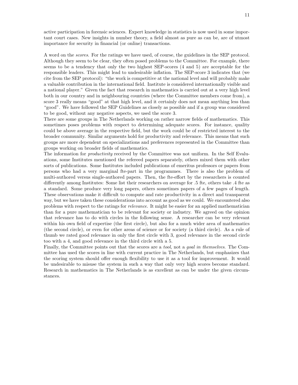active participation in forensic sciences. Expert knowledge in statistics is now used in some important court cases. New insights in number theory, a field almost as pure as can be, are of utmost importance for security in financial (or online) transactions.

A word on the scores. For the ratings we have used, of course, the guidelines in the SEP protocol. Although they seem to be clear, they often posed problems to the Committee. For example, there seems to be a tendency that only the two highest SEP-scores (4 and 5) are acceptable for the responsible leaders. This might lead to undesirable inflation. The SEP-score 3 indicates that (we cite from the SEP protocol): "the work is competitive at the national level and will probably make a valuable contribution in the international field. Institute is considered internationally visible and a national player." Given the fact that research in mathematics is carried out at a very high level both in our country and in neighbouring countries (where the Committee members come from), a score 3 really means "good" at that high level, and it certainly does not mean anything less than "good". We have followed the SEP Guidelines as closely as possible and if a group was considered to be good, without any negative aspects, we used the score 3.

There are some groups in The Netherlands working on rather narrow fields of mathematics. This sometimes poses problems with respect to determining adequate scores. For instance, quality could be above average in the respective field, but the work could be of restricted interest to the broader community. Similar arguments hold for productivity and relevance. This means that such groups are more dependent on specializations and preferences represented in the Committee than groups working on broader fields of mathematics.

The information for *productivity* received by the Committee was not uniform. In the Self Evaluations, some Institutes mentioned the refereed papers separately, others mixed them with other sorts of publications. Some Institutes included publications of emeritus professors or papers from persons who had a very marginal fte-part in the programmes. There is also the problem of multi-authored versus single-authored papers. Then, the fte-effort by the researchers is counted differently among Institutes: Some list their researchers on average for .5 fte, others take .4 fte as a standard. Some produce very long papers, others sometimes papers of a few pages of length. These observations make it difficult to compute and rate productivity in a direct and transparent way, but we have taken these considerations into account as good as we could. We encountered also problems with respect to the ratings for relevance. It might be easier for an applied mathematician than for a pure mathematician to be relevant for society or industry. We agreed on the opinion that relevance has to do with circles in the following sense. A researcher can be very relevant within his own field of expertise (the first circle), but also for a much wider area of mathematics (the second circle), or even for other areas of science or for society (a third circle). As a rule of thumb we rated good relevance in only the first circle with 3, good relevance in the second circle too with a 4, and good relevance in the third circle with a 5.

Finally, the Committee points out that the scores are a *tool*, not a *goal in themselves*. The Committee has used the scores in line with current practice in The Netherlands, but emphasizes that the scoring system should offer enough flexibility to use it as a tool for improvement. It would be undesirable to misuse the system in such a way that only very high scores become standard. Research in mathematics in The Netherlands is as excellent as can be under the given circumstances.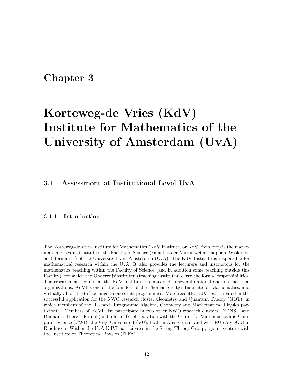# Chapter 3

# Korteweg-de Vries (KdV) Institute for Mathematics of the University of Amsterdam (UvA)

# 3.1 Assessment at Institutional Level UvA

#### 3.1.1 Introduction

The Korteweg-de Vries Institute for Mathematics (KdV Institute, or KdVI for short) is the mathematical research institute of the Faculty of Science (Faculteit der Natuurwetenschappen, Wiskunde en Informatica) of the Universiteit van Amsterdam (UvA). The KdV Institute is responsible for mathematical research within the UvA. It also provides the lecturers and instructors for the mathematics teaching within the Faculty of Science (and in addition some teaching outside this Faculty), for which the Onderwijsinstituten (teaching institutes) carry the formal responsibilities. The research carried out at the KdV Institute is embedded in several national and international organizations. KdVI is one of the founders of the Thomas Stieltjes Institute for Mathematics, and virtually all of its staff belongs to one of its programmes. More recently, KdVI participated in the successful application for the NWO research cluster Geometry and Quantum Theory (GQT), in which members of the Research Programme Algebra, Geometry and Mathematical Physics participate. Members of KdVI also participate in two other NWO research clusters: NDNS+ and Diamant. There is formal (and informal) collaboration with the Center for Mathematics and Computer Science (CWI), the Vrije Universiteit (VU), both in Amsterdam, and with EURANDOM in Eindhoven. Within the UvA KdVI participates in the String Theory Group, a joint venture with the Institute of Theoretical Physics (ITFA).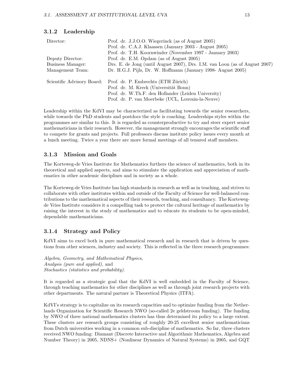#### 3.1.2 Leadership

| Director:                  | Prof. dr. J.J.O.O. Wiegerinck (as of August 2005)                           |
|----------------------------|-----------------------------------------------------------------------------|
|                            | Prof. dr. C.A.J. Klaassen (January 2003 - August 2005)                      |
|                            | Prof. dr. T.H. Koornwinder (November 1997 - January 2003)                   |
| Deputy Director:           | Prof. dr. E.M. Opdam (as of August 2005)                                    |
| Business Manager:          | Drs. E. de Jong (until August 2007), Drs. I.M. van Loon (as of August 2007) |
| Management Team:           | Dr. H.G.J. Pijls, Dr. W. Hoffmann (January 1998- August 2005)               |
| Scientific Advisory Board: | Prof. dr. P. Embrechts (ETH Zürich)                                         |
|                            | Prof. dr. M. Kreck (Universität Bonn)                                       |
|                            | Prof. dr. W.Th.F. den Hollander (Leiden University)                         |
|                            | Prof. dr. P. van Moerbeke (UCL, Louvain-la-Neuve)                           |

Leadership within the KdVI may be characterized as facilitating towards the senior researchers, while towards the PhD students and postdocs the style is coaching. Leaderships styles within the programmes are similar to this. It is regarded as counterproductive to try and steer expert senior mathematicians in their research. However, the management strongly encourages the scientific staff to compete for grants and projects. Full professors discuss institute policy issues every month at a lunch meeting. Twice a year there are more formal meetings of all tenured staff members.

#### 3.1.3 Mission and Goals

The Korteweg-de Vries Institute for Mathematics furthers the science of mathematics, both in its theoretical and applied aspects, and aims to stimulate the application and appreciation of mathematics in other academic disciplines and in society as a whole.

The Korteweg-de Vries Institute has high standards in research as well as in teaching, and strives to collaborate with other institutes within and outside of the Faculty of Science for well-balanced contributions to the mathematical aspects of their research, teaching, and consultancy. The Kortewegde Vries Institute considers it a compelling task to protect the cultural heritage of mathematics by raising the interest in the study of mathematics and to educate its students to be open-minded, dependable mathematicians.

#### 3.1.4 Strategy and Policy

KdVI aims to excel both in pure mathematical research and in research that is driven by questions from other sciences, industry and society. This is reflected in the three research programmes:

Algebra, Geometry, and Mathematical Physics, Analysis (pure and applied), and Stochastics (statistics and probability).

It is regarded as a strategic goal that the KdVI is well embedded in the Faculty of Science, through teaching mathematics for other disciplines as well as through joint research projects with other departments. The natural partner is Theoretical Physics (ITFA).

KdVI's strategy is to capitalize on its research capacities and to optimize funding from the Netherlands Organization for Scientific Research NWO (so-called 2e geldstroom funding). The funding by NWO of three national mathematics clusters has thus determined its policy to a large extent. These clusters are research groups consisting of roughly 20-25 excellent senior mathematicians from Dutch universities working in a common sub-discipline of mathematics. So far, three clusters received NWO funding: Diamant (Discrete Interactive and Algorithmic Mathematics, Algebra and Number Theory) in 2005, NDNS+ (Nonlinear Dynamics of Natural Systems) in 2005, and GQT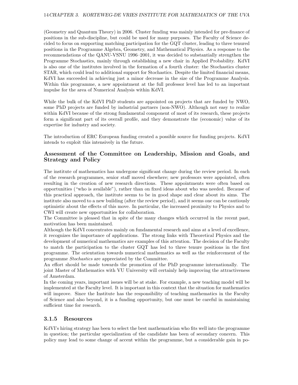(Geometry and Quantum Theory) in 2006. Cluster funding was mainly intended for pre-finance of positions in the sub-discipline, but could be used for many purposes. The Faculty of Science decided to focus on supporting matching participation for the GQT cluster, leading to three tenured positions in the Programme Algebra, Geometry, and Mathematical Physics. As a response to the recommendations of the QANU-VSNU 1996–2001, it was decided to substantially strengthen the Programme Stochastics, mainly through establishing a new chair in Applied Probability. KdVI is also one of the institutes involved in the formation of a fourth cluster: the Stochastics cluster STAR, which could lead to additional support for Stochastics. Despite the limited financial means, KdVI has succeeded in achieving just a minor decrease in the size of the Programme Analysis. Within this programme, a new appointment at the full professor level has led to an important impulse for the area of Numerical Analysis within KdVI.

While the bulk of the KdVI PhD students are appointed on projects that are funded by NWO, some PhD projects are funded by industrial partners (non-NWO). Although not easy to realize within KdVI because of the strong fundamental component of most of its research, these projects form a significant part of its overall profile, and they demonstrate the (economic) value of its expertise for industry and society.

The introduction of ERC European funding created a possible source for funding projects. KdVI intends to exploit this intensively in the future.

# Assessment of the Committee on Leadership, Mission and Goals, and Strategy and Policy

The institute of mathematics has undergone significant change during the review period. In each of the research programmes, senior staff moved elsewhere; new professors were appointed, often resulting in the creation of new research directions. These appointments were often based on opportunities ("who is available"), rather than on fixed ideas about who was needed. Because of this practical approach, the institute seems to be in good shape and clear about its aims. The institute also moved to a new building (after the review period), and it seems one can be cautiously optimistic about the effects of this move. In particular, the increased proximity to Physics and to CWI will create new opportunities for collaboration.

The Committee is pleased that in spite of the many changes which occurred in the recent past, motivation has been maintained.

Although the KdVI concentrates mainly on fundamental research and aims at a level of excellence, it recognizes the importance of applications. The strong links with Theoretical Physics and the development of numerical mathematics are examples of this attention. The decision of the Faculty to match the participation to the cluster GQT has led to three tenure positions in the first programme. The orientation towards numerical mathematics as well as the reinforcement of the programme Stochastics are appreciated by the Committee.

An effort should be made towards the promotion of the PhD programme internationally. The joint Master of Mathematics with VU University will certainly help improving the attractiveness of Amsterdam.

In the coming years, important issues will be at stake. For example, a new teaching model will be implemented at the Faculty level. It is important in this context that the situation for mathematics will improve. Since the Institute has the responsibility of teaching mathematics in the Faculty of Science and also beyond, it is a funding opportunity, but one must be careful in maintaining sufficient time for research.

# 3.1.5 Resources

KdVI's hiring strategy has been to select the best mathematician who fits well into the programme in question; the particular specialization of the candidate has been of secondary concern. This policy may lead to some change of accent within the programme, but a considerable gain in po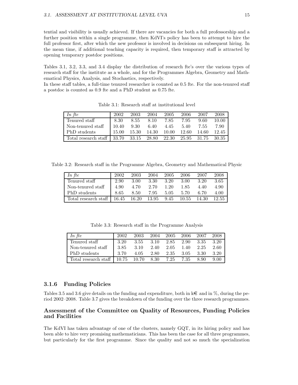tential and visibility is usually achieved. If there are vacancies for both a full professorship and a further position within a single programme, then KdVI's policy has been to attempt to hire the full professor first, after which the new professor is involved in decisions on subsequent hiring. In the mean time, if additional teaching capacity is required, then temporary staff is attracted by opening temporary postdoc positions.

Tables 3.1, 3.2, 3.3, and 3.4 display the distribution of research fte's over the various types of research staff for the institute as a whole, and for the Programmes Algebra, Geometry and Mathematical Physics, Analysis, and Stochastics, respectively.

In these staff tables, a full-time tenured researcher is counted as 0.5 fte. For the non-tenured staff a postdoc is counted as 0.9 fte and a PhD student as 0.75 fte.

| In fte                       | 2002  | 2003        | 2004  | 2005  | 2006        | 2007  | 2008   |
|------------------------------|-------|-------------|-------|-------|-------------|-------|--------|
| Tenured staff                | 8.30  | 8.55        | 8.10  | 7.85  | 7.95        | 9.60  | 10.00  |
| Non-tenured staff            | 10.40 | 9.30        | 6.40  | 4.45  | 5.40        | 7.55  | 7.90   |
| PhD students                 | 15.00 | 15.30       | 14.30 | 10.00 | 12.60       | 14.60 | 12.45  |
| Total research staff   33.70 |       | 33.15 28.80 |       | 22.30 | 25.95 31.75 |       | -30.35 |

Table 3.1: Research staff at institutional level

Table 3.2: Research staff in the Programme Algebra, Geometry and Mathematical Physic

| In fte                                              | 2002 | 2003 | 2004 | 2005 | 2006      | 2007  | 2008  |
|-----------------------------------------------------|------|------|------|------|-----------|-------|-------|
| Tenured staff                                       | 2.90 | 3.00 | 3.30 | 3.20 | -3.00     | 3.20  | 3.65  |
| Non-tenured staff                                   | 4.90 | 4.70 | 2.70 | 1.20 | 1.85      | 4.40  | 4.90  |
| PhD students                                        | 8.65 | 8.50 | 7.95 | 5.05 | 5.70      | 6.70  | 4.00  |
| Total research staff $\vert$ 16.45 16.20 13.95 9.45 |      |      |      |      | $10.55\,$ | 14.30 | 12.55 |

Table 3.3: Research staff in the Programme Analysis

| In fte               | 2002  | 2003  | 2004 | 2005 | 2006 | 2007 | 2008 |
|----------------------|-------|-------|------|------|------|------|------|
| Tenured staff        | 3.20  | 3.55  | 3.10 | 2.85 | 2.90 | 3.35 | 3.20 |
| Non-tenured staff    | 3.85  | 3.10  | 2.40 | 2.05 | 1.40 | 2.25 | 2.60 |
| PhD students         | 3.70  | 4.05  | 2.80 | 2.35 | 3.05 | 3.30 | 3.20 |
| Total research staff | 10.75 | 10.70 | 8.30 | 7.25 | 7.35 | 8.90 | 9.00 |

#### 3.1.6 Funding Policies

Tables 3.5 and 3.6 give details on the funding and expenditure, both in  $k\epsilon$  and in %, during the period 2002–2008. Table 3.7 gives the breakdown of the funding over the three research programmes.

#### Assessment of the Committee on Quality of Resources, Funding Policies and Facilities

The KdVI has taken advantage of one of the clusters, namely GQT, in its hiring policy and has been able to hire very promising mathematicians. This has been the case for all three programmes, but particularly for the first programme. Since the quality and not so much the specialization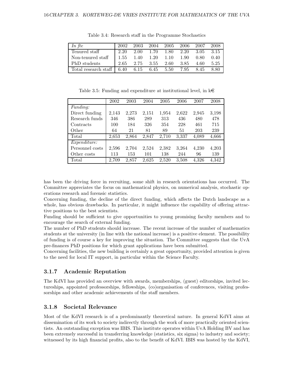| In the                                                                             | 2002 |  |  | 2003 2004 2005 2006 2007 2008         |  |
|------------------------------------------------------------------------------------|------|--|--|---------------------------------------|--|
| Tenured staff                                                                      |      |  |  | $-2.20$ 2.00 1.70 1.80 2.20 3.05 3.15 |  |
| Non-tenured staff   1.55 1.40 1.20 1.10 1.90 0.80 0.40                             |      |  |  |                                       |  |
| PhD students                                                                       |      |  |  | 2.65 2.75 3.55 2.60 3.85 4.60 5.25    |  |
| Total research staff   $6.40$ $6.15$ $6.45$ $5.50$ $7.\overline{95}$ $8.45$ $8.80$ |      |  |  |                                       |  |

Table 3.4: Research staff in the Programme Stochastics

Table 3.5: Funding and expenditure at institutional level, in  $k\in$ 

|                     | 2002  | 2003  | 2004  | 2005  | 2006  | 2007  | 2008  |
|---------------------|-------|-------|-------|-------|-------|-------|-------|
| <i>Funding:</i>     |       |       |       |       |       |       |       |
| Direct funding      | 2,143 | 2,273 | 2,151 | 1,954 | 2,622 | 2,945 | 3,198 |
| Research funds      | 346   | 386   | 289   | 313   | 436   | 480   | 478   |
| Contracts           | 100   | 184   | 326   | 354   | 228   | 461   | 715   |
| Other               | 64    | 21    | 81    | 89    | 51    | 203   | 239   |
| Total               | 2,653 | 2,864 | 2,847 | 2,710 | 3,337 | 4,089 | 4,666 |
| <i>Expenditure:</i> |       |       |       |       |       |       |       |
| Personnel costs     | 2,596 | 2,704 | 2,524 | 2,382 | 3.264 | 4,230 | 4,203 |
| Other costs         | 113   | 153   | 101   | 138   | 244   | 96    | 139   |
| Total               | 2,709 | 2,857 | 2,625 | 2,520 | 3,508 | 4.326 | 4.342 |

has been the driving force in recruiting, some shift in research orientations has occurred. The Committee appreciates the focus on mathematical physics, on numerical analysis, stochastic operations research and forensic statistics.

Concerning funding, the decline of the direct funding, which affects the Dutch landscape as a whole, has obvious drawbacks. In particular, it might influence the capability of offering attractive positions to the best scientists.

Funding should be sufficient to give opportunities to young promising faculty members and to encourage the search of external funding.

The number of PhD students should increase. The recent increase of the number of mathematics students at the university (in line with the national increase) is a positive element. The possibility of funding is of course a key for improving the situation. The Committee suggests that the UvA pre-finances PhD positions for which grant applications have been submitted.

Concerning facilities, the new building is certainly a great opportunity, provided attention is given to the need for local IT support, in particular within the Science Faculty.

# 3.1.7 Academic Reputation

The KdVI has provided an overview with awards, memberships, (guest) editorships, invited lectureships, appointed professorships, fellowships, (co)organisation of conferences, visiting professorships and other academic achievements of the staff members.

#### 3.1.8 Societal Relevance

Most of the KdVI research is of a predominantly theoretical nature. In general KdVI aims at dissemination of its work to society indirectly through the work of more practically oriented scientists. An outstanding exception was IBIS. This institute operates within UvA Holding BV and has been extremely successful in transferring knowledge (statistics, six sigma) to industry and society; witnessed by its high financial profits, also to the benefit of KdVI. IBIS was hosted by the KdVI,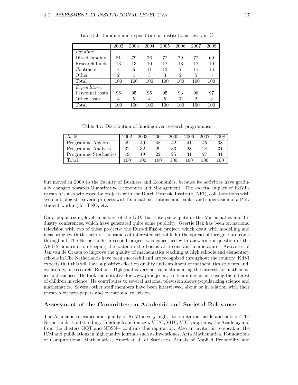|                 | 2002           | 2003 | 2004 | 2005 | 2006           | 2007           | 2008 |
|-----------------|----------------|------|------|------|----------------|----------------|------|
| <i>Funding:</i> |                |      |      |      |                |                |      |
| Direct funding  | 81             | 79   | 76   | 72   | 79             | 72             | 69   |
| Research funds  | 13             | 13   | 10   | 12   | 13             | 12             | 10   |
| Contracts       | 4              | 6    | 11   | 13   | 7              | 11             | 16   |
| Other           | $\overline{2}$ |      | 3    | 3    | $\overline{2}$ | 5              | 5    |
| Total           | 100            | 100  | 100  | 100  | 100            | 100            | 100  |
| Expendature:    |                |      |      |      |                |                |      |
| Personnel costs | 96             | 95   | 96   | 95   | 93             | 98             | 97   |
| Other costs     | 4              | 5    | 4    | 5    | 7              | $\overline{2}$ | 3    |
| $\rm Total$     | 100            | 100  | 100  | 100  | 100            | 100            | 100  |

Table 3.6: Funding and expenditure at institutional level, in %

Table 3.7: Distribution of funding over research programmes

| %<br>In.              | 2002 | 2003 | 2004 | 2005 | 2006 | 2007 | 2008 |
|-----------------------|------|------|------|------|------|------|------|
| Programme Algebra     | 49   | 49   | 48   | 42   |      | 45   | 38   |
| Programme Analysis    | 32   | 32   | 29   | 33   | 28   | 28   |      |
| Programme Stochastics | 19   | 19   | 22   | 25   |      | 97   |      |
| 'I'otal               | 100  | -00  | 100  | 100  | 100  | 100  | 100  |

but moved in 2009 to the Faculty of Business and Economics, because its activities have gradually changed towards Quantitative Economics and Management. The societal impact of KdVI's research is also witnessed by projects with the Dutch Forensic Institute (NFI), collaborations with system biologists, several projects with financial institutions and banks, and supervision of a PhD student working for TNO, etc.

On a popularizing level, members of the KdV Institute participate in the Mathematics and Industry conferences, which have generated quite some publicity. Geertje Hek has been on national television with two of these projects: the Euro-diffusion project, which dealt with modelling and measuring (with the help of thousands of interested school kids) the spread of foreign Euro coins throughout The Netherlands; a second project was concerned with answering a question of the ARTIS aquarium on keeping the water in the basins at a constant temperature. Activities of Jan van de Craats to improve the quality of mathematics teaching at high schools and elementary schools in The Netherlands have been successful and are recognized throughout the country. KdVI expects that this will have a positive effect on quality and enrolment of mathematics students and, eventually, on research. Robbert Dijkgraaf is very active in stimulating the interest for mathematics and sciences. He took the initiative for www.proefjes.nl, a site aiming at increasing the interest of children in science. He contributes to several national television shows popularizing science and mathematics. Several other staff members have been interviewed about or in relation with their research by newspapers and by national television

#### Assessment of the Committee on Academic and Societal Relevance

The Academic relevance and quality of KdVI is very high. Its reputation inside and outside The Netherlands is outstanding. Funding from Spinoza, VENI, VIDI, VICI programs, the Academy and from the clusters GQT and NDSN+ confirms this reputation. Also an invitation to speak at the ICM and publications in high quality journals such as Inventiones, Acta Mathematica, Foundations of Computational Mathematics, American J. of Statistics, Annals of Applied Probability and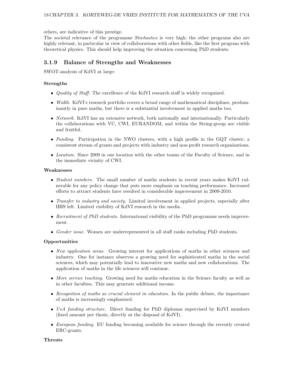others, are indicative of this prestige.

The societal relevance of the programme *Stochastics* is very high; the other programs also are highly relevant, in particular in view of collaborations with other fields, like the first program with theoretical physics. This should help improving the situation concerning PhD students.

# 3.1.9 Balance of Strengths and Weaknesses

SWOT-analysis of KdVI at large:

#### Strengths

- Quality of Staff. The excellence of the KdVI research staff is widely recognized.
- Width. KdVI's research portfolio covers a broad range of mathematical disciplines, predominantly in pure maths, but there is a substantial involvement in applied maths too.
- Network. KdVI has an extensive network, both nationally and internationally. Particularly the collaborations with VU, CWI, EURANDOM, and within the String-group are visible and fruitful.
- Funding. Participation in the NWO clusters, with a high profile in the GQT cluster; a consistent stream of grants and projects with industry and non-profit research organizations.
- Location. Since 2009 in one location with the other teams of the Faculty of Science, and in the immediate vicinity of CWI.

#### Weaknesses

- *Student numbers*. The small number of maths students in recent years makes KdVI vulnerable for any policy change that puts more emphasis on teaching performance. Increased efforts to attract students have resulted in considerable improvement in 2009-2010.
- Transfer to industry and society. Limited involvement in applied projects, especially after IBIS left. Limited visibility of KdVI research in the media.
- Recruitment of PhD students. International visibility of the PhD programme needs improvement.
- Gender issue. Women are underrepresented in all staff ranks including PhD students.

#### Opportunities

- New application areas. Growing interest for applications of maths in other sciences and industry. One for instance observes a growing need for sophisticated maths in the social sciences, which may potentially lead to innovative new maths and new collaborations. The application of maths in the life sciences will continue.
- More service teaching. Growing need for maths education in the Science faculty as well as in other faculties. This may generate additional income.
- Recognition of maths as crucial element in education. In the public debate, the importance of maths is increasingly emphasized.
- UvA funding structure. Direct funding for PhD diplomas supervised by KdVI members (fixed amount per thesis, directly at the disposal of KdVI).
- European funding. EU funding becoming available for science through the recently created ERC-grants.

#### Threats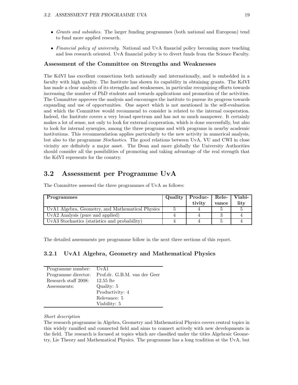- Grants and subsidies. The larger funding programmes (both national and European) tend to fund more applied research.
- Financial policy of university. National and UvA financial policy becoming more teaching and less research oriented. UvA financial policy is to divert funds from the Science Faculty.

#### Assessment of the Committee on Strengths and Weaknesses

The KdVI has excellent connections both nationally and internationally, and is embedded in a faculty with high quality. The Institute has shown its capability in obtaining grants. The KdVI has made a clear analysis of its strengths and weaknesses, in particular recognizing efforts towards increasing the number of PhD students and towards applications and promotion of the activities. The Committee approves the analysis and encourages the institute to pursue its progress towards expanding and use of opportunities. One aspect which is not mentioned in the self-evaluation and which the Committee would recommend to consider is related to the internal cooperation. Indeed, the Institute covers a very broad spectrum and has not so much manpower. It certainly makes a lot of sense, not only to look for external cooperation, which is done successfully, but also to look for internal synergies, among the three programs and with programs in nearby academic institutions. This recommendation applies particularly to the new activity in numerical analysis, but also to the programme Stochastics. The good relations between UvA, VU and CWI in close vicinity are definitely a major asset. The Dean and more globally the University Authorities should consider all the possibilities of promoting and taking advantage of the real strength that the KdVI represents for the country.

# 3.2 Assessment per Programme UvA

| Programmes                                       | Quality | Produc- Rele- |       | Viabi- |
|--------------------------------------------------|---------|---------------|-------|--------|
|                                                  |         | tivity        | vance | lity   |
| UvA1 Algebra, Geometry, and Mathematical Physics |         |               |       |        |
| UvA2 Analysis (pure and applied)                 |         |               |       |        |
| UvA3 Stochastics (statistics and probability)    |         |               |       |        |

The Committee assessed the three programmes of UvA as follows:

The detailed assessments per programme follow in the next three sections of this report.

#### 3.2.1 UvA1 Algebra, Geometry and Mathematical Physics

| Programme number: UvA1 |                                                  |
|------------------------|--------------------------------------------------|
|                        | Programme director: Prof.dr. G.B.M. van der Geer |
| Research staff 2008:   | $12.55$ fte                                      |
| Assessments:           | Quality: 5                                       |
|                        | Productivity: 4                                  |
|                        | Relevance: 5                                     |
|                        | Viability: 5                                     |

#### Short description

The research programme in Algebra, Geometry and Mathematical Physics covers central topics in this widely ramified and connected field and aims to connect actively with new developments in the field. The research is focused at topics which are classified under the titles Algebraic Geometry, Lie Theory and Mathematical Physics. The programme has a long tradition at the UvA, but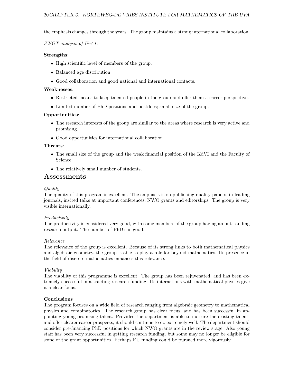the emphasis changes through the years. The group maintains a strong international collaboration.

SWOT-analysis of UvA1:

#### Strengths:

- High scientific level of members of the group.
- Balanced age distribution.
- Good collaboration and good national and international contacts.

#### Weaknesses:

- Restricted means to keep talented people in the group and offer them a career perspective.
- Limited number of PhD positions and postdocs; small size of the group.

#### Opportunities:

- The research interests of the group are similar to the areas where research is very active and promising.
- Good opportunities for international collaboration.

#### Threats:

- The small size of the group and the weak financial position of the KdVI and the Faculty of Science.
- The relatively small number of students.

## Assessments

#### Quality

The quality of this program is excellent. The emphasis is on publishing quality papers, in leading journals, invited talks at important conferences, NWO grants and editorships. The group is very visible internationally.

#### Productivity

The productivity is considered very good, with some members of the group having an outstanding research output. The number of PhD's is good.

#### Relevance

The relevance of the group is excellent. Because of its strong links to both mathematical physics and algebraic geometry, the group is able to play a role far beyond mathematics. Its presence in the field of discrete mathematics enhances this relevance.

#### Viability

The viability of this programme is excellent. The group has been rejuvenated, and has been extremely successful in attracting research funding. Its interactions with mathematical physics give it a clear focus.

#### Conclusions

The program focuses on a wide field of research ranging from algebraic geometry to mathematical physics and combinatorics. The research group has clear focus, and has been successful in appointing young promising talent. Provided the department is able to nurture the existing talent, and offer clearer career prospects, it should continue to do extremely well. The department should consider pre-financing PhD positions for which NWO grants are in the review stage. Also young staff has been very successful in getting research funding, but some may no longer be eligible for some of the grant opportunities. Perhaps EU funding could be pursued more vigorously.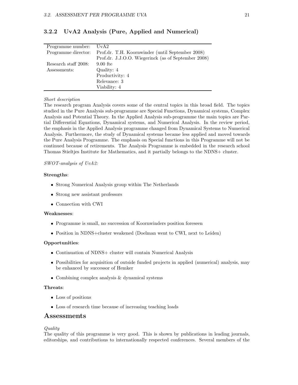| Programme number:    | UvA2                                                |
|----------------------|-----------------------------------------------------|
| Programme director:  | Prof.dr. T.H. Koornwinder (until September 2008)    |
|                      | Prof.dr. J.J.O.O. Wiegerinck (as of September 2008) |
| Research staff 2008: | $9.00$ fte                                          |
| Assessments:         | Quality: 4                                          |
|                      | Productivity: 4                                     |
|                      | Relevance: 3                                        |
|                      | Viability: 4                                        |

## 3.2.2 UvA2 Analysis (Pure, Applied and Numerical)

#### Short description

The research program Analysis covers some of the central topics in this broad field. The topics studied in the Pure Analysis sub-programme are Special Functions, Dynamical systems, Complex Analysis and Potential Theory. In the Applied Analysis sub-programme the main topics are Partial Differential Equations, Dynamical systems, and Numerical Analysis. In the review period, the emphasis in the Applied Analysis programme changed from Dynamical Systems to Numerical Analysis. Furthermore, the study of Dynamical systems became less applied and moved towards the Pure Analysis Programme. The emphasis on Special functions in this Programme will not be continued because of retirements. The Analysis Programme is embedded in the research school Thomas Stieltjes Institute for Mathematics, and it partially belongs to the NDNS+ cluster.

#### SWOT-analysis of UvA2:

#### Strengths:

- Strong Numerical Analysis group within The Netherlands
- Strong new assistant professors
- Connection with CWI

#### Weaknesses:

- Programme is small, no succession of Koornwinders position foreseen
- Position in NDNS+cluster weakened (Doelman went to CWI, next to Leiden)

#### Opportunities:

- Continuation of NDNS+ cluster will contain Numerical Analysis
- Possibilities for acquisition of outside funded projects in applied (numerical) analysis, may be enhanced by successor of Hemker
- Combining complex analysis & dynamical systems

#### Threats:

- Loss of positions
- Loss of research time because of increasing teaching loads

#### Assessments

#### Quality

The quality of this programme is very good. This is shown by publications in leading journals, editorships, and contributions to internationally respected conferences. Several members of the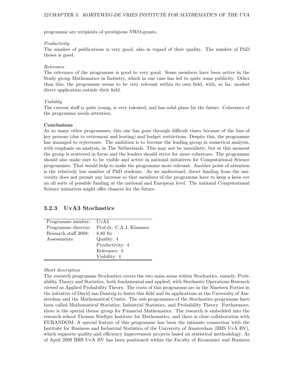programme are recipients of prestigious NWO-grants.

#### Productivity

The number of publications is very good, also in regard of their quality. The number of PhD theses is good.

#### Relevance

The relevance of the programme is good to very good. Some members have been active in the Study group Mathematics in Industry, which in one case has led to quite some publicity. Other than this, the programme seems to be very relevant within its own field, with, so far, modest direct application outside their field.

#### Viability

The current staff is quite young, is very talented, and has solid plans for the future. Coherence of the programme needs attention.

#### Conclusions

As so many other programmes, this one has gone through difficult times because of the loss of key persons (due to retirement and leaving) and budget restrictions. Despite this, the programme has managed to rejuvenate. The ambition is to become the leading group in numerical analysis, with emphasis on analysis, in The Netherlands. This may not be unrealistic, but at this moment the group is scattered in focus and the leaders should strive for more coherence. The programme should also make sure to be visible and active in national initiatives for Computational Science programmes. That would help to make the programme more relevant. Another point of attention is the relatively low number of PhD students. As we understand, direct funding from the university does not permit any increase so that members of the programme have to keep a keen eye on all sorts of possible funding at the national and European level. The national Computational Science initiatives might offer chances for the future.

## 3.2.3 UvA3 Stochastics

| Programme number: UvA3 |                                              |
|------------------------|----------------------------------------------|
|                        | Programme director: Prof.dr. C.A.J. Klaassen |
| Research staff 2008:   | 8.80 fte                                     |
| Assessments:           | Quality: 4                                   |
|                        | Productivity: 4                              |
|                        | Relevance: 5                                 |
|                        | Viability: 4                                 |

#### Short description

The research programme Stochastics covers the two main areas within Stochastics, namely, Probability Theory and Statistics, both fundamental and applied, with Stochastic Operations Research viewed as Applied Probability Theory. The roots of this programme are in the Nineteen Forties in the initiative of David van Dantzig to foster this field and its applications at the University of Amsterdam and the Mathematical Centre. The sub-programmes of the Stochastics programme have been called Mathematical Statistics, Industrial Statistics, and Probability Theory. Furthermore, there is the special theme group for Financial Mathematics. The research is embedded into the research school Thomas Stieltjes Institute for Mathematics, and there is close collaboration with EURANDOM. A special feature of this programme has been the intimate connection with the Institute for Business and Industrial Statistics of the University of Amsterdam (IBIS UvA BV), which supports quality and efficiency improvement projects based on statistical methodology. As of April 2009 IBIS UvA BV has been positioned within the Faculty of Economics and Business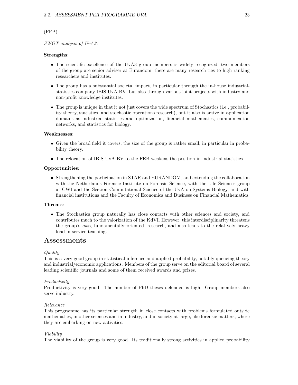#### (FEB).

#### SWOT-analysis of UvA3:

#### Strengths:

- The scientific excellence of the UvA3 group members is widely recognized; two members of the group are senior adviser at Eurandom; there are many research ties to high ranking researchers and institutes.
- The group has a substantial societal impact, in particular through the in-house industrialstatistics company IBIS UvA BV, but also through various joint projects with industry and non-profit knowledge institutes.
- The group is unique in that it not just covers the wide spectrum of Stochastics (i.e., probability theory, statistics, and stochastic operations research), but it also is active in application domains as industrial statistics and optimization, financial mathematics, communication networks, and statistics for biology.

#### Weaknesses:

- Given the broad field it covers, the size of the group is rather small, in particular in probability theory.
- The relocation of IBIS UvA BV to the FEB weakens the position in industrial statistics.

#### Opportunities:

 Strengthening the participation in STAR and EURANDOM, and extending the collaboration with the Netherlands Forensic Institute on Forensic Science, with the Life Sciences group at CWI and the Section Computational Science of the UvA on Systems Biology, and with financial institutions and the Faculty of Economics and Business on Financial Mathematics.

#### Threats:

• The Stochastics group naturally has close contacts with other sciences and society, and contributes much to the valorization of the KdVI. However, this interdisciplinarity threatens the group's own, fundamentally–oriented, research, and also leads to the relatively heavy load in service teaching.

# Assessments

#### Quality

This is a very good group in statistical inference and applied probability, notably queueing theory and industrial/economic applications. Members of the group serve on the editorial board of several leading scientific journals and some of them received awards and prizes.

#### Productivity

Productivity is very good. The number of PhD theses defended is high. Group members also serve industry.

#### Relevance

This programme has its particular strength in close contacts with problems formulated outside mathematics, in other sciences and in industry, and in society at large, like forensic matters, where they are embarking on new activities.

#### Viability

The viability of the group is very good. Its traditionally strong activities in applied probability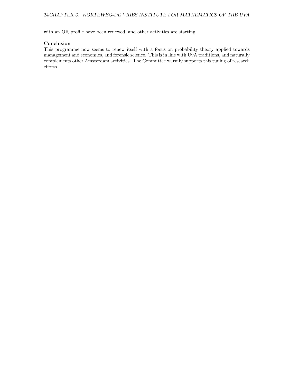with an OR profile have been renewed, and other activities are starting.

#### Conclusion

This programme now seems to renew itself with a focus on probability theory applied towards management and economics, and forensic science. This is in line with UvA traditions, and naturally complements other Amsterdam activities. The Committee warmly supports this tuning of research efforts.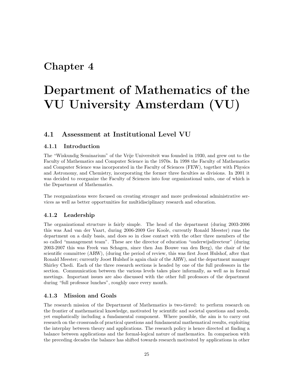# Chapter 4

# Department of Mathematics of the VU University Amsterdam (VU)

# 4.1 Assessment at Institutional Level VU

## 4.1.1 Introduction

The "Wiskundig Seminarium" of the Vrije Universiteit was founded in 1930, and grew out to the Faculty of Mathematics and Computer Science in the 1970s. In 1998 the Faculty of Mathematics and Computer Science was incorporated in the Faculty of Sciences (FEW), together with Physics and Astronomy, and Chemistry, incorporating the former three faculties as divisions. In 2001 it was decided to reorganize the Faculty of Sciences into four organizational units, one of which is the Department of Mathematics.

The reorganizations were focused on creating stronger and more professional administrative services as well as better opportunities for multidisciplinary research and education.

# 4.1.2 Leadership

The organizational structure is fairly simple. The head of the department (during 2003-2006 this was Aad van der Vaart, during 2006-2009 Ger Koole, currently Ronald Meester) runs the department on a daily basis, and does so in close contact with the other three members of the so called "management team". These are the director of education "onderwijsdirecteur" (during 2003-2007 this was Freek van Schagen, since then Jan Bouwe van den Berg), the chair of the scientific committee (ARW), (during the period of review, this was first Joost Hulshof, after that Ronald Meester; currently Joost Hulshof is again chair of the ARW), and the department manager Shirley Chedi. Each of the three research sections is headed by one of the full professors in the section. Communication between the various levels takes place informally, as well as in formal meetings. Important issues are also discussed with the other full professors of the department during "full professor lunches", roughly once every month.

#### 4.1.3 Mission and Goals

The research mission of the Department of Mathematics is two-tiered: to perform research on the frontier of mathematical knowledge, motivated by scientific and societal questions and needs, yet emphatically including a fundamental component. Where possible, the aim is to carry out research on the crossroads of practical questions and fundamental mathematical results, exploiting the interplay between theory and applications. The research policy is hence directed at finding a balance between applications and the formal-logical nature of mathematics. In comparison with the preceding decades the balance has shifted towards research motivated by applications in other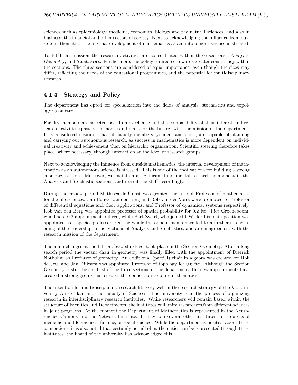sciences such as epidemiology, medicine, economics, biology and the natural sciences, and also in business, the financial and other sectors of society. Next to acknowledging the influence from outside mathematics, the internal development of mathematics as an autonomous science is stressed.

To fulfil this mission the research activities are concentrated within three sections: Analysis, Geometry, and Stochastics. Furthermore, the policy is directed towards greater consistency within the sections. The three sections are considered of equal importance, even though the sizes may differ, reflecting the needs of the educational programmes, and the potential for multidisciplinary research.

# 4.1.4 Strategy and Policy

The department has opted for specialization into the fields of analysis, stochastics and topology/geometry.

Faculty members are selected based on excellence and the compatibility of their interest and research activities (past performance and plans for the future) with the mission of the department. It is considered desirable that all faculty members, younger and older, are capable of planning and carrying out autonomous research, as success in mathematics is more dependent on individual creativity and achievement than on hierarchic organization. Scientific steering therefore takes place, where necessary, through interaction at the level of research groups.

Next to acknowledging the influence from outside mathematics, the internal development of mathematics as an autonomous science is stressed. This is one of the motivations for building a strong geometry section. Moreover, we maintain a significant fundamental research component in the Analysis and Stochastic sections, and recruit the staff accordingly.

During the review period Mathisca de Gunst was granted the title of Professor of mathematics for the life sciences. Jan Bouwe van den Berg and Rob van der Vorst were promoted to Professor of differential equations and their applications, and Professor of dynamical systems respectively. Rob van den Berg was appointed professor of spatial probability for 0.2 fte. Piet Groeneboom, who had a 0.2 appointment, retired, while Bert Zwart, who joined CWI for his main position was appointed as a special professor. On the whole the appointments have led to a further strengthening of the leadership in the Sections of Analysis and Stochastics, and are in agreement with the research mission of the department.

The main changes at the full professorship level took place in the Section Geometry. After a long search period the vacant chair in geometry was finally filled with the appointment of Dietrich Notbohm as Professor of geometry. An additional (partial) chair in algebra was created for Rob de Jeu, and Jan Dijkstra was appointed Professor of topology for 0.6 fte. Although the Section Geometry is still the smallest of the three sections in the department, the new appointments have created a strong group that ensures the connection to pure mathematics.

The attention for multidisciplinary research fits very well in the research strategy of the VU University Amsterdam and the Faculty of Sciences. The university is in the process of organizing research in interdisciplinary research institutes. While researchers will remain based within the structure of Faculties and Departments, the institutes will unite researchers from different sciences in joint programs. At the moment the Department of Mathematics is represented in the Neuroscience Campus and the Network Institute. It may join several other institutes in the areas of medicine and life sciences, finance, or social science. While the department is positive about these connections, it is also noted that certainly not all of mathematics can be represented through these institutes; the board of the university has acknowledged this.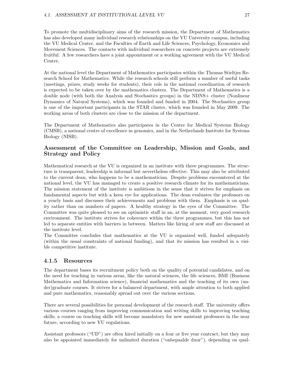To promote the multidisciplinary aims of the research mission, the Department of Mathematics has also developed many individual research relationships on the VU University campus, including the VU Medical Center, and the Faculties of Earth and Life Sciences, Psychology, Economics and Movement Sciences. The contacts with individual researchers on concrete projects are extremely fruitful. A few researchers have a joint appointment or a working agreement with the VU Medical Centre.

At the national level the Department of Mathematics participates within the Thomas Stieltjes Research School for Mathematics. While the research schools still perform a number of useful tasks (meetings, prizes, study weeks for students), their role in the national coordination of research is expected to be taken over by the mathematics clusters. The Department of Mathematics is a double node (with both the Analysis and Stochastics groups) in the NDNS+ cluster (Nonlinear Dynamics of Natural Systems), which was founded and funded in 2004. The Stochastics group is one of the important participants in the STAR cluster, which was founded in May 2009. The working areas of both clusters are close to the mission of the department.

The Department of Mathematics also participates in the Centre for Medical Systems Biology (CMSB), a national centre of excellence in genomics, and in the Netherlands Institute for Systems Biology (NISB).

## Assessment of the Committee on Leadership, Mission and Goals, and Strategy and Policy

Mathematical research at the VU is organized in an institute with three programmes. The structure is transparent, leadership is informal but nevertheless effective. This may also be attributed to the current dean, who happens to be a mathematician. Despite problems encountered at the national level, the VU has managed to create a positive research climate for its mathematicians. The mission statement of the institute is ambitious in the sense that it strives for emphasis on fundamental aspects but with a keen eye for applications. The dean evaluates the professors on a yearly basis and discusses their achievements and problems with them. Emphasis is on quality rather than on numbers of papers. A healthy strategy in the eyes of the Committee. The Committee was quite pleased to see an optimistic staff in an, at the moment, very good research environment. The institute strives for coherence within the three programmes, but this has not led to separate entities with barriers in between. Matters like hiring of new staff are discussed at the institute level.

The Committee concludes that mathematics at the VU is organized well, funded adequately (within the usual constraints of national funding), and that its mission has resulted in a visible competitive institute.

#### 4.1.5 Resources

The department bases its recruitment policy both on the quality of potential candidates, and on the need for teaching in various areas, like the natural sciences, the life sciences, BMI (Business Mathematics and Information science), financial mathematics and the teaching of its own (under)graduate courses. It strives for a balanced department, with ample attention to both applied and pure mathematics, reasonably spread out over the various sections.

There are several possibilities for personal development of the research staff. The university offers various courses ranging from improving communication and writing skills to improving teaching skills; a course on teaching skills will become mandatory for new assistant professors in the near future, according to new VU regulations.

Assistant professors ("UD") are often hired initially on a four or five year contract, but they may also be appointed immediately for unlimited duration ("onbepaalde duur"), depending on qual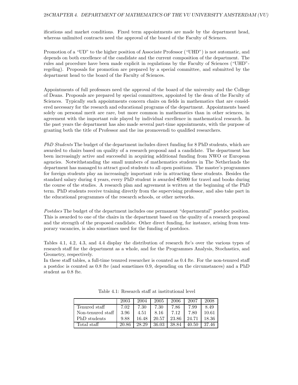ifications and market conditions. Fixed term appointments are made by the department head, whereas unlimited contracts need the approval of the board of the Faculty of Sciences.

Promotion of a "UD" to the higher position of Associate Professor ("UHD") is not automatic, and depends on both excellence of the candidate and the current composition of the department. The rules and procedure have been made explicit in regulations by the Faculty of Sciences ("UHD" regeling). Proposals for promotion are prepared by a special committee, and submitted by the department head to the board of the Faculty of Sciences.

Appointments of full professors need the approval of the board of the university and the College of Deans. Proposals are prepared by special committees, appointed by the dean of the Faculty of Sciences. Typically such appointments concern chairs on fields in mathematics that are considered necessary for the research and educational programs of the department. Appointments based solely on personal merit are rare, but more common in mathematics than in other sciences, in agreement with the important role played by individual excellence in mathematical research. In the past years the department has also made several part-time appointments, with the purpose of granting both the title of Professor and the ius promovendi to qualified researchers.

PhD Students The budget of the department includes direct funding for 8 PhD students, which are awarded to chairs based on quality of a research proposal and a candidate. The department has been increasingly active and successful in acquiring additional funding from NWO or European agencies. Notwithstanding the small numbers of mathematics students in The Netherlands the department has managed to attract good students to all open positions. The master's programmes for foreign students play an increasingly important role in attracting these students. Besides the standard salary during 4 years, every PhD student is awarded  $\epsilon$ 5000 for travel and books during the course of the studies. A research plan and agreement is written at the beginning of the PhD term. PhD students receive training directly from the supervising professor, and also take part in the educational programmes of the research schools, or other networks.

Postdocs The budget of the department includes one permanent "departmental" postdoc position. This is awarded to one of the chairs in the department based on the quality of a research proposal and the strength of the proposed candidate. Other direct funding, for instance, arising from temporary vacancies, is also sometimes used for the funding of postdocs.

Tables 4.1, 4.2, 4.3, and 4.4 display the distribution of research fte's over the various types of research staff for the department as a whole, and for the Programmes Analysis, Stochastics, and Geometry, respectively.

In these staff tables, a full-time tenured researcher is counted as 0.4 fte. For the non-tenured staff a postdoc is counted as 0.8 fte (and sometimes 0.9, depending on the circumstances) and a PhD student as 0.8 fte.

|                   | 2003  | 2004  | 2005  | 2006  | 2007  | 2008   |
|-------------------|-------|-------|-------|-------|-------|--------|
| Tenured staff     | 7.02  | 7.30  | 7.30  | 7.86  | 7.99  | 8.49   |
| Non-tenured staff | 3.96  | 4.51  | 8.16  | 7.12  | 7.80  | 10.61  |
| PhD students      | 9.88  | 16.48 | 20.57 | 23.86 | 24.71 | 18.36  |
| Total staff       | 20.86 | 28.29 | 36.03 | 38.84 | 40.50 | -37.46 |

Table 4.1: Research staff at institutional level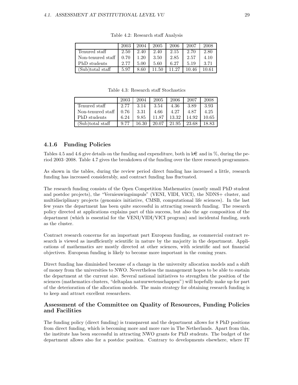|                   | 2003 | 2004 | 2005  | 2006  | 2007  | 2008  |
|-------------------|------|------|-------|-------|-------|-------|
| Tenured staff     | 2.50 | 2.40 | 2.40  | 2.15  | 2.70  | 2.80  |
| Non-tenured staff | 0.70 | 1.20 | 3.50  | 2.85  | 2.57  | 4.10  |
| PhD students      | 2.77 | 5.00 | 5.60  | 6.27  | 5.19  | 3.71  |
| Sub)total staff   | 5.97 | 8.60 | 11.50 | 11 27 | 10.46 | 10 61 |

Table 4.2: Research staff Analysis

|                   | 2003 | 2004 | 2005  | - 2006 | 2007  | 2008  |
|-------------------|------|------|-------|--------|-------|-------|
| Tenured staff     | 2.50 | 2.40 | 2.40  | 2.15   | 2.70  | 2.80  |
| Non-tenured staff | 0.70 | 1.20 | 3.50  | 2.85   | 2.57  | 4.10  |
| PhD students      | 2.77 | 5.00 | 5.60  | 6.27   | 5.19  | 3.71  |
| (Sub)total staff  | 5.97 | 8.60 | 11.50 | 11 27  | 10.46 | 10.61 |

Table 4.3: Research staff Stochastics

|                   | 2003 | 2004  | 2005  | 2006  | 2007  | 2008  |
|-------------------|------|-------|-------|-------|-------|-------|
| Tenured staff     | 2.77 | 3.14  | 3.54  | 4.36  | 3.89  | 3.93  |
| Non-tenured staff | 0.76 | 3.31  | 4.66  | 4.27  | 4.87  | 4.25  |
| PhD students      | 6.24 | 9.85  | 11.87 | 13.32 | 14.92 | 10.65 |
| (Sub)total staff  | 9.77 | 16.30 | 20.07 | 21.95 | 23.68 | 18.83 |

# 4.1.6 Funding Policies

Tables 4.5 and 4.6 give details on the funding and expenditure, both in  $k\in \mathbb{R}$  and in %, during the period 2003–2008. Table 4.7 gives the breakdown of the funding over the three research programmes.

As shown in the tables, during the review period direct funding has increased a little, research funding has increased considerably, and contract funding has fluctuated.

The research funding consists of the Open Competition Mathematics (mostly small PhD student and postdoc projects), the "Vernieuwingsimpuls" (VENI, VIDI, VICI), the NDNS+ cluster, and multidisciplinary projects (genomics initiative, CMSB, computational life sciences). In the last few years the department has been quite successful in attracting research funding. The research policy directed at applications explains part of this success, but also the age composition of the department (which is essential for the VENI/VIDI/VICI program) and incidental funding, such as the cluster.

Contract research concerns for an important part European funding, as commercial contract research is viewed as insufficiently scientific in nature by the majority in the department. Applications of mathematics are mostly directed at other sciences, with scientific and not financial objectives. European funding is likely to become more important in the coming years.

Direct funding has diminished because of a change in the university allocation models and a shift of money from the universities to NWO. Nevertheless the management hopes to be able to sustain the department at the current size. Several national initiatives to strengthen the position of the sciences (mathematics clusters, "deltaplan natuurwetenschappen") will hopefully make up for part of the deterioration of the allocation models. The main strategy for obtaining research funding is to keep and attract excellent researchers.

#### Assessment of the Committee on Quality of Resources, Funding Policies and Facilities

The funding policy (direct funding) is transparent and the department allows for 8 PhD positions from direct funding, which is becoming more and more rare in The Netherlands. Apart from this, the institute has been successful in attracting NWO grants for PhD students. The budget of the department allows also for a postdoc position. Contrary to developments elsewhere, where IT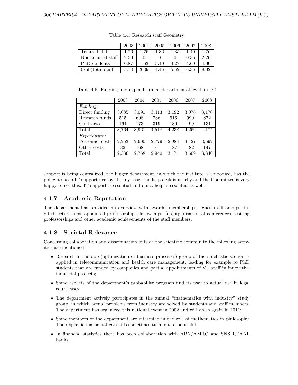|                   | 2003 | 2004 | 2005 | 2006 | 2007 | 2008 |
|-------------------|------|------|------|------|------|------|
| Tenured staff     | 1.76 | 1.76 | 1.36 | 1.35 | 1.40 | 1.76 |
| Non-tenured staff | 2.50 |      |      |      | 0.36 | 2.26 |
| PhD students      | 0.87 | 1.63 | 3.10 | 4.27 | 4.60 | 4.00 |
| (Sub)total staff  | 5.13 | 3.39 | 4.46 | 5.62 | 6.36 |      |

Table 4.4: Research staff Geometry

Table 4.5: Funding and expenditure at departmental level, in  $k\in$ 

|                 | 2003  | 2004  | 2005  | 2006  | 2007  | 2008  |
|-----------------|-------|-------|-------|-------|-------|-------|
| Funding:        |       |       |       |       |       |       |
| Direct funding  | 3,085 | 3,091 | 3,413 | 3,192 | 3,076 | 3,170 |
| Research funds  | 515   | 698   | 786   | 916   | 990   | 872   |
| Contracts       | 164   | 173   | 319   | 130   | 199   | 131   |
| Total           | 3,764 | 3,961 | 4,518 | 4,238 | 4,266 | 4,174 |
| Expenditure:    |       |       |       |       |       |       |
| Personnel costs | 2,253 | 2,600 | 2,779 | 2,984 | 3,427 | 3,692 |
| Other costs     | 82    | 168   | 161   | 187   | 182   | 147   |
| Total           | 2,336 | 2,768 | 2,940 | 3.171 | 3,609 | 3,840 |

support is being centralized, the bigger department, in which the institute is embodied, has the policy to keep IT support nearby. In any case: the help desk is nearby and the Committee is very happy to see this. IT support is essential and quick help is essential as well.

# 4.1.7 Academic Reputation

The department has provided an overview with awards, memberships, (guest) editorships, invited lectureships, appointed professorships, fellowships, (co)organisation of conferences, visiting professorships and other academic achievements of the staff members.

# 4.1.8 Societal Relevance

Concerning collaboration and dissemination outside the scientific community the following activities are mentioned:

- Research in the obp (optimization of business processes) group of the stochastic section is applied in telecommunication and health care management, leading for example to PhD students that are funded by companies and partial appointments of VU staff in innovative industrial projects;
- Some aspects of the department's probability program find its way to actual use in legal court cases;
- The department actively participates in the annual "mathematics with industry" study group, in which actual problems from industry are solved by students and staff members. The department has organized this national event in 2002 and will do so again in 2011;
- Some members of the department are interested in the role of mathematics in philosophy. Their specific mathematical skills sometimes turn out to be useful;
- In financial statistics there has been collaboration with ABN/AMRO and SNS REAAL banks.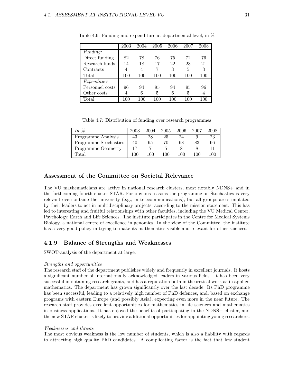|                 | 2003           | 2004 | 2005 | 2006 | 2007 | 2008 |
|-----------------|----------------|------|------|------|------|------|
| <i>Funding:</i> |                |      |      |      |      |      |
| Direct funding  | 82             | 78   | 76   | 75   | 72   | 76   |
| Research funds  | 14             | 18   | 17   | 22   | 23   | 21   |
| Contracts       | $\overline{4}$ | 4    |      | 3    | 5    | 3    |
| Total           | 100            | 100  | 100  | 100  | 100  | 100  |
| Expenditure:    |                |      |      |      |      |      |
| Personnel costs | 96             | 94   | 95   | 94   | 95   | 96   |
| Other costs     | 4              | 6    | 5    | 6    | 5    | 4    |
| Total           | 100            | 100  | 100  | 100  |      | 100  |

Table 4.6: Funding and expenditure at departmental level, in %

Table 4.7: Distribution of funding over research programmes

| In $\%$               | 2003 | 2004 | 2005 | 2006 | 2007 | 2008 |
|-----------------------|------|------|------|------|------|------|
| Programme Analysis    | 43   | 28   | 25   | 24   |      | 23   |
| Programme Stochastics | 40   | 65   | 70   | 68   | 83   | 66   |
| Programme Geometry    |      |      |      |      |      |      |
| Total                 | 100  | 100  | 100  | 100  | 100  | 10C  |

#### Assessment of the Committee on Societal Relevance

The VU mathematicians are active in national research clusters, most notably NDNS+ and in the forthcoming fourth cluster STAR. For obvious reasons the programme on Stochastics is very relevant even outside the university (e.g., in telecommunications), but all groups are stimulated by their leaders to act in multidisciplinary projects, according to the mission statement. This has led to interesting and fruitful relationships with other faculties, including the VU Medical Center, Psychology, Earth and Life Sciences. The institute participates in the Centre for Medical Systems Biology, a national centre of excellence in genomics. In the view of the Committee, the institute has a very good policy in trying to make its mathematics visible and relevant for other sciences.

#### 4.1.9 Balance of Strengths and Weaknesses

SWOT-analysis of the department at large:

#### Strengths and opportunities

The research staff of the department publishes widely and frequently in excellent journals. It hosts a significant number of internationally acknowledged leaders in various fields. It has been very successful in obtaining research grants, and has a reputation both in theoretical work as in applied mathematics. The department has grown significantly over the last decade. Its PhD programme has been successful, leading to a relatively high number of PhD defences, and, based on exchange programs with eastern Europe (and possibly Asia), expecting even more in the near future. The research staff provides excellent opportunities for mathematics in life sciences and mathematics in business applications. It has enjoyed the benefits of participating in the NDNS+ cluster, and the new STAR cluster is likely to provide additional opportunities for appointing young researchers.

#### Weaknesses and threats

The most obvious weakness is the low number of students, which is also a liability with regards to attracting high quality PhD candidates. A complicating factor is the fact that low student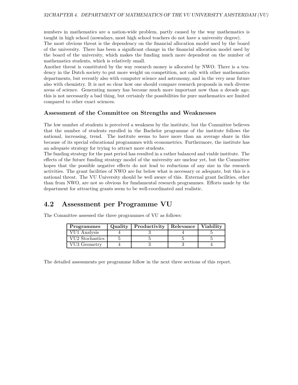numbers in mathematics are a nation-wide problem, partly caused by the way mathematics is taught in high school (nowadays, most high school teachers do not have a university degree). The most obvious threat is the dependency on the financial allocation model used by the board of the university. There has been a significant change in the financial allocation model used by the board of the university, which makes the funding much more dependent on the number of mathematics students, which is relatively small.

Another threat is constituted by the way research money is allocated by NWO. There is a tendency in the Dutch society to put more weight on competition, not only with other mathematics departments, but recently also with computer science and astronomy, and in the very near future also with chemistry. It is not so clear how one should compare research proposals in such diverse areas of science. Generating money has become much more important now than a decade ago; this is not necessarily a bad thing, but certainly the possibilities for pure mathematics are limited compared to other exact sciences.

## Assessment of the Committee on Strengths and Weaknesses

The low number of students is perceived a weakness by the institute, but the Committee believes that the number of students enrolled in the Bachelor programme of the institute follows the national, increasing, trend. The institute seems to have more than an average share in this because of its special educational programmes with econometrics. Furthermore, the institute has an adequate strategy for trying to attract more students.

The funding strategy for the past period has resulted in a rather balanced and viable institute. The effects of the future funding strategy model of the university are unclear yet, but the Committee hopes that the possible negative effects do not lead to reductions of any size in the research activities. The grant facilities of NWO are far below what is necessary or adequate, but this is a national threat. The VU University should be well aware of this. External grant facilities, other than from NWO, are not so obvious for fundamental research programmes. Efforts made by the department for attracting grants seem to be well-coordinated and realistic.

# 4.2 Assessment per Programme VU

| <b>Programmes</b>   Quality   Productivity   Relevance   Viability |  |  |
|--------------------------------------------------------------------|--|--|
| VII1 Apolysis                                                      |  |  |

|  |  |  |  |  | The Committee assessed the three programmes of VU as follows: |  |  |  |  |
|--|--|--|--|--|---------------------------------------------------------------|--|--|--|--|
|--|--|--|--|--|---------------------------------------------------------------|--|--|--|--|

| Programmes      | Quality   Productivity   Relevance   Viability |  |
|-----------------|------------------------------------------------|--|
| VU1 Analysis    |                                                |  |
| VU2 Stochastics |                                                |  |
| VU3 Geometry    |                                                |  |

The detailed assessments per programme follow in the next three sections of this report.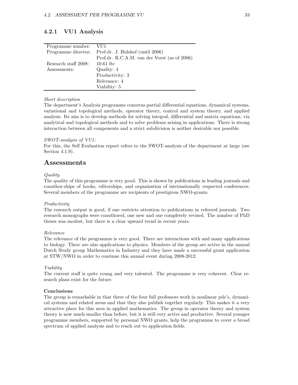| Programme number: VU1 |                                                      |
|-----------------------|------------------------------------------------------|
|                       | Programme director: Prof.dr. J. Hulshof (until 2006) |
|                       | Prof.dr. R.C.A.M. van der Vorst (as of 2006)         |
| Research staff 2008:  | $10.61$ fte                                          |
| Assessments:          | Quality: 4                                           |
|                       | Productivity: 3                                      |
|                       | Relevance: 4                                         |
|                       | Viability: 5                                         |

#### 4.2.1 VU1 Analysis

#### Short description

The department's Analysis programme concerns partial differential equations, dynamical systems, variational and topological methods, operator theory, control and system theory, and applied analysis. Its aim is to develop methods for solving integral, differential and matrix equations, via analytical and topological methods and to solve problems arising in applications. There is strong interaction between all components and a strict subdivision is neither desirable nor possible.

#### SWOT-analysis of VU1:

For this, the Self Evaluation report refers to the SWOT-analysis of the department at large (see Section 4.1.9).

## Assessments

#### Quality

The quality of this programme is very good. This is shown by publications in leading journals and coauthor-ships of books, editorships, and organisation of internationally respected conferences. Several members of the programme are recipients of prestigious NWO-grants.

#### Productivity

The research output is good, if one restricts attention to publications in refereed journals. Two research monographs were coauthored, one new and one completely revised. The number of PhD theses was modest, but there is a clear upward trend in recent years.

#### Relevance

The relevance of the programme is very good. There are interactions with and many applications to biology. There are also applications to physics. Members of the group are active in the annual Dutch Study group Mathematics in Industry and they have made a successful grant application at STW/NWO in order to continue this annual event during 2008-2012.

#### Viability

The current staff is quite young and very talented. The programme is very coherent. Clear research plans exist for the future.

#### Conclusions

The group is remarkable in that three of the four full professors work in nonlinear pde's, dynamical systems and related areas and that they also publish together regularly. This makes it a very attractive place for this area in applied mathematics. The group in operator theory and system theory is now much smaller than before, but it is still very active and productive. Several younger programme members, supported by personal NWO grants, help the programme to cover a broad spectrum of applied analysis and to reach out to application fields.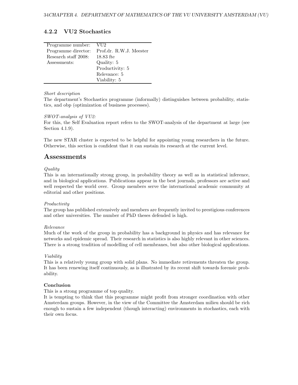| Programme number:    | VU2                     |
|----------------------|-------------------------|
| Programme director:  | Prof.dr. R.W.J. Meester |
| Research staff 2008: | 18.83 fte               |
| Assessments:         | Quality: 5              |
|                      | Productivity: 5         |
|                      | Relevance: 5            |
|                      | Viability: 5            |

# 4.2.2 VU2 Stochastics

#### Short description

The department's Stochastics programme (informally) distinguishes between probability, statistics, and obp (optimization of business processes).

#### SWOT-analysis of VU2:

For this, the Self Evaluation report refers to the SWOT-analysis of the department at large (see Section 4.1.9).

The new STAR cluster is expected to be helpful for appointing young researchers in the future. Otherwise, this section is confident that it can sustain its research at the current level.

# Assessments

#### Quality

This is an internationally strong group, in probability theory as well as in statistical inference, and in biological applications. Publications appear in the best journals, professors are active and well respected the world over. Group members serve the international academic community at editorial and other positions.

#### Productivity

The group has published extensively and members are frequently invited to prestigious conferences and other universities. The number of PhD theses defended is high.

#### Relevance

Much of the work of the group in probability has a background in physics and has relevance for networks and epidemic spread. Their research in statistics is also highly relevant in other sciences. There is a strong tradition of modelling of cell membranes, but also other biological applications.

#### Viability

This is a relatively young group with solid plans. No immediate retirements threaten the group. It has been renewing itself continuously, as is illustrated by its recent shift towards forensic probability.

#### Conclusion

This is a strong programme of top quality.

It is tempting to think that this programme might profit from stronger coordination with other Amsterdam groups. However, in the view of the Committee the Amsterdam milieu should be rich enough to sustain a few independent (though interacting) environments in stochastics, each with their own focus.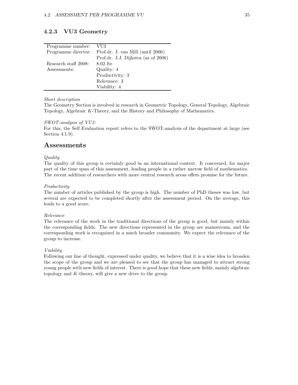# 4.2.3 VU3 Geometry

| Programme number:    | VU3                                                   |
|----------------------|-------------------------------------------------------|
|                      | Programme director: Prof.dr. J. van Mill (until 2006) |
|                      | Prof.dr. J.J. Dijkstra (as of 2006)                   |
| Research staff 2008: | $8.02$ fte                                            |
| Assessments:         | Quality: 4                                            |
|                      | Productivity: 3                                       |
|                      | Relevance: 3                                          |
|                      | Viability: 4                                          |

#### Short description

The Geometry Section is involved in research in Geometric Topology, General Topology, Algebraic Topology, Algebraic K-Theory, and the History and Philosophy of Mathematics.

#### SWOT-analysis of VU3:

For this, the Self Evaluation report refers to the SWOT-analysis of the department at large (see Section 4.1.9).

## Assessments

#### Quality

The quality of this group is certainly good in an international context. It concerned, for major part of the time span of this assessment, leading people in a rather narrow field of mathematics. The recent addition of researchers with more central research areas offers promise for the future.

#### Productivity

The number of articles published by the group is high. The number of PhD theses was low, but several are expected to be completed shortly after the assessment period. On the average, this leads to a good score.

#### Relevance

The relevance of the work in the traditional directions of the group is good, but mainly within the corresponding fields. The new directions represented in the group are mainstream, and the corresponding work is recognized in a much broader community. We expect the relevance of the group to increase.

#### Viability

Following our line of thought, expressed under quality, we believe that it is a wise idea to broaden the scope of the group and we are pleased to see that the group has managed to attract strong young people with new fields of interest. There is good hope that these new fields, mainly algebraic topology and K-theory, will give a new drive to the group.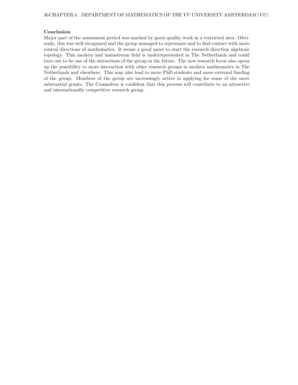#### Conclusion

Major part of the assessment period was marked by good quality work in a restricted area. Obviously, this was well recognized and the group managed to rejuvenate and to find contact with more central directions of mathematics. It seems a good move to start the research direction algebraic topology. This modern and mainstream field is underrepresented in The Netherlands and could turn out to be one of the attractions of the group in the future. The new research focus also opens up the possibility to more interaction with other research groups in modern mathematics in The Netherlands and elsewhere. This may also lead to more PhD students and more external funding of the group. Members of the group are increasingly active in applying for some of the more substantial grants. The Committee is confident that this process will contribute to an attractive and internationally competitive research group.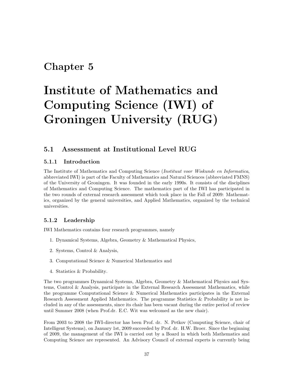## Chapter 5

# Institute of Mathematics and Computing Science (IWI) of Groningen University (RUG)

### 5.1 Assessment at Institutional Level RUG

### 5.1.1 Introduction

The Institute of Mathematics and Computing Science (Instituut voor Wiskunde en Informatica, abbreviated IWI) is part of the Faculty of Mathematics and Natural Sciences (abbreviated FMNS) of the University of Groningen. It was founded in the early 1990s. It consists of the disciplines of Mathematics and Computing Science. The mathematics part of the IWI has participated in the two rounds of external research assessment which took place in the Fall of 2009: Mathematics, organized by the general universities, and Applied Mathematics, organized by the technical universities.

### 5.1.2 Leadership

IWI Mathematics contains four research programmes, namely

- 1. Dynamical Systems, Algebra, Geometry & Mathematical Physics,
- 2. Systems, Control & Analysis,
- 3. Computational Science & Numerical Mathematics and
- 4. Statistics & Probability.

The two programmes Dynamical Systems, Algebra, Geometry & Mathematical Physics and Systems, Control & Analysis, participate in the External Research Assessment Mathematics, while the programme Computational Science & Numerical Mathematics participates in the External Research Assessment Applied Mathematics. The programme Statistics & Probability is not included in any of the assessments, since its chair has been vacant during the entire period of review until Summer 2008 (when Prof.dr. E.C. Wit was welcomed as the new chair).

From 2003 to 2008 the IWI-director has been Prof. dr. N. Petkov (Computing Science, chair of Intelligent Systems), on January 1st, 2009 succeeded by Prof. dr. H.W. Broer. Since the beginning of 2009, the management of the IWI is carried out by a Board in which both Mathematics and Computing Science are represented. An Advisory Council of external experts is currently being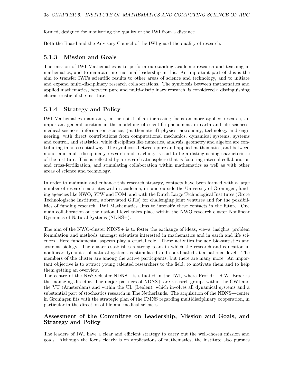formed, designed for monitoring the quality of the IWI from a distance.

Both the Board and the Advisory Council of the IWI guard the quality of research.

### 5.1.3 Mission and Goals

The mission of IWI Mathematics is to perform outstanding academic research and teaching in mathematics, and to maintain international leadership in this. An important part of this is the aim to transfer IWI's scientific results to other areas of science and technology, and to initiate and expand multi-disciplinary research collaborations. The symbiosis between mathematics and applied mathematics, between pure and multi-disciplinary research, is considered a distinguishing characteristic of the institute.

### 5.1.4 Strategy and Policy

IWI Mathematics maintains, in the spirit of an increasing focus on more applied research, an important general position in the modelling of scientific phenomena in earth and life sciences, medical sciences, information science, (mathematical) physics, astronomy, technology and engineering, with direct contributions from computational mechanics, dynamical systems, systems and control, and statistics, while disciplines like numerics, analysis, geometry and algebra are contributing in an essential way. The symbiosis between pure and applied mathematics, and between mono- and multi-disciplinary research and teaching, is said to be a distinguishing characteristic of the institute. This is reflected by a research atmosphere that is fostering internal collaboration and cross-fertilization, and stimulating collaboration within mathematics as well as with other areas of science and technology.

In order to maintain and enhance this research strategy, contacts have been formed with a large number of research institutes within academia, in- and outside the University of Groningen, funding agencies like NWO, STW and FOM, and with the Dutch Large Technological Institutes (Grote Technologische Instituten, abbreviated GTIs) for challenging joint ventures and for the possibilities of funding research. IWI Mathematics aims to intensify these contacts in the future. One main collaboration on the national level takes place within the NWO research cluster Nonlinear Dynamics of Natural Systems (NDNS+).

The aim of the NWO-cluster NDNS+ is to foster the exchange of ideas, views, insights, problem formulation and methods amongst scientists interested in mathematics and in earth and life sciences. Here fundamental aspects play a crucial role. These activities include bio-statistics and systems biology. The cluster establishes a strong team in which the research and education in nonlinear dynamics of natural systems is stimulated and coordinated at a national level. The members of the cluster are among the active participants, but there are many more. An important objective is to attract young talented researchers to the field, to motivate them and to help them getting an overview.

The centre of the NWO-cluster NDNS+ is situated in the IWI, where Prof dr. H.W. Broer is the managing director. The major partners of NDNS+ are research groups within the CWI and the VU (Amsterdam) and within the UL (Leiden), which involves all dynamical systems and a substantial part of stochastics research in The Netherlands. The acquisition of the NDNS+-center in Groningen fits with the strategic plan of the FMNS regarding multidisciplinary cooperation, in particular in the direction of life and medical sciences.

### Assessment of the Committee on Leadership, Mission and Goals, and Strategy and Policy

The leaders of IWI have a clear and efficient strategy to carry out the well-chosen mission and goals. Although the focus clearly is on applications of mathematics, the institute also pursues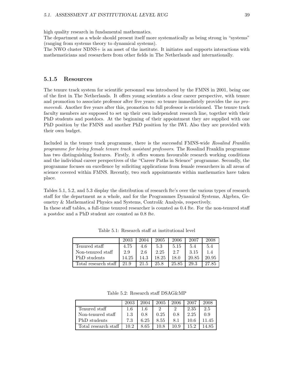high quality research in fundamental mathematics.

The department as a whole should present itself more systematically as being strong in "systems" (ranging from systems theory to dynamical systems).

The NWO cluster NDNS+ is an asset of the institute. It initiates and supports interactions with mathematicians and researchers from other fields in The Netherlands and internationally.

#### 5.1.5 Resources

The tenure track system for scientific personnel was introduced by the FMNS in 2001, being one of the first in The Netherlands. It offers young scientists a clear career perspective, with tenure and promotion to associate professor after five years: so tenure immediately provides the *ius pro*movendi. Another five years after this, promotion to full professor is envisioned. The tenure track faculty members are supposed to set up their own independent research line, together with their PhD students and postdocs. At the beginning of their appointment they are supplied with one PhD position by the FMNS and another PhD position by the IWI. Also they are provided with their own budget.

Included in the tenure track programme, there is the successful FMNS-wide Rosalind Franklin programme for hiring female tenure track assistant professors. The Rosalind Franklin programme has two distinguishing features. Firstly, it offers women favourable research working conditions and the individual career perspectives of the "Career Paths in Science" programme. Secondly, the programme focuses on excellence by soliciting applications from female researchers in all areas of science covered within FMNS. Recently, two such appointments within mathematics have taken place.

Tables 5.1, 5.2, and 5.3 display the distribution of research fte's over the various types of research staff for the department as a whole, and for the Programmes Dynamical Systems, Algebra, Geometry & Mathematical Physics and Systems, Control& Analysis, respectively.

In these staff tables, a full-time tenured researcher is counted as 0.4 fte. For the non-tenured staff a postdoc and a PhD student are counted as 0.8 fte.

|                      | 2003  | 2004 | 2005  | 2006  | 2007  | 2008  |
|----------------------|-------|------|-------|-------|-------|-------|
| Tenured staff        | 4.75  | 4.6  | 5.3   | 5.15  | 5.4   | 5.4   |
| Non-tenured staff    | 2.9   | 2.6  | 2.25  | 2.7   | 3.15  | 1.4   |
| PhD students         | 14.25 | 14.3 | 18.25 | 18.0  | 20.85 | 20.95 |
| Total research staff | 21.9  | 21.5 | 25.8  | 25.85 | 29.3  | 27.85 |

Table 5.1: Research staff at institutional level

Table 5.2: Research staff DSAG&MP

|                      | 2003    | 2004 | 2005     | 2006 | 2007 | 2008 |
|----------------------|---------|------|----------|------|------|------|
| Tenured staff        | 1.6     | 16   | $\Omega$ |      | 2.35 | 2.5  |
| Non-tenured staff    | $1.3\,$ | 0.8  | 0.25     | 0.8  | 2.25 | 0.9  |
| PhD students         | 7.3     | 6.25 | 8.55     | 8.1  | 10.6 |      |
| Total research staff | 10.2    | 8.65 | 10.8     | 10.9 | 15.2 |      |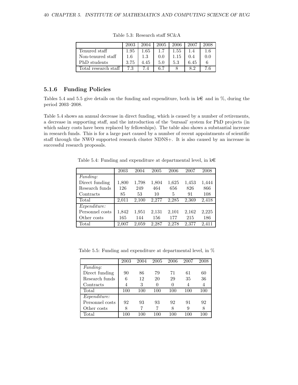|                      | 2003 | 2004 | 2005  | 2006 | 2007 | 2008 |
|----------------------|------|------|-------|------|------|------|
| Tenured staff        | 1.95 | 1.65 | 1.7   | 1.55 |      | 1.6  |
| Non-tenured staff    | 1.6  | 1.3  | (0.0) | 1.15 | 0.4  | 0.0  |
| PhD students         | 3.75 | 4.45 | 5.0   | 5.3  | 6.45 |      |
| Total research staff | 7.3  |      | 6.7   |      |      |      |

Table 5.3: Research staff SC&A

### 5.1.6 Funding Policies

Tables 5.4 and 5.5 give details on the funding and expenditure, both in  $k\epsilon$  and in %, during the period 2003–2008.

Table 5.4 shows an annual decrease in direct funding, which is caused by a number of retirements, a decrease in supporting staff, and the introduction of the 'bursaal' system for PhD projects (in which salary costs have been replaced by fellowships). The table also shows a substantial increase in research funds. This is for a large part caused by a number of recent appointments of scientific staff through the NWO supported research cluster NDNS+. It is also caused by an increase in successful research proposals.

Table 5.4: Funding and expenditure at departmental level, in  $k\in$ 

|                 | 2003  | 2004  | 2005  | 2006  | 2007  | 2008  |
|-----------------|-------|-------|-------|-------|-------|-------|
| <i>Funding:</i> |       |       |       |       |       |       |
| Direct funding  | 1,800 | 1,798 | 1,804 | 1,625 | 1,453 | 1,444 |
| Research funds  | 126   | 249   | 464   | 656   | 826   | 866   |
| Contracts       | 85    | 53    | 10    | 5     | 91    | 108   |
| Total           | 2.011 | 2,100 | 2.277 | 2,285 | 2,369 | 2,418 |
| Expenditure:    |       |       |       |       |       |       |
| Personnel costs | 1,842 | 1,951 | 2,131 | 2,101 | 2,162 | 2,225 |
| Other costs     | 165   | 144   | 156   | 177   | 215   | 186   |
| Total           | 2,007 | 2,059 | 2.287 | 2.278 | 2,377 | 2.411 |

Table 5.5: Funding and expenditure at departmental level, in %

|                 | 2003 | 2004 | 2005 | 2006 | 2007 | 2008 |
|-----------------|------|------|------|------|------|------|
| Funding:        |      |      |      |      |      |      |
| Direct funding  | 90   | 86   | 79   | 71   | 61   | 60   |
| Research funds  | 6    | 12   | 20   | 29   | 35   | 36   |
| Contracts       | 4    | 3    |      | 0    |      | 4    |
| Total           | 100  | 100  | 100  | 100  | 100  | 100  |
| Expenditure:    |      |      |      |      |      |      |
| Personnel costs | 92   | 93   | 93   | 92   | 91   | 92   |
| Other costs     | 8    | ד    |      | 8    | 9    | 8    |
| Total           | 100  | 100  | 100  | 100  | 100  | 100  |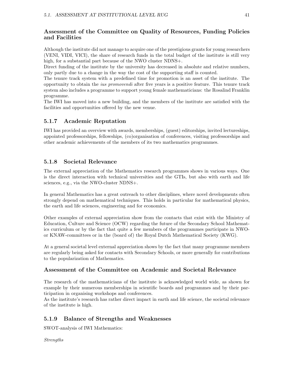### Assessment of the Committee on Quality of Resources, Funding Policies and Facilities

Although the institute did not manage to acquire one of the prestigious grants for young researchers (VENI, VIDI, VICI), the share of research funds in the total budget of the institute is still very high, for a substantial part because of the NWO cluster NDNS+.

Direct funding of the institute by the university has decreased in absolute and relative numbers, only partly due to a change in the way the cost of the supporting staff is counted.

The tenure track system with a predefined time for promotion is an asset of the institute. The opportunity to obtain the ius promovendi after five years is a positive feature. This tenure track system also includes a programme to support young female mathematicians: the Rosalind Franklin programme.

The IWI has moved into a new building, and the members of the institute are satisfied with the facilities and opportunities offered by the new venue.

### 5.1.7 Academic Reputation

IWI has provided an overview with awards, memberships, (guest) editorships, invited lectureships, appointed professorships, fellowships, (co)organisation of conferences, visiting professorships and other academic achievements of the members of its two mathematics programmes.

### 5.1.8 Societal Relevance

The external appreciation of the Mathematics research programmes shows in various ways. One is the direct interaction with technical universities and the GTIs, but also with earth and life sciences, e.g., via the NWO-cluster NDNS+.

In general Mathematics has a great outreach to other disciplines, where novel developments often strongly depend on mathematical techniques. This holds in particular for mathematical physics, the earth and life sciences, engineering and for economics.

Other examples of external appreciation show from the contacts that exist with the Ministry of Education, Culture and Science (OCW) regarding the future of the Secondary School Mathematics curriculum or by the fact that quite a few members of the programmes participate in NWOor KNAW-committees or in the (board of) the Royal Dutch Mathematical Society (KWG).

At a general societal level external appreciation shows by the fact that many programme members are regularly being asked for contacts with Secondary Schools, or more generally for contributions to the popularization of Mathematics.

### Assessment of the Committee on Academic and Societal Relevance

The research of the mathematicians of the institute is acknowledged world wide, as shown for example by their numerous memberships in scientific boards and programmes and by their participation in organising workshops and conferences.

As the institute's research has rather direct impact in earth and life science, the societal relevance of the institute is high.

### 5.1.9 Balance of Strengths and Weaknesses

SWOT-analysis of IWI Mathematics:

Strengths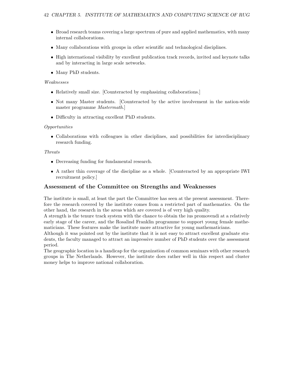- Broad research teams covering a large spectrum of pure and applied mathematics, with many internal collaborations.
- Many collaborations with groups in other scientific and technological disciplines.
- High international visibility by excellent publication track records, invited and keynote talks and by interacting in large scale networks.
- Many PhD students.

### Weaknesses

- Relatively small size. [Counteracted by emphasizing collaborations.]
- Not many Master students. [Counteracted by the active involvement in the nation-wide master programme Mastermath.]
- Difficulty in attracting excellent PhD students.

### Opportunities

 Collaborations with colleagues in other disciplines, and possibilities for interdisciplinary research funding.

### Threats

- Decreasing funding for fundamental research.
- A rather thin coverage of the discipline as a whole. [Counteracted by an appropriate IWI recruitment policy.]

### Assessment of the Committee on Strengths and Weaknesses

The institute is small, at least the part the Committee has seen at the present assessment. Therefore the research covered by the institute comes from a restricted part of mathematics. On the other hand, the research in the areas which are covered is of very high quality.

A strength is the tenure track system with the chance to obtain the ius promovendi at a relatively early stage of the career, and the Rosalind Franklin programme to support young female mathematicians. These features make the institute more attractive for young mathematicians.

Although it was pointed out by the institute that it is not easy to attract excellent graduate students, the faculty managed to attract an impressive number of PhD students over the assessment period.

The geographic location is a handicap for the organization of common seminars with other research groups in The Netherlands. However, the institute does rather well in this respect and cluster money helps to improve national collaboration.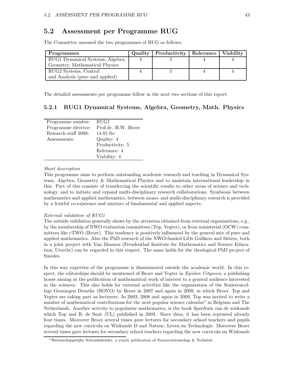### 5.2 Assessment per Programme RUG

The Committee assessed the two programmes of RUG as follows:

| Programmes                       | Quality | Productivity   Relevance | Viability |
|----------------------------------|---------|--------------------------|-----------|
| RUG1 Dynamical Systems, Algebra, |         |                          |           |
| Geometry, Mathematical Physics   |         |                          |           |
| RUG2 Systems, Control            |         |                          |           |
| and Analysis (pure and applied)  |         |                          |           |

The detailed assessments per programme follow in the next two sections of this report.

### 5.2.1 RUG1 Dynamical Systems, Algebra, Geometry, Math. Physics

| Programme number:    | RUG1                |
|----------------------|---------------------|
| Programme director:  | Prof.dr. H.W. Broer |
| Research staff 2008: | $14.85$ fte         |
| Assessments:         | Quality: 4          |
|                      | Productivity: 5     |
|                      | Relevance: 4        |
|                      | Viability: 4        |

### Short description

This programme aims to perform outstanding academic research and teaching in Dynamical Systems, Algebra, Geometry & Mathematical Physics and to maintain international leadership in this. Part of this consists of transferring the scientific results to other areas of science and technology, and to initiate and expand multi-disciplinary research collaborations. Symbiosis between mathematics and applied mathematics, between mono- and multi-disciplinary research is provided by a fruitful co-existence and mixture of fundamental and applied aspects.

### External validation of RUG1

The outside validation generally shows by the attention obtained from external organisations, e.g., by the membership of NWO evaluation committees (Top, Vegter), or from ministerial (OCW) committees like cTWO (Broer). This tendency is positively influenced by the general mix of pure and applied mathematics. Also the PhD research of the NWO-funded LiOs Gulikers and Sitters, both in a joint project with Van Maanen (Freudenthal Institute for Mathematics and Science Education, Utrecht) can be regarded in this respect. The same holds for the theological PhD project of Smedes.

In this way expertise of the programme is disseminated outside the academic world. In this respect, the editorships should be mentioned of Broer and Vegter in *Epsilon Uitgaven*, a publishing house aiming at the publication of mathematical work of interest to a general audience interested in the sciences. This also holds for external activities like the organization of the Seniorencollege Groningen Drenthe (HOVO) by Broer in 2007 and again in 2009, in which Broer, Top and Vegter are taking part as lecturers. In 2003, 2008 and again in 2009, Top was invited to write a number of mathematical contributions for the next popular science calendar<sup>1</sup> in Belgium and The Netherlands. Another activity to popularise mathematics, is the book Speeltuin van de wiskunde which Top and B. de Smit (UL) published in 2003. Since then, it has been reprinted already four times. Moreover Broer several times gave lectures for secondary school teachers and pupils regarding the new curricula on Wiskunde D and Natuur, Leven en Technologie. Moreover Broer several times gave lectures for secondary school teachers regarding the new curricula on Wiskunde

<sup>&</sup>lt;sup>1</sup>Wetenschappelijke Scheurkalender, a yearly publication of Natuurwetenschap & Techniek.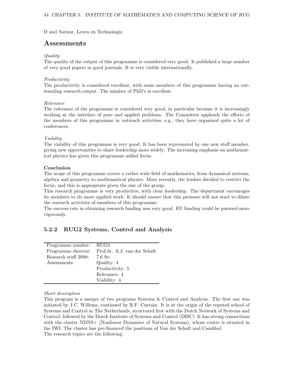D and Natuur, Leven en Technologie.

### Assessments

#### Quality

The quality of the output of this programme is considered very good. It published a large number of very good papers in good journals. It is very visible internationally.

#### Productivity

The productivity is considered excellent, with some members of this programme having an outstanding research output. The number of PhD's is excellent.

#### Relevance

The relevance of the programme is considered very good, in particular because it is increasingly working at the interface of pure and applied problems. The Committee applauds the efforts of the members of this programme in outreach activities, e.g., they have organized quite a lot of conferences.

#### Viability

The viability of this programme is very good. It has been rejuvenated by one new staff member, giving new opportunities to share leadership more widely. The increasing emphasis on mathematical physics has given this programme added focus.

#### Conclusion

The scope of this programme covers a rather wide field of mathematics, from dynamical systems, algebra and geometry to mathematical physics. More recently, the leaders decided to restrict the focus, and this is appropriate given the size of the group.

This research programme is very productive, with clear leadership. The department encourages its members to do more applied work. It should ensure that this pressure will not start to dilute the research activities of members of this programme.

The success rate in obtaining research funding was very good. EU funding could be pursued more vigorously.

### 5.2.2 RUG2 Systems, Control and Analysis

| Programme number: RUG2 |                                                  |
|------------------------|--------------------------------------------------|
|                        | Programme director: Prof.dr. A.J. van der Schaft |
| Research staff 2008:   | - 7.6 fte                                        |
| Assessments:           | Quality: 4                                       |
|                        | Productivity: 5                                  |
|                        | Relevance: 4                                     |
|                        | Viability: 4                                     |

### Short description

This program is a merger of two programs Systems & Control and Analysis. The first one was initiated by J.C. Willems, continued by R.F. Curtain. It is at the origin of the reputed school of Systems and Control in The Netherlands, structured first with the Dutch Network of Systems and Control, followed by the Dutch Institute of Systems and Control (DISC). It has strong connections with the cluster NDNS+ (Nonlinear Dynamics of Natural Systems), whose centre is situated in the IWI. The cluster has pre-financed the positions of Van der Schaft and Camlibel. The research topics are the following: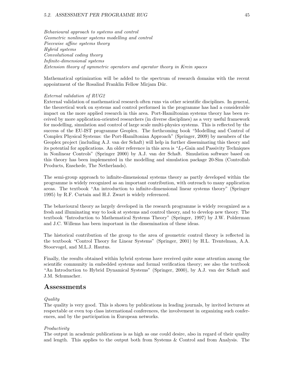#### 5.2. ASSESSMENT PER PROGRAMME RUG 45

Behavioural approach to systems and control Geometric nonlinear systems modelling and control Piecewise affine systems theory Hybrid systems Convolutional coding theory Infinite-dimensional systems Extension theory of symmetric operators and operator theory in Krein spaces

Mathematical optimization will be added to the spectrum of research domains with the recent appointment of the Rosalind Franklin Fellow Mirjam Dür.

#### External validation of RUG2

External validation of mathematical research often runs via other scientific disciplines. In general, the theoretical work on systems and control performed in the programme has had a considerable impact on the more applied research in this area. Port-Hamiltonian systems theory has been received by more application-oriented researchers (in diverse disciplines) as a very useful framework for modelling, simulation and control of large scale multi-physics systems. This is reflected by the success of the EU-IST programme Geoplex. The forthcoming book "Modelling and Control of Complex Physical Systems: the Port-Hamiltonian Approach" (Springer, 2009) by members of the Geoplex project (including A.J. van der Schaft) will help in further disseminating this theory and its potential for applications. An older reference in this area is " $L_2$ -Gain and Passivity Techniques in Nonlinear Controls" (Springer 2000) by A.J. van der Schaft. Simulation software based on this theory has been implemented in the modelling and simulation package 20-Sim (Controllab Products, Enschede, The Netherlands).

The semi-group approach to infinite-dimensional systems theory as partly developed within the programme is widely recognized as an important contribution, with outreach to many application areas. The textbook "An introduction to infinite-dimensional linear systems theory" (Springer 1995) by R.F. Curtain and H.J. Zwart is widely referenced.

The behavioural theory as largely developed in the research programme is widely recognized as a fresh and illuminating way to look at systems and control theory, and to develop new theory. The textbook "Introduction to Mathematical Systems Theory" (Springer, 1997) by J.W. Polderman and J.C. Willems has been important in the dissemination of these ideas.

The historical contribution of the group to the area of geometric control theory is reflected in the textbook "Control Theory for Linear Systems" (Springer, 2001) by H.L. Trentelman, A.A. Stoorvogel, and M.L.J. Hautus.

Finally, the results obtained within hybrid systems have received quite some attention among the scientific community in embedded systems and formal verification theory; see also the textbook "An Introduction to Hybrid Dynamical Systems" (Springer, 2000), by A.J. van der Schaft and J.M. Schumacher.

### Assessments

#### Quality

The quality is very good. This is shown by publications in leading journals, by invited lectures at respectable or even top class international conferences, the involvement in organizing such conferences, and by the participation in European networks.

#### Productivity

The output in academic publications is as high as one could desire, also in regard of their quality and length. This applies to the output both from Systems & Control and from Analysis. The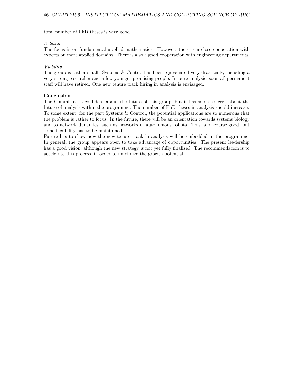total number of PhD theses is very good.

#### Relevance

The focus is on fundamental applied mathematics. However, there is a close cooperation with experts on more applied domains. There is also a good cooperation with engineering departments.

#### Viability

The group is rather small. Systems & Control has been rejuvenated very drastically, including a very strong researcher and a few younger promising people. In pure analysis, soon all permanent staff will have retired. One new tenure track hiring in analysis is envisaged.

### Conclusion

The Committee is confident about the future of this group, but it has some concern about the future of analysis within the programme. The number of PhD theses in analysis should increase. To some extent, for the part Systems & Control, the potential applications are so numerous that the problem is rather to focus. In the future, there will be an orientation towards systems biology and to network dynamics, such as networks of autonomous robots. This is of course good, but some flexibility has to be maintained.

Future has to show how the new tenure track in analysis will be embedded in the programme. In general, the group appears open to take advantage of opportunities. The present leadership has a good vision, although the new strategy is not yet fully finalized. The recommendation is to accelerate this process, in order to maximize the growth potential.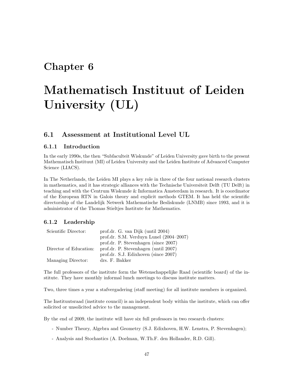## Chapter 6

# Mathematisch Instituut of Leiden University (UL)

### 6.1 Assessment at Institutional Level UL

### 6.1.1 Introduction

In the early 1990s, the then "Subfaculteit Wiskunde" of Leiden University gave birth to the present Mathematisch Instituut (MI) of Leiden University and the Leiden Institute of Advanced Computer Science (LIACS).

In The Netherlands, the Leiden MI plays a key role in three of the four national research clusters in mathematics, and it has strategic alliances with the Technische Universiteit Delft (TU Delft) in teaching and with the Centrum Wiskunde & Informatica Amsterdam in research. It is coordinator of the European RTN in Galois theory and explicit methods GTEM. It has held the scientific directorship of the Landelijk Netwerk Mathematische Besliskunde (LNMB) since 1993, and it is administrator of the Thomas Stieltjes Institute for Mathematics.

### 6.1.2 Leadership

| Scientific Director:   | prof.dr. G. van Dijk (until 2004)         |
|------------------------|-------------------------------------------|
|                        | prof.dr. S.M. Verduyn Lunel $(2004-2007)$ |
|                        | prof.dr. P. Stevenhagen (since 2007)      |
| Director of Education: | prof.dr. P. Stevenhagen (until 2007)      |
|                        | prof.dr. S.J. Edixhoven (since 2007)      |
| Managing Director:     | drs. F. Bakker                            |

The full professors of the institute form the Wetenschappelijke Raad (scientific board) of the institute. They have monthly informal lunch meetings to discuss institute matters.

Two, three times a year a stafvergadering (staff meeting) for all institute members is organized.

The Instituutsraad (institute council) is an independent body within the institute, which can offer solicited or unsolicited advice to the management.

By the end of 2009, the institute will have six full professors in two research clusters:

- Number Theory, Algebra and Geometry (S.J. Edixhoven, H.W. Lenstra, P. Stevenhagen);
- Analysis and Stochastics (A. Doelman, W.Th.F. den Hollander, R.D. Gill).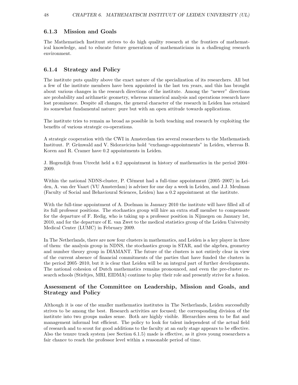48 CHAPTER 6. MATHEMATISCH INSTITUUT OF LEIDEN UNIVERSITY (UL)

### 6.1.3 Mission and Goals

The Mathematisch Instituut strives to do high quality research at the frontiers of mathematical knowledge, and to educate future generations of mathematicians in a challenging research environment.

### 6.1.4 Strategy and Policy

The institute puts quality above the exact nature of the specialization of its researchers. All but a few of the institute members have been appointed in the last ten years, and this has brought about various changes in the research directions of the institute. Among the "newer" directions are probability and arithmetic geometry, whereas numerical analysis and operations research have lost prominence. Despite all changes, the general character of the research in Leiden has retained its somewhat fundamental nature: pure but with an open attitude towards applications.

The institute tries to remain as broad as possible in both teaching and research by exploiting the benefits of various strategic co-operations.

A strategic cooperation with the CWI in Amsterdam ties several researchers to the Mathematisch Instituut. P. Grünwald and V. Sidoravicius hold "exchange-appointments" in Leiden, whereas B. Koren and R. Cramer have 0.2 appointments in Leiden.

J. Hogendijk from Utrecht held a 0.2 appointment in history of mathematics in the period 2004– 2009.

Within the national NDNS-cluster, P. Clément had a full-time appointment  $(2005-2007)$  in Leiden, A. van der Vaart (VU Amsterdam) is adviser for one day a week in Leiden, and J.J. Meulman (Faculty of Social and Behavioural Sciences, Leiden) has a 0.2 appointment at the institute.

With the full-time appointment of A. Doelman in January 2010 the institute will have filled all of its full professor positions. The stochastics group will hire an extra staff member to compensate for the departure of F. Redig, who is taking up a professor position in Nijmegen on January 1st, 2010, and for the departure of E. van Zwet to the medical statistics group of the Leiden University Medical Center (LUMC) in February 2009.

In The Netherlands, there are now four clusters in mathematics, and Leiden is a key player in three of them: the analysis group in NDNS, the stochastics group in STAR, and the algebra, geometry and number theory group in DIAMANT. The future of the clusters is not entirely clear in view of the current absence of financial commitments of the parties that have funded the clusters in the period 2005–2010, but it is clear that Leiden will be an integral part of further developments. The national cohesion of Dutch mathematics remains pronounced, and even the pre-cluster research schools (Stieltjes, MRI, EIDMA) continue to play their role and presently strive for a fusion.

### Assessment of the Committee on Leadership, Mission and Goals, and Strategy and Policy

Although it is one of the smaller mathematics institutes in The Netherlands, Leiden successfully strives to be among the best. Research activities are focused; the corresponding division of the institute into two groups makes sense. Both are highly visible. Hierarchies seem to be flat and management informal but efficient. The policy to look for talent independent of the actual field of research and to scout for good additions to the faculty at an early stage appears to be effective. Also the tenure track system (see Section 6.1.5) made is effective, as it gives young researchers a fair chance to reach the professor level within a reasonable period of time.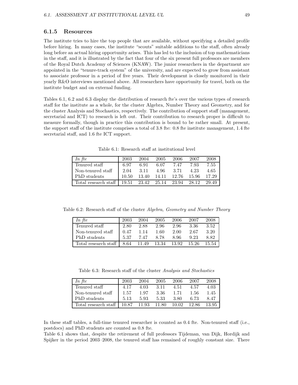### 6.1.5 Resources

The institute tries to hire the top people that are available, without specifying a detailed profile before hiring. In many cases, the institute "scouts" suitable additions to the staff, often already long before an actual hiring opportunity arises. This has led to the inclusion of top mathematicians in the staff, and it is illustrated by the fact that four of the six present full professors are members of the Royal Dutch Academy of Sciences (KNAW). The junior researchers in the department are appointed in the "tenure-track system" of the university, and are expected to grow from assistant to associate professor in a period of five years. Their development is closely monitored in their yearly R&O interviews mentioned above. All researchers have opportunity for travel, both on the institute budget and on external funding.

Tables 6.1, 6.2 and 6.3 display the distribution of research fte's over the various types of research staff for the institute as a whole, for the cluster Algebra, Number Theory and Geometry, and for the cluster Analysis and Stochastics, respectively. The contribution of support staff (management, secretarial and ICT) to research is left out. Their contribution to research proper is difficult to measure formally, though in practice this contribution is bound to be rather small. At present, the support staff of the institute comprises a total of 3.8 fte: 0.8 fte institute management, 1.4 fte secretarial staff, and 1.6 fte ICT support.

| $\ln$ fte                                                            | 2003  | 2004  | 2005 | -2006                         | 2007 | 2008 |
|----------------------------------------------------------------------|-------|-------|------|-------------------------------|------|------|
| Tenured staff                                                        | 6.97  | 6.91  |      | 6.07 7.47                     | 7.93 | 7.55 |
| Non-tenured staff                                                    | 2.04  | -3.11 |      | 4.96 3.71                     | 4.23 | 4.65 |
| PhD students                                                         | 10.50 |       |      | 13.40 14.11 12.76 15.96 17.29 |      |      |
| Total research staff   19.51   23.42   25.14   23.94   28.12   29.49 |       |       |      |                               |      |      |

Table 6.1: Research staff at institutional level

Table 6.2: Research staff of the cluster Algebra, Geometry and Number Theory

| In fte                                              | -2003 | 2004 | 2005 | 2006 | 2007 | 2008    |
|-----------------------------------------------------|-------|------|------|------|------|---------|
| Tenured staff                                       | 2.80  | 2.88 | 2.96 | 2.96 | 3.36 | 3.52    |
| Non-tenured staff                                   | 0.47  | 1.14 | 1.60 | 2.00 | 2.67 | 3.20    |
| PhD students                                        | 5.37  | 7.47 | 8.78 | 8.96 | 9.23 | 8.82    |
| Total research staff   8.64 11.49 13.34 13.92 15.26 |       |      |      |      |      | 15.54 l |

Table 6.3: Research staff of the cluster Analysis and Stochastics

| In fte                                                     | 2003 | 2004 | 2005   | 2006 | 2007 | 2008 |
|------------------------------------------------------------|------|------|--------|------|------|------|
| Tenured staff                                              | 4.17 | 4.03 | - 3.11 | 4.51 | 4.57 | 4.03 |
| Non-tenured staff                                          | 1.57 | 1.97 | 3.36   | 1.71 | 1.56 | 1.45 |
| PhD students                                               | 5.13 | 5.93 | 5.33   | 3.80 | 6.73 | 8.47 |
| Total research staff   10.87 11.93 11.80 10.02 12.86 13.95 |      |      |        |      |      |      |

In these staff tables, a full-time tenured researcher is counted as 0.4 fte. Non-tenured staff (i.e., postdocs) and PhD students are counted as 0.8 fte.

Table 6.1 shows that, despite the retirement of full professors Tijdeman, van Dijk, Hordijk and Spijker in the period 2003–2008, the tenured staff has remained of roughly constant size. There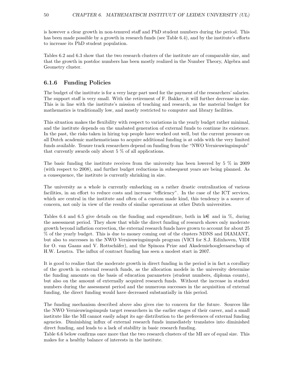is however a clear growth in non-tenured staff and PhD student numbers during the period. This has been made possible by a growth in research funds (see Table 6.4), and by the institute's efforts to increase its PhD student population.

Tables 6.2 and 6.3 show that the two research clusters of the institute are of comparable size, and that the growth in postdoc numbers has been mostly realized in the Number Theory, Algebra and Geometry cluster.

### 6.1.6 Funding Policies

The budget of the institute is for a very large part used for the payment of the researchers' salaries. The support staff is very small. With the retirement of F. Bakker, it will further decrease in size. This is in line with the institute's mission of teaching and research, as the material budget for mathematics is traditionally low, and mostly restricted to computer and library facilities.

This situation makes the flexibility with respect to variations in the yearly budget rather minimal, and the institute depends on the unabated generation of external funds to continue its existence. In the past, the risks taken in hiring top people have worked out well, but the current pressure on all Dutch academic mathematicians to acquire additional funding is at odds with the very limited funds available. Tenure track researchers depend on funding from the "NWO Vernieuwingsimpuls" that currently awards only about 5 % of all applications.

The basic funding the institute receives from the university has been lowered by 5 % in 2009 (with respect to 2008), and further budget reductions in subsequent years are being planned. As a consequence, the institute is currently shrinking in size.

The university as a whole is currently embarking on a rather drastic centralization of various facilities, in an effort to reduce costs and increase "efficiency". In the case of the ICT services, which are central in the institute and often of a custom made kind, this tendency is a source of concern, not only in view of the results of similar operations at other Dutch universities.

Tables 6.4 and 6.5 give details on the funding and expenditure, both in  $k \in \mathbb{R}$  and in  $\%$ , during the assessment period. They show that while the direct funding of research shows only moderate growth beyond inflation correction, the external research funds have grown to account for about 25 % of the yearly budget. This is due to money coming out of the clusters NDNS and DIAMANT, but also to successes in the NWO Vernieuwingsimpuls program (VICI for S.J. Edixhoven, VIDI for O. van Gaans and V. Rottschäfer), and the Spinoza Prize and Akademiehoogleraarschap of H.W. Lenstra. The influx of contract funding has seen a modest start in 2007.

It is good to realize that the moderate growth in direct funding in the period is in fact a corollary of the growth in external research funds, as the allocation models in the university determine the funding amounts on the basis of education parameters (student numbers, diploma counts), but also on the amount of externally acquired research funds. Without the increase in student numbers during the assessment period and the numerous successes in the acquisition of external funding, the direct funding would have decreased substantially in this period.

The funding mechanism described above also gives rise to concern for the future. Sources like the NWO Vernieuwingsimpuls target researchers in the earlier stages of their career, and a small institute like the MI cannot easily adapt its age distribution to the preferences of external funding agencies. Diminishing influx of external research funds immediately translates into diminished direct funding, and leads to a lack of stability in basic research funding.

Table 6.6 below confirms once more that the two research clusters of the MI are of equal size. This makes for a healthy balance of interests in the institute.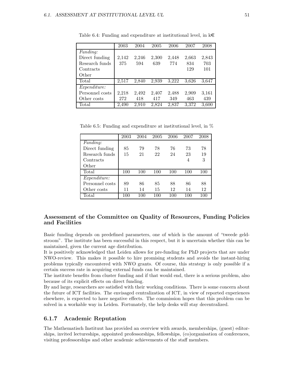|                 | 2003  | 2004  | 2005  | 2006  | 2007  | 2008  |
|-----------------|-------|-------|-------|-------|-------|-------|
| <i>Funding:</i> |       |       |       |       |       |       |
| Direct funding  | 2,142 | 2,246 | 2,300 | 2,448 | 2,663 | 2,843 |
| Research funds  | 375   | 594   | 639   | 774   | 834   | 703   |
| Contracts       |       |       |       |       | 129   | 101   |
| Other           |       |       |       |       |       |       |
| Total           | 2,517 | 2.840 | 2,939 | 3.222 | 3.626 | 3,647 |
| Expenditure:    |       |       |       |       |       |       |
| Personnel costs | 2,218 | 2,492 | 2,407 | 2,488 | 2,909 | 3.161 |
| Other costs     | 272   | 418   | 417   | 349   | 463   | 439   |
| Total           | 2,490 | 2.910 | 2,824 | 2,837 | 3,372 | 3,600 |

Table 6.4: Funding and expenditure at institutional level, in  $k\in$ 

Table 6.5: Funding and expenditure at institutional level, in %

|                     | 2003 | 2004 | 2005 | 2006 | 2007 | 2008 |
|---------------------|------|------|------|------|------|------|
| <i>Funding:</i>     |      |      |      |      |      |      |
| Direct funding      | 85   | 79   | 78   | 76   | 73   | 78   |
| Research funds      | 15   | 21   | 22   | 24   | 23   | 19   |
| Contracts           |      |      |      |      | 4    | 3    |
| Other               |      |      |      |      |      |      |
| Total               | 100  | 100  | 100  | 100  | 100  | 100  |
| <i>Expenditure:</i> |      |      |      |      |      |      |
| Personnel costs     | 89   | 86   | 85   | 88   | 86   | 88   |
| Other costs         | 11   | 14   | 15   | 12   | 14   | 12   |
| Total               | 100  | 100  | 100  | 100  | 100  | 100  |

### Assessment of the Committee on Quality of Resources, Funding Policies and Facilities

Basic funding depends on predefined parameters, one of which is the amount of "tweede geldstroom". The institute has been successful in this respect, but it is uncertain whether this can be maintained, given the current age distribution.

It is positively acknowledged that Leiden allows for pre-funding for PhD projects that are under NWO-review. This makes it possible to hire promising students and avoids the instant-hiring problems typically encountered with NWO grants. Of course, this strategy is only possible if a certain success rate in acquiring external funds can be maintained.

The institute benefits from cluster funding and if that would end, there is a serious problem, also because of its explicit effects on direct funding.

By and large, researchers are satisfied with their working conditions. There is some concern about the future of ICT facilities. The envisaged centralization of ICT, in view of reported experiences elsewhere, is expected to have negative effects. The commission hopes that this problem can be solved in a workable way in Leiden. Fortunately, the help desks will stay decentralized.

### 6.1.7 Academic Reputation

The Mathematisch Instituut has provided an overview with awards, memberships, (guest) editorships, invited lectureships, appointed professorships, fellowships, (co)organisation of conferences, visiting professorships and other academic achievements of the staff members.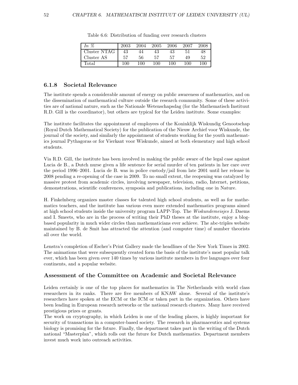| In $\%$      | 2003 | 2004 | 2005 | 2006 | 2007 | 2008 |
|--------------|------|------|------|------|------|------|
| Cluster NTAG | 43   | 44   | 43   | 43   | 51   | 48   |
| Cluster AS   | -57  | 56   | 57   | 57   | 49   | 52   |
| Total        | 100  | 100  | 100  | 100  | 100  | 100  |

Table 6.6: Distribution of funding over research clusters

### 6.1.8 Societal Relevance

The institute spends a considerable amount of energy on public awareness of mathematics, and on the dissemination of mathematical culture outside the research community. Some of these activities are of national nature, such as the Nationale Wetenschapsdag (for the Mathematisch Instituut R.D. Gill is the coordinator), but others are typical for the Leiden institute. Some examples:

The institute facilitates the appointment of employees of the Koninklijk Wiskundig Genootschap (Royal Dutch Mathematical Society) for the publication of the Nieuw Archief voor Wiskunde, the journal of the society, and similarly the appointment of students working for the youth mathematics journal Pythagoras or for Vierkant voor Wiskunde, aimed at both elementary and high school students.

Via R.D. Gill, the institute has been involved in making the public aware of the legal case against Lucia de B., a Dutch nurse given a life sentence for serial murder of ten patients in her care over the period 1996–2001. Lucia de B. was in police custody/jail from late 2001 until her release in 2008 pending a re-opening of the case in 2009. To no small extent, the reopening was catalyzed by massive protest from academic circles, involving newspaper, television, radio, Internet, petitions, demonstrations, scientific conferences, symposia and publications, including one in Nature.

H. Finkelnberg organizes master classes for talented high school students, as well as for mathematics teachers, and the institute has various even more extended mathematics programs aimed at high school students inside the university program LAPP-Top. The *Wiskundemeisjes* J. Daems and I. Smeets, who are in the process of writing their PhD theses at the institute, enjoy a blogbased popularity in much wider circles than mathematicians ever achieve. The abc-triples website maintained by B. de Smit has attracted the attention (and computer time) of number theorists all over the world.

Lenstra's completion of Escher's Print Gallery made the headlines of the New York Times in 2002. The animations that were subsequently created form the basis of the institute's most popular talk ever, which has been given over 140 times by various institute members in five languages over four continents, and a popular website.

### Assessment of the Committee on Academic and Societal Relevance

Leiden certainly is one of the top places for mathematics in The Netherlands with world class researchers in its ranks. There are five members of KNAW alone. Several of the institute's researchers have spoken at the ECM or the ICM or taken part in the organization. Others have been leading in European research networks or the national research clusters. Many have received prestigious prizes or grants.

The work on cryptography, in which Leiden is one of the leading places, is highly important for security of transactions in a computer-based society. The research in pharmaceutics and systems biology is promising for the future. Finally, the department takes part in the writing of the Dutch national "Masterplan", which rolls out the future for Dutch mathematics. Department members invest much work into outreach activities.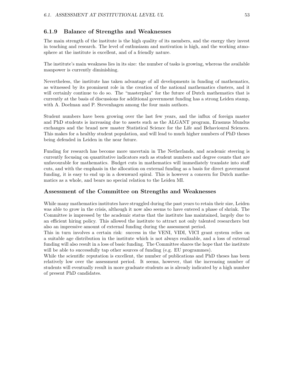### 6.1.9 Balance of Strengths and Weaknesses

The main strength of the institute is the high quality of its members, and the energy they invest in teaching and research. The level of enthusiasm and motivation is high, and the working atmosphere at the institute is excellent, and of a friendly nature.

The institute's main weakness lies in its size: the number of tasks is growing, whereas the available manpower is currently diminishing.

Nevertheless, the institute has taken advantage of all developments in funding of mathematics, as witnessed by its prominent role in the creation of the national mathematics clusters, and it will certainly continue to do so. The "masterplan" for the future of Dutch mathematics that is currently at the basis of discussions for additional government funding has a strong Leiden stamp, with A. Doelman and P. Stevenhagen among the four main authors.

Student numbers have been growing over the last few years, and the influx of foreign master and PhD students is increasing due to assets such as the ALGANT program, Erasmus Mundus exchanges and the brand new master Statistical Science for the Life and Behavioural Sciences. This makes for a healthy student population, and will lead to much higher numbers of PhD theses being defended in Leiden in the near future.

Funding for research has become more uncertain in The Netherlands, and academic steering is currently focusing on quantitative indicators such as student numbers and degree counts that are unfavourable for mathematics. Budget cuts in mathematics will immediately translate into staff cuts, and with the emphasis in the allocation on external funding as a basis for direct government funding, it is easy to end up in a downward spiral. This is however a concern for Dutch mathematics as a whole, and bears no special relation to the Leiden MI.

### Assessment of the Committee on Strengths and Weaknesses

While many mathematics institutes have struggled during the past years to retain their size, Leiden was able to grow in the crisis, although it now also seems to have entered a phase of shrink. The Committee is impressed by the academic status that the institute has maintained, largely due to an efficient hiring policy. This allowed the institute to attract not only talented researchers but also an impressive amount of external funding during the assessment period.

This in turn involves a certain risk: success in the VENI, VIDI, VICI grant system relies on a suitable age distribution in the institute which is not always realizable, and a loss of external funding will also result in a loss of basic funding. The Committee shares the hope that the institute will be able to successfully tap other sources of funding (e.g. EU programmes).

While the scientific reputation is excellent, the number of publications and PhD theses has been relatively low over the assessment period. It seems, however, that the increasing number of students will eventually result in more graduate students as is already indicated by a high number of present PhD candidates.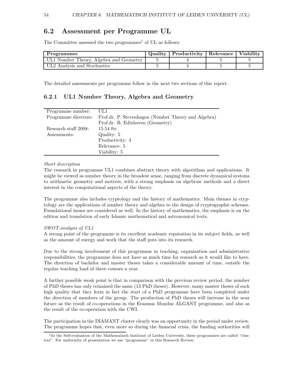54 CHAPTER 6. MATHEMATISCH INSTITUUT OF LEIDEN UNIVERSITY (UL)

### 6.2 Assessment per Programme UL

The Committee assessed the two programmes<sup>1</sup> of UL as follows:

| Programmes                              | Quality | Productivity Relevance | <b>Viability</b> |
|-----------------------------------------|---------|------------------------|------------------|
| UL1 Number Theory, Algebra and Geometry |         |                        |                  |
| UL2 Analysis and Stochastics            |         |                        |                  |

The detailed assessments per programme follow in the next two sections of this report.

|  | 6.2.1 UL1 Number Theory, Algebra and Geometry |  |  |  |  |
|--|-----------------------------------------------|--|--|--|--|
|--|-----------------------------------------------|--|--|--|--|

| Programme number:    | UL1                                                 |
|----------------------|-----------------------------------------------------|
| Programme directors: | Prof.dr. P. Stevenhagen (Number Theory and Algebra) |
|                      | Prof.dr. B. Edixhoven (Geometry)                    |
| Research staff 2008: | $15.54$ fte                                         |
| Assessments:         | Quality: 5                                          |
|                      | Productivity: 4                                     |
|                      | Relevance: 5                                        |
|                      | Viability: 5                                        |

#### Short description

The research in programme UL1 combines abstract theory with algorithms and applications. It might be viewed as number theory in the broadest sense, ranging from discrete dynamical systems to arithmetic geometry and motives, with a strong emphasis on algebraic methods and a direct interest in the computational aspects of the theory.

The programme also includes cryptology and the history of mathematics. Main themes in cryptology are the applications of number theory and algebra to the design of cryptographic schemes. Foundational issues are considered as well. In the history of mathematics, the emphasis is on the edition and translation of early Islamic mathematical and astronomical texts.

### SWOT-analysis of UL1

A strong point of the programme is its excellent academic reputation in its subject fields, as well as the amount of energy and work that the staff puts into its research.

Due to the strong involvement of this programme in teaching, organization and administrative responsibilities, the programme does not have as much time for research as it would like to have. The direction of bachelor and master theses takes a considerable amount of time, outside the regular teaching load of three courses a year.

A further possible weak point is that in comparison with the previous review period, the number of PhD theses has only remained the same (13 PhD theses). However, many master theses of such high quality that they form in fact the start of a PhD programme have been completed under the direction of members of the group. The production of PhD theses will increase in the near future as the result of co-operations in the Erasmus Mundus ALGANT programme, and also as the result of the co-operation with the CWI.

The participation in the DIAMANT cluster clearly was an opportunity in the period under review. The programme hopes that, even more so during the financial crisis, the funding authorities will

<sup>&</sup>lt;sup>1</sup>In the Self-evaluation of the Mathematisch Instituut of Leiden University, these programmes are called "clusters". For uniformity of presentation we use "programme" in this Research Review.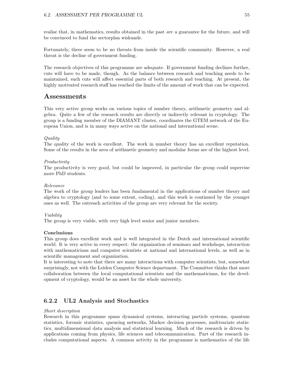realise that, in mathematics, results obtained in the past *are* a guarantee for the future, and will be convinced to fund the sectorplan wiskunde.

Fortunately, there seem to be no threats from inside the scientific community. However, a real threat is the decline of government funding.

The research objectives of this programme are adequate. If government funding declines further, cuts will have to be made, though. As the balance between research and teaching needs to be maintained, such cuts will affect essential parts of both research and teaching. At present, the highly motivated research staff has reached the limits of the amount of work that can be expected.

### Assessments

This very active group works on various topics of number theory, arithmetic geometry and algebra. Quite a few of the research results are directly or indirectly relevant in cryptology. The group is a funding member of the DIAMANT cluster, coordinates the GTEM network of the European Union, and is in many ways active on the national and international scene.

#### Quality

The quality of the work is excellent. The work in number theory has an excellent reputation. Some of the results in the area of arithmetic geometry and modular forms are of the highest level.

#### **Productivity**

The productivity is very good, but could be improved, in particular the group could supervise more PhD students.

#### Relevance

The work of the group leaders has been fundamental in the applications of number theory and algebra to cryptology (and to some extent, coding), and this work is continued by the younger ones as well. The outreach activities of the group are very relevant for the society.

#### Viability

The group is very viable, with very high level senior and junior members.

#### **Conclusions**

This group does excellent work and is well integrated in the Dutch and international scientific world. It is very active in every respect: the organization of seminars and workshops, interaction with mathematicians and computer scientists at national and international levels, as well as in scientific management and organization.

It is interesting to note that there are many interactions with computer scientists, but, somewhat surprisingly, not with the Leiden Computer Science department. The Committee thinks that more collaboration between the local computational scientists and the mathematicians, for the development of cryptology, would be an asset for the whole university.

### 6.2.2 UL2 Analysis and Stochastics

#### Short description

Research in this programme spans dynamical systems, interacting particle systems, quantum statistics, forensic statistics, queueing networks, Markov decision processes, multivariate statistics, multidimensional data analysis and statistical learning. Much of the research is driven by applications coming from physics, life sciences and telecommunication. Part of the research includes computational aspects. A common activity in the programme is mathematics of the life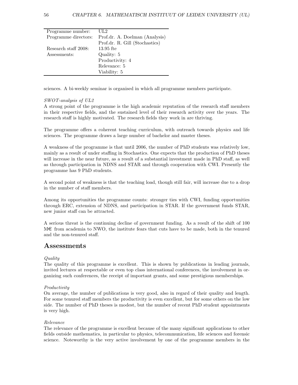| Programme number:    | UL2                            |
|----------------------|--------------------------------|
| Programme directors: | Prof.dr. A. Doelman (Analysis) |
|                      | Prof.dr. R. Gill (Stochastics) |
| Research staff 2008: | $13.95$ fte                    |
| Assessments:         | Quality: 5                     |
|                      | Productivity: 4                |
|                      | Relevance: 5                   |
|                      | Viability: 5                   |
|                      |                                |

sciences. A bi-weekly seminar is organised in which all programme members participate.

#### SWOT-analysis of UL2

A strong point of the programme is the high academic reputation of the research staff members in their respective fields, and the sustained level of their research activity over the years. The research staff is highly motivated. The research fields they work in are thriving.

The programme offers a coherent teaching curriculum, with outreach towards physics and life sciences. The programme draws a large number of bachelor and master theses.

A weakness of the programme is that until 2006, the number of PhD students was relatively low, mainly as a result of under staffing in Stochastics. One expects that the production of PhD theses will increase in the near future, as a result of a substantial investment made in PhD staff, as well as through participation in NDNS and STAR and through cooperation with CWI. Presently the programme has 9 PhD students.

A second point of weakness is that the teaching load, though still fair, will increase due to a drop in the number of staff members.

Among its opportunities the programme counts: stronger ties with CWI, funding opportunities through ERC, extension of NDNS, and participation in STAR. If the government funds STAR, new junior staff can be attracted.

A serious threat is the continuing decline of government funding. As a result of the shift of 100  $M\epsilon$  from academia to NWO, the institute fears that cuts have to be made, both in the tenured and the non-tenured staff.

### Assessments

### Quality

The quality of this programme is excellent. This is shown by publications in leading journals, invited lectures at respectable or even top class international conferences, the involvement in organizing such conferences, the receipt of important grants, and some prestigious memberships.

### Productivity

On average, the number of publications is very good, also in regard of their quality and length. For some tenured staff members the productivity is even excellent, but for some others on the low side. The number of PhD theses is modest, but the number of recent PhD student appointments is very high.

#### Relevance

The relevance of the programme is excellent because of the many significant applications to other fields outside mathematics, in particular to physics, telecommunication, life sciences and forensic science. Noteworthy is the very active involvement by one of the programme members in the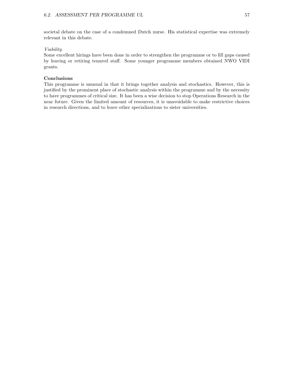societal debate on the case of a condemned Dutch nurse. His statistical expertise was extremely relevant in this debate.

#### Viability

Some excellent hirings have been done in order to strengthen the programme or to fill gaps caused by leaving or retiring tenured staff. Some younger programme members obtained NWO VIDI grants.

### Conclusions

This programme is unusual in that it brings together analysis and stochastics. However, this is justified by the prominent place of stochastic analysis within the programme and by the necessity to have programmes of critical size. It has been a wise decision to stop Operations Research in the near future. Given the limited amount of resources, it is unavoidable to make restrictive choices in research directions, and to leave other specializations to sister universities.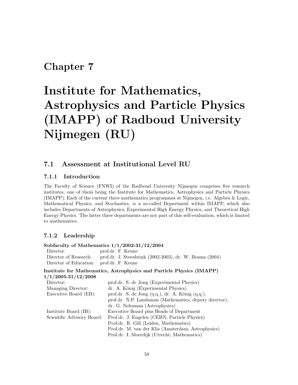## Chapter 7

# Institute for Mathematics, Astrophysics and Particle Physics (IMAPP) of Radboud University Nijmegen (RU)

### 7.1 Assessment at Institutional Level RU

### 7.1.1 Introduction

The Faculty of Science (FNWI) of the Radboud University Nijmegen comprises five research institutes, one of them being the Institute for Mathematics, Astrophysics and Particle Physics (IMAPP). Each of the current three mathematics programmes at Nijmegen, i.e. Algebra & Logic, Mathematical Physics, and Stochastics, is a so-called Department within IMAPP, which also includes Departments of Astrophysics, Experimental High Energy Physics, and Theoretical High Energy Physics. The latter three departments are not part of this self-evaluation, which is limited to mathematics.

### 7.1.2 Leadership

### Subfaculty of Mathematics 1/1/2002-31/12/2004

| Director:                  | prof.dr. F. Keune                                                    |
|----------------------------|----------------------------------------------------------------------|
| Director of Research:      | prof.dr. J. Steenbrink (2002-2003), dr. W. Bosma (2004)              |
| Director of Education:     | prof.dr. F. Keune                                                    |
|                            | Institute for Mathematics, Astrophysics and Particle Physics (IMAPP) |
| $1/1/2005 - 31/12/2008$    |                                                                      |
| Director:                  | prof.dr. S. de Jong (Experimental Physics)                           |
| Managing Director:         | dr. A. König (Experimental Physics)                                  |
| Executive Board (EB):      | prof.dr. S. de Jong $(q.q.)$ , dr. A. König $(q.q.)$ ,               |
|                            | prof.dr. N.P. Landsman (Mathematics, deputy director),               |
|                            | dr. G. Nelemans (Astrophysics)                                       |
| Institute Board (IB):      | Executive Board plus Heads of Department                             |
| Scientific Advisory Board: | Prof.dr. J. Engelen (CERN, Particle Physics)                         |
|                            | Prof.dr. R. Gill (Leiden, Mathematics)                               |
|                            | Prof.dr. M. van der Klis (Amsterdam, Astrophysics)                   |
|                            | Prof.dr. I. Moerdijk (Utrecht, Mathematics)                          |
|                            |                                                                      |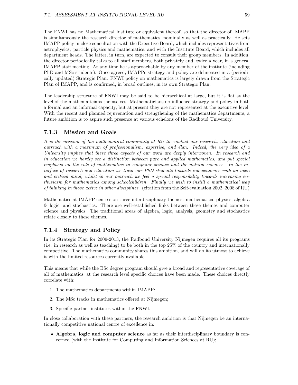The FNWI has no Mathematical Institute or equivalent thereof, so that the director of IMAPP is simultaneously the research director of mathematics, nominally as well as practically. He sets IMAPP policy in close consultation with the Executive Board, which includes representatives from astrophysics, particle physics and mathematics, and with the Institute Board, which includes all department heads. The latter, in turn, are expected to consult their group members. In addition, the director periodically talks to all staff members, both privately and, twice a year, in a general IMAPP staff meeting. At any time he is approachable by any member of the institute (including PhD and MSc students). Once agreed, IMAPPs strategy and policy are delineated in a (periodically updated) Strategic Plan. FNWI policy on mathematics is largely drawn from the Strategic Plan of IMAPP, and is confirmed, in broad outlines, in its own Strategic Plan.

The leadership structure of FNWI may be said to be hierarchical at large, but it is flat at the level of the mathematicians themselves. Mathematicians do influence strategy and policy in both a formal and an informal capacity, but at present they are not represented at the executive level. With the recent and planned rejuvenation and strengthening of the mathematics departments, a future ambition is to aspire such presence at various echelons of the Radboud University.

### 7.1.3 Mission and Goals

It is the mission of the mathematical community at RU to conduct our research, education and outreach with a maximum of professionalism, expertise, and  $\acute{e}$ dan. Indeed, the very idea of a University implies that these three aspects of our work are deeply interwoven. In research and in education we hardly see a distinction between pure and applied mathematics, and put special emphasis on the role of mathematics in computer science and the natural sciences. In the interface of research and education we train our PhD students towards independence with an open and critical mind, whilst in our outreach we feel a special responsibility towards increasing enthusiasm for mathematics among schoolchildren. Finally we wish to instill a mathematical way of thinking in those active in other disciplines. (citation from the Self-evaluation 2002–2008 of RU)

Mathematics at IMAPP centres on three interdisciplinary themes: mathematical physics, algebra & logic, and stochastics. There are well-established links between these themes and computer science and physics. The traditional areas of algebra, logic, analysis, geometry and stochastics relate closely to these themes.

### 7.1.4 Strategy and Policy

In its Strategic Plan for 2009-2013, the Radboud University Nijmegen requires all its programs (i.e. in research as well as teaching) to be both in the top 25% of the country and internationally competitive. The mathematics community shares this ambition, and will do its utmost to achieve it with the limited resources currently available.

This means that while the BSc degree program should give a broad and representative coverage of all of mathematics, at the research level specific choices have been made. These choices directly correlate with:

- 1. The mathematics departments within IMAPP;
- 2. The MSc tracks in mathematics offered at Nijmegen;
- 3. Specific partner institutes within the FNWI.

In close collaboration with these partners, the research ambition is that Nijmegen be an internationally competitive national centre of excellence in:

 Algebra, logic and computer science as far as their interdisciplinary boundary is concerned (with the Institute for Computing and Information Sciences at RU);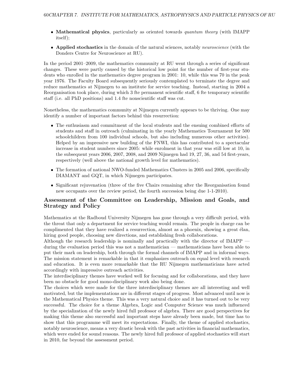- Mathematical physics, particularly as oriented towards quantum theory (with IMAPP) itself);
- Applied stochastics in the domain of the natural sciences, notably neuroscience (with the Donders Centre for Neuroscience at RU).

In the period 2001–2009, the mathematics community at RU went through a series of significant changes. These were partly caused by the historical low point for the number of first-year students who enrolled in the mathematics degree program in 2001: 10, while this was 70 in the peak year 1976. The Faculty Board subsequently seriously contemplated to terminate the degree and reduce mathematics at Nijmegen to an institute for service teaching. Instead, starting in 2004 a Reorganisation took place, during which 3 fte permanent scientific staff, 6 fte temporary scientific staff (i.e. all PhD positions) and 1.4 fte nonscientific staff was cut.

Nonetheless, the mathematics community at Nijmegen currently appears to be thriving. One may identify a number of important factors behind this resurrection:

- The enthusiasm and commitment of the local students and the ensuing combined efforts of students and staff in outreach (culminating in the yearly Mathematics Tournament for 500 schoolchildren from 100 individual schools, but also including numerous other activities). Helped by an impressive new building of the FNWI, this has contributed to a spectacular increase in student numbers since 2005: while enrolment in that year was still low at 10, in the subsequent years 2006, 2007, 2008, and 2009 Nijmegen had 19, 27, 36, and 54 first-years, respectively (well above the national growth level for mathematics).
- The formation of national NWO-funded Mathematics Clusters in 2005 and 2006, specifically DIAMANT and GQT, in which Nijmegen participates.
- Significant rejuvenation (three of the five Chairs remaining after the Reorganisation found new occupants over the review period, the fourth succession being due 1-1-2010).

### Assessment of the Committee on Leadership, Mission and Goals, and Strategy and Policy

Mathematics at the Radboud University Nijmegen has gone through a very difficult period, with the threat that only a department for service teaching would remain. The people in charge can be complimented that they have realized a resurrection, almost as a phoenix, showing a great  $\acute{e}$ lan, hiring good people, choosing new directions, and establishing fresh collaborations.

Although the research leadership is nominally and practically with the director of IMAPP  $\cdot$ during the evaluation period this was not a mathematician — mathematicians have been able to put their mark on leadership, both through the formal channels of IMAPP and in informal ways. The mission statement is remarkable in that it emphasizes outreach on equal level with research and education. It is even more remarkable that the RU Nijmegen mathematicians have acted accordingly with impressive outreach activities.

The interdisciplinary themes have worked well for focusing and for collaborations, and they have been no obstacle for good mono-disciplinary work also being done.

The choices which were made for the three interdisciplinary themes are all interesting and well motivated, but the implementations are in different stages of progress. Most advanced until now is the Mathematical Physics theme. This was a very natural choice and it has turned out to be very successful. The choice for a theme Algebra, Logic and Computer Science was much influenced by the specialization of the newly hired full professor of algebra. There are good perspectives for making this theme also successful and important steps have already been made, but time has to show that this programme will meet its expectations. Finally, the theme of applied stochastics, notably neuroscience, means a very drastic break with the past activities in financial mathematics, which were ended for sound reasons. The newly hired full professor of applied stochastics will start in 2010, far beyond the assessment period.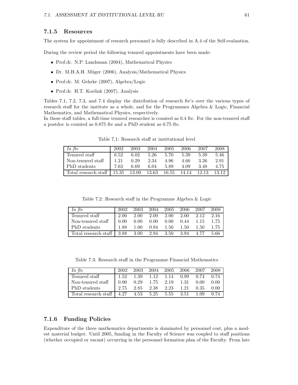### 7.1.5 Resources

The system for appointment of research personnel is fully described in A.4 of the Self-evaluation.

During the review period the following tenured appointments have been made:

- Prof.dr. N.P. Landsman (2004), Mathematical Physics
- Dr. M.H.A.H. Müger (2006), Analysis/Mathematical Physics
- Prof.dr. M. Gehrke (2007), Algebra/Logic
- Prof.dr. H.T. Koelink (2007), Analysis

Tables 7.1, 7.2, 7.3, and 7.4 display the distribution of research fte's over the various types of research staff for the institute as a whole, and for the Programmes Algebra & Logic, Financial Mathematics, and Mathematical Physics, respectively.

In these staff tables, a full-time tenured researcher is counted as 0.4 fte. For the non-tenured staff a postdoc is counted as 0.875 fte and a PhD student as 0.75 fte.

| In $fte$                                                                           | 2002 | 2003 | 2004 | 2005 | 2006 | 2007 | 2008 |
|------------------------------------------------------------------------------------|------|------|------|------|------|------|------|
| Tenured staff                                                                      | 6.52 | 6.02 | 5.26 | 5.70 | 5.39 | 5.39 | 5.46 |
| Non-tenured staff                                                                  | 1.21 | 0.29 | 2.34 | 4.96 | 4.66 | 3.26 | 2.91 |
| PhD students                                                                       | 7.63 | 6.69 | 6.04 | 5.89 | 4.09 | 3.48 | 4.75 |
| Total research staff   15.35    13.00    13.63    16.55    14.14    12.13    13.12 |      |      |      |      |      |      |      |

Table 7.1: Research staff at institutional level

Table 7.2: Research staff in the Programme Algebra & Logic

| In fte                                 | 2002 | 2003 |                   | 2004 2005   | -- 2006 | - 2007 | 2008 |
|----------------------------------------|------|------|-------------------|-------------|---------|--------|------|
| Tenured staff                          | 2.00 | 2.00 | $2.00 \quad 2.00$ |             | 2.00    | 2.12   | 2.16 |
| Non-tenured staff                      | 0.00 | 0.00 | 0.00 <sub>1</sub> | 0.00        | 0.44    | 1.15   | 1.75 |
| PhD students                           | 1.88 | 1.00 |                   | $0.94$ 1.50 | 1.50    | 1.50   | 1.75 |
| Total research staff $\vert$ 3.88 3.00 |      |      | 2.94 3.50         |             | 3.94    | 4.77   | 5.66 |

Table 7.3: Research staff in the Programme Financial Mathematics

| In $fte$                                                   | 2002 | 2003 |                |               | 2004 2005 2006 2007 |                   | - 2008 |
|------------------------------------------------------------|------|------|----------------|---------------|---------------------|-------------------|--------|
| Tenured staff                                              | 1.52 |      | 1.39 1.12 1.14 |               |                     | $0.99 \quad 0.74$ | 0.74   |
| Non-tenured staff                                          | 0.00 | 0.29 |                | $1.75$ $2.19$ | 1.31                | 0.00              | 0.00   |
| PhD students                                               | 2.75 | 2.85 | 2.38           | 2.23          | 1.21                | 0.35              | 0.00   |
| Total research staff $\vert$ 4.27 4.53 5.25 5.55 3.51 1.09 |      |      |                |               |                     |                   | 0.74   |

### 7.1.6 Funding Policies

Expenditure of the three mathematics departments is dominated by personnel cost, plus a modest material budget. Until 2005, funding in the Faculty of Science was coupled to staff positions (whether occupied or vacant) occurring in the personnel formation plan of the Faculty. From late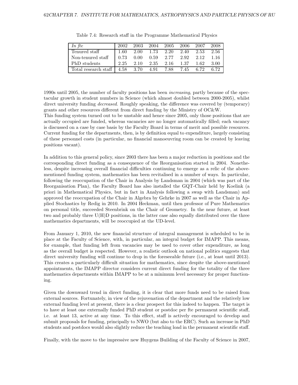| In fte               | 2002  | 2003 | 2004 | 2005 | 2006 | 2007 | 2008 |
|----------------------|-------|------|------|------|------|------|------|
| Tenured staff        | -1.60 | 2.00 | 1.73 | 2.20 | 2.40 | 2.53 | 2.56 |
| Non-tenured staff    | 0.73  | 0.00 | 0.59 | 2.77 | 2.92 | 2.12 | 1.16 |
| PhD students         | 2.25  | 2.10 | 2.35 | 2.16 | 1.37 | 1.62 | 3.00 |
| Total research staff | 4.58  | 3.70 | 4.91 | 7.88 | 7.45 | 6.72 | 6.72 |

Table 7.4: Research staff in the Programme Mathematical Physics

1990s until 2005, the number of faculty positions has been increasing, partly because of the spectacular growth in student numbers in Science (which almost doubled between 2000-2005), whilst direct university funding *decreased*. Roughly speaking, the difference was covered by (temporary) grants and other resources different from direct funding by the Ministry of OC&W.

This funding system turned out to be unstable and hence since 2005, only those positions that are actually occupied are funded, whereas vacancies are no longer automatically filled; each vacancy is discussed on a case by case basis by the Faculty Board in terms of merit and possible resources. Current funding for the departments, then, is by definition equal to expenditure, largely consisting of these personnel costs (in particular, no financial manoeuvring room can be created by leaving positions vacant).

In addition to this general policy, since 2003 there has been a major reduction in positions and the corresponding direct funding as a consequence of the Reorganisation started in 2004. Nonetheless, despite increasing overall financial difficulties continuing to emerge as a relic of the abovementioned funding system, mathematics has been revitalised in a number of ways. In particular, following the reoccupation of the Chair in Analysis by Landsman in 2004 (which was part of the Reorganisation Plan), the Faculty Board has also installed the GQT-Chair held by Koelink (a priori in Mathematical Physics, but in fact in Analysis following a swap with Landsman) and approved the reoccupation of the Chair in Algebra by Gehrke in 2007 as well as the Chair in Applied Stochastics by Redig in 2010. In 2004 Heckman, until then professor of Pure Mathematics on personal title, succeeded Steenbrink on the Chair of Geometry. In the near future, at least two and probably three U(H)D positions, in the latter case also equally distributed over the three mathematics departments, will be reoccupied at the UD-level.

From January 1, 2010, the new financial structure of integral management is scheduled to be in place at the Faculty of Science, with, in particular, an integral budget for IMAPP. This means, for example, that funding left from vacancies may be used to cover other expenditure, as long as the overall budget is respected. However, a realistic outlook on national politics suggests that direct university funding will continue to drop in the foreseeable future (i.e., at least until 2013). This creates a particularly difficult situation for mathematics, since despite the above-mentioned appointments, the IMAPP director considers current direct funding for the totality of the three mathematics departments within IMAPP to be at a minimum level necessary for proper functioning.

Given the downward trend in direct funding, it is clear that more funds need to be raised from external sources. Fortunately, in view of the rejuvenation of the department and the relatively low external funding level at present, there is a clear prospect for this indeed to happen. The target is to have at least one externally funded PhD student or postdoc per fte permanent scientific staff, i.e. at least 13, active at any time. To this effect, staff is actively encouraged to develop and submit proposals for funding, principally to NWO (but also to the ERC). Such an increase in PhD students and postdocs would also slightly reduce the teaching load in the permanent scientific staff.

Finally, with the move to the impressive new Huygens Building of the Faculty of Science in 2007,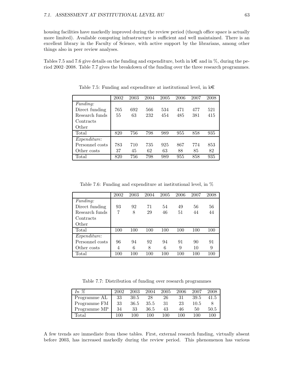housing facilities have markedly improved during the review period (though office space is actually more limited). Available computing infrastructure is sufficient and well maintained. There is an excellent library in the Faculty of Science, with active support by the librarians, among other things also in peer review analyses.

Tables 7.5 and 7.6 give details on the funding and expenditure, both in  $k\in \mathbb{R}$  and in %, during the period 2002–2008. Table 7.7 gives the breakdown of the funding over the three research programmes.

|                 | 2002 | 2003 | 2004 | 2005 | 2006 | 2007 | 2008 |
|-----------------|------|------|------|------|------|------|------|
| <i>Funding:</i> |      |      |      |      |      |      |      |
| Direct funding  | 765  | 692  | 566  | 534  | 471  | 477  | 521  |
| Research funds  | 55   | 63   | 232  | 454  | 485  | 381  | 415  |
| Contracts       |      |      |      |      |      |      |      |
| Other           |      |      |      |      |      |      |      |
| Total           | 820  | 756  | 798  | 989  | 955  | 858  | 935  |
| Expendature:    |      |      |      |      |      |      |      |
| Personnel costs | 783  | 710  | 735  | 925  | 867  | 774  | 853  |
| Other costs     | 37   | 45   | 62   | 63   | 88   | 85   | 82   |
| Total           | 820  | 756  | 798  | 989  | 955  | 858  | 935  |

Table 7.5: Funding and expenditure at institutional level, in  $k\in$ 

Table 7.6: Funding and expenditure at institutional level, in %

|                     | 2002 | 2003 | 2004 | 2005 | 2006 | 2007 | 2008 |
|---------------------|------|------|------|------|------|------|------|
| <i>Funding:</i>     |      |      |      |      |      |      |      |
| Direct funding      | 93   | 92   | 71   | 54   | 49   | 56   | 56   |
| Research funds      | 7    | 8    | 29   | 46   | 51   | 44   | 44   |
| Contracts           |      |      |      |      |      |      |      |
| Other               |      |      |      |      |      |      |      |
| Total               | 100  | 100  | 100  | 100  | 100  | 100  | 100  |
| <i>Expenditure:</i> |      |      |      |      |      |      |      |
| Personnel costs     | 96   | 94   | 92   | 94   | 91   | 90   | 91   |
| Other costs         | 4    | 6    | 8    | 6    | 9    | 10   | 9    |
| Total               | 100  | 100  | 100  | 100  | 100  | 100  | 100  |

Table 7.7: Distribution of funding over research programmes

| In %         | 2002 | 2003 | 2004 | 2005 | 2006 | 2007 | 2008 |
|--------------|------|------|------|------|------|------|------|
| Programme AL | 33   | 30.5 | 28   | 26   |      | 39.5 | 41.5 |
| Programme FM | 33   | 36.5 | 35.5 | 31   | 23   | 10.5 |      |
| Programme MP | 34   | 33   | 36.5 | 43   | 46   | 50   | 50.5 |
| Total        | 100  | 100  | 100  | 100  | 100  | 100  | 100  |

A few trends are immediate from these tables. First, external research funding, virtually absent before 2003, has increased markedly during the review period. This phenomenon has various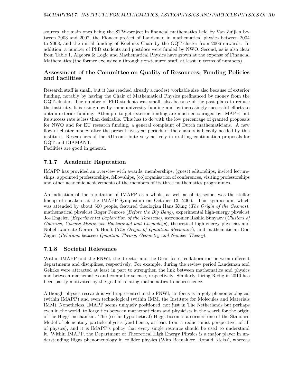sources, the main ones being the STW-project in financial mathematics held by Van Zuijlen between 2003 and 2007, the Pioneer project of Landsman in mathematical physics between 2004 to 2008, and the initial funding of Koelinks Chair by the GQT-cluster from 2006 onwards. In addition, a number of PhD students and postdocs were funded by NWO. Second, as is also clear from Table 1, Algebra & Logic and Mathematical Physics have grown at the expense of Financial Mathematics (the former exclusively through non-tenured staff, at least in terms of numbers).

### Assessment of the Committee on Quality of Resources, Funding Policies and Facilities

Research staff is small, but it has reached already a modest workable size also because of exterior funding, notably by having the Chair of Mathematical Physics prefinanced by money from the GQT-cluster. The number of PhD students was small, also because of the past plans to reduce the institute. It is rising now by some university funding and by increasingly successful efforts to obtain exterior funding. Attempts to get exterior funding are much encouraged by IMAPP, but its success rate is less than desirable. This has to do with the low percentage of granted proposals for NWO and for EU research funding, a general complaint of Dutch mathematicians. A new flow of cluster money after the present five-year periods of the clusters is heavily needed by this institute. Researchers of the RU contribute very actively in drafting continuation proposals for GQT and DIAMANT.

Facilities are good in general.

### 7.1.7 Academic Reputation

IMAPP has provided an overview with awards, memberships, (guest) editorships, invited lectureships, appointed professorships, fellowships, (co)organisation of conferences, visiting professorships and other academic achievements of the members of its three mathematics programmes.

An indication of the reputation of IMAPP as a whole, as well as of its scope, was the stellar lineup of speakers at the IMAPP-Symposium on October 13, 2006. This symposium, which was attended by about 500 people, featured theologian Hans Küng (*The Origin of the Cosmos*), mathematical physicist Roger Penrose (*Before the Big Bang*), experimental high-energy physicist Jos Engelen (Experimental Exploration of the Terascale), astronomer Rashid Sunyaev (Clusters of Galaxies, Cosmic Microwave Background and Cosmology), theoretical high-energy physicist and Nobel Laureate Gerard 't Hooft (The Origin of Quantum Mechanics), and mathematician Don Zagier (Relations between Quantum Theory, Geometry and Number Theory).

### 7.1.8 Societal Relevance

Within IMAPP and the FNWI, the director and the Dean foster collaboration between different departments and disciplines, respectively. For example, during the review period Landsman and Gehrke were attracted at least in part to strengthen the link between mathematics and physics and between mathematics and computer science, respectively. Similarly, hiring Redig in 2010 has been partly motivated by the goal of relating mathematics to neuroscience.

Although physics research is well represented in the FNWI, its focus is largely phenomenological (within IMAPP) and even technological (within IMM, the Institute for Molecules and Materials IMM). Nonetheless, IMAPP seems uniquely positioned, not just in The Netherlands but perhaps even in the world, to forge ties between mathematicians and physicists in the search for the origin of the Higgs mechanism. The (so far hypothetical) Higgs boson is a cornerstone of the Standard Model of elementary particle physics (and hence, at least from a reductionist perspective, of all of physics), and it is IMAPP's policy that every single resource should be used to understand it. Within IMAPP, the Department of Theoretical High Energy Physics is a major player in understanding Higgs phenomenology in collider physics (Wim Beenakker, Ronald Kleiss), whereas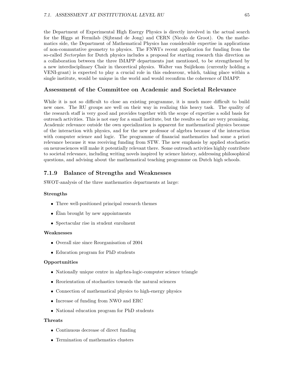the Department of Experimental High Energy Physics is directly involved in the actual search for the Higgs at Fermilab (Sijbrand de Jong) and CERN (Nicolo de Groot). On the mathematics side, the Department of Mathematical Physics has considerable expertise in applications of non-commutative geometry to physics. The FNWI's recent application for funding from the so-called *Sectorplan* for Dutch physics includes a proposal for starting research this direction as a collaboration between the three IMAPP departments just mentioned, to be strengthened by a new interdisciplinary Chair in theoretical physics. Walter van Suijlekom (currently holding a VENI-grant) is expected to play a crucial role in this endeavour, which, taking place within a single institute, would be unique in the world and would reconfirm the coherence of IMAPP.

### Assessment of the Committee on Academic and Societal Relevance

While it is not so difficult to close an existing programme, it is much more difficult to build new ones. The RU groups are well on their way in realizing this heavy task. The quality of the research staff is very good and provides together with the scope of expertise a solid basis for outreach activities. This is not easy for a small institute, but the results so far are very promising. Academic relevance outside the own specialization is apparent for mathematical physics because of the interaction with physics, and for the new professor of algebra because of the interaction with computer science and logic. The programme of financial mathematics had some a priori relevance because it was receiving funding from STW. The new emphasis by applied stochastics on neurosciences will make it potentially relevant there. Some outreach activities highly contribute to societal relevance, including writing novels inspired by science history, addressing philosophical questions, and advising about the mathematical teaching programme on Dutch high schools.

### 7.1.9 Balance of Strengths and Weaknesses

SWOT-analysis of the three mathematics departments at large:

#### Strengths

- Three well-positioned principal research themes
- Élan brought by new appointments
- Spectacular rise in student enrolment

#### Weaknesses

- Overall size since Reorganisation of 2004
- Education program for PhD students

#### Opportunities

- Nationally unique centre in algebra-logic-computer science triangle
- Reorientation of stochastics towards the natural sciences
- Connection of mathematical physics to high-energy physics
- Increase of funding from NWO and ERC
- National education program for PhD students

#### Threats

- Continuous decrease of direct funding
- Termination of mathematics clusters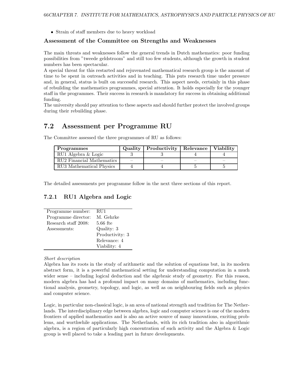Strain of staff members due to heavy workload

### Assessment of the Committee on Strengths and Weaknesses

The main threats and weaknesses follow the general trends in Dutch mathematics: poor funding possibilities from "tweede geldstroom" and still too few students, although the growth in student numbers has been spectacular.

A special threat for this restarted and rejuvenated mathematical research group is the amount of time to be spent in outreach activities and in teaching. This puts research time under pressure and, in general, status is built on successful research. This aspect needs, certainly in this phase of rebuilding the mathematics programmes, special attention. It holds especially for the younger staff in the programmes. Their success in research is mandatory for success in obtaining additional funding.

The university should pay attention to these aspects and should further protect the involved groups during their rebuilding phase.

### 7.2 Assessment per Programme RU

The Committee assessed the three programmes of RU as follows:

| Programmes                | Quality   Productivity   Relevance   Viability |  |
|---------------------------|------------------------------------------------|--|
| RU1 Algebra & Logic       |                                                |  |
| RU2 Financial Mathematics |                                                |  |
| RU3 Mathematical Physics  |                                                |  |

The detailed assessments per programme follow in the next three sections of this report.

### 7.2.1 RU1 Algebra and Logic

| Programme number:    | RU1             |
|----------------------|-----------------|
| Programme director:  | M. Gehrke       |
| Research staff 2008: | $5.66$ fte      |
| Assessments:         | Quality: 3      |
|                      | Productivity: 3 |
|                      | Relevance: 4    |
|                      | Viability: 4    |

### Short description

Algebra has its roots in the study of arithmetic and the solution of equations but, in its modern abstract form, it is a powerful mathematical setting for understanding computation in a much wider sense – including logical deduction and the algebraic study of geometry. For this reason, modern algebra has had a profound impact on many domains of mathematics, including functional analysis, geometry, topology, and logic, as well as on neighbouring fields such as physics and computer science.

Logic, in particular non-classical logic, is an area of national strength and tradition for The Netherlands. The interdisciplinary edge between algebra, logic and computer science is one of the modern frontiers of applied mathematics and is also an active source of many innovations, exciting problems, and worthwhile applications. The Netherlands, with its rich tradition also in algorithmic algebra, is a region of particularly high concentration of such activity and the Algebra & Logic group is well placed to take a leading part in future developments.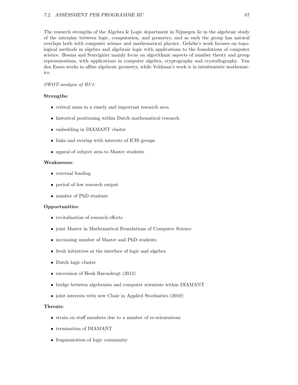The research strengths of the Algebra & Logic department in Nijmegen lie in the algebraic study of the interplay between logic, computation, and geometry, and as such the group has natural overlaps both with computer science and mathematical physics. Gehrke's work focuses on topological methods in algebra and algebraic logic with applications to the foundations of computer science. Bosma and Souvignier mainly focus on algorithmic aspects of number theory and group representations, with applications in computer algebra, cryptography and crystallography. Van den Essen works in affine algebraic geometry, while Veldman's work is in intuitionistic mathematics.

#### SWOT-analysis of RU1:

#### Strengths:

- critical mass in a timely and important research area
- historical positioning within Dutch mathematical research
- embedding in DIAMANT cluster
- links and overlap with interests of ICIS groups
- appeal of subject area to Master students

#### Weaknesses:

- external funding
- period of low research output
- number of PhD students

#### Opportunities:

- revitalisation of research efforts
- joint Master in Mathematical Foundations of Computer Science
- increasing number of Master and PhD students
- fresh initiatives at the interface of logic and algebra
- Dutch logic cluster
- succession of Henk Barendregt (2012)
- bridge between algebraists and computer scientists within DIAMANT
- joint interests with new Chair in Applied Stochastics (2010)

#### Threats:

- strain on staff members due to a number of re-orientations
- termination of DIAMANT
- fragmentation of logic community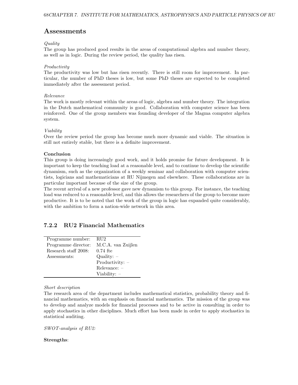### Assessments

### Quality

The group has produced good results in the areas of computational algebra and number theory, as well as in logic. During the review period, the quality has risen.

### Productivity

The productivity was low but has risen recently. There is still room for improvement. In particular, the number of PhD theses is low, but some PhD theses are expected to be completed immediately after the assessment period.

### Relevance

The work is mostly relevant within the areas of logic, algebra and number theory. The integration in the Dutch mathematical community is good. Collaboration with computer science has been reinforced. One of the group members was founding developer of the Magma computer algebra system.

### Viability

Over the review period the group has become much more dynamic and viable. The situation is still not entirely stable, but there is a definite improvement.

### Conclusion

This group is doing increasingly good work, and it holds promise for future development. It is important to keep the teaching load at a reasonable level, and to continue to develop the scientific dynamism, such as the organization of a weekly seminar and collaboration with computer scientists, logicians and mathematicians at RU Nijmegen and elsewhere. These collaborations are in particular important because of the size of the group.

The recent arrival of a new professor gave new dynamism to this group. For instance, the teaching load was reduced to a reasonable level, and this allows the researchers of the group to become more productive. It is to be noted that the work of the group in logic has expanded quite considerably, with the ambition to form a nation-wide network in this area.

### 7.2.2 RU2 Financial Mathematics

| Programme number:    | RU2                |
|----------------------|--------------------|
| Programme director:  | M.C.A. van Zuijlen |
| Research staff 2008: | $0.74$ fte         |
| Assessments:         | Quality: $-$       |
|                      | Productivity: $-$  |
|                      | Relevance: -       |
|                      | Viability: $-$     |

### Short description

The research area of the department includes mathematical statistics, probability theory and financial mathematics, with an emphasis on financial mathematics. The mission of the group was to develop and analyze models for financial processes and to be active in consulting in order to apply stochastics in other disciplines. Much effort has been made in order to apply stochastics in statistical auditing.

SWOT-analysis of RU2:

### Strengths: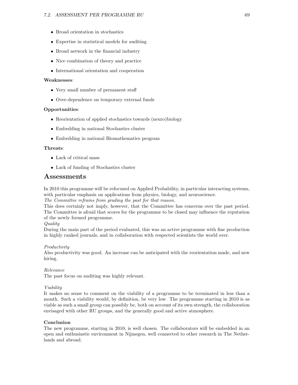- Broad orientation in stochastics
- Expertise in statistical models for auditing
- Broad network in the financial industry
- Nice combination of theory and practice
- International orientation and cooperation

#### Weaknesses:

- Very small number of permanent staff
- Over-dependence on temporary external funds

### Opportunities:

- Reorientation of applied stochastics towards (neuro)biology
- Embedding in national Stochastics cluster
- Embedding in national Biomathematics program

#### Threats:

- Lack of critical mass
- Lack of funding of Stochastics cluster

### Assessments

In 2010 this programme will be refocused on Applied Probability, in particular interacting systems, with particular emphasis on applications from physics, biology, and neuroscience.

The Committee refrains from grading the past for that reason.

This does certainly not imply, however, that the Committee has concerns over the past period. The Committee is afraid that scores for the programme to be closed may influence the reputation of the newly formed programme.

### Quality

During the main part of the period evaluated, this was an active programme with fine production in highly ranked journals, and in collaboration with respected scientists the world over.

#### Productivity

Also productivity was good. An increase can be anticipated with the reorientation made, and new hiring.

### Relevance

The past focus on auditing was highly relevant.

### Viability

It makes no sense to comment on the viability of a programme to be terminated in less than a month. Such a viability would, by definition, be very low. The programme starting in 2010 is as viable as such a small group can possibly be, both on account of its own strength, the collaboration envisaged with other RU groups, and the generally good and active atmosphere.

### Conclusion

The new programme, starting in 2010, is well chosen. The collaborators will be embedded in an open and enthusiastic environment in Nijmegen, well connected to other research in The Netherlands and abroad.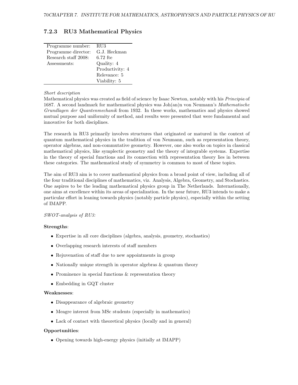| Programme number:    | RU3             |
|----------------------|-----------------|
| Programme director:  | G.J. Heckman    |
| Research staff 2008: | $6.72$ fte      |
| Assessments:         | Quality: 4      |
|                      | Productivity: 4 |
|                      | Relevance: 5    |
|                      | Viability: 5    |

### 7.2.3 RU3 Mathematical Physics

### Short description

Mathematical physics was created as field of science by Isaac Newton, notably with his *Principia* of 1687. A second landmark for mathematical physics was  $J\text{oh}(an)n$  von Neumann's *Mathematische* Grundlagen der Quantenmechanik from 1932. In these works, mathematics and physics showed mutual purpose and uniformity of method, and results were presented that were fundamental and innovative for both disciplines.

The research in RU3 primarily involves structures that originated or matured in the context of quantum mathematical physics in the tradition of von Neumann, such as representation theory, operator algebras, and non-commutative geometry. However, one also works on topics in classical mathematical physics, like symplectic geometry and the theory of integrable systems. Expertise in the theory of special functions and its connection with representation theory lies in between these categories. The mathematical study of symmetry is common to most of these topics.

The aim of RU3 aim is to cover mathematical physics from a broad point of view, including all of the four traditional disciplines of mathematics, viz. Analysis, Algebra, Geometry, and Stochastics. One aspires to be the leading mathematical physics group in The Netherlands. Internationally, one aims at excellence within its areas of specialization. In the near future, RU3 intends to make a particular effort in leaning towards physics (notably particle physics), especially within the setting of IMAPP.

SWOT-analysis of RU3:

### Strengths:

- Expertise in all core disciplines (algebra, analysis, geometry, stochastics)
- Overlapping research interests of staff members
- Rejuvenation of staff due to new appointments in group
- Nationally unique strength in operator algebras & quantum theory
- Prominence in special functions  $\&$  representation theory
- Embedding in GQT cluster

### Weaknesses:

- Disappearance of algebraic geometry
- Meagre interest from MSc students (especially in mathematics)
- Lack of contact with theoretical physics (locally and in general)

### Opportunities:

Opening towards high-energy physics (initially at IMAPP)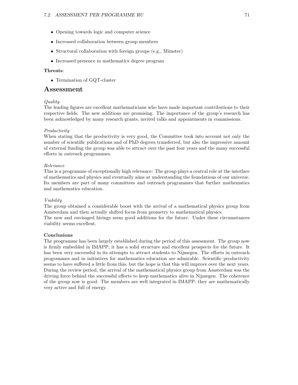- Opening towards logic and computer science
- Increased collaboration between group members
- $\bullet$  Structural collaboration with foreign groups (e.g., Münster)
- Increased presence in mathematics degree program

### Threats:

Termination of GQT-cluster

### Assessment

### Quality

The leading figures are excellent mathematicians who have made important contributions to their respective fields. The new additions are promising. The importance of the group's research has been acknowledged by many research grants, invited talks and appointments in commissions.

### Productivity

When stating that the productivity is very good, the Committee took into account not only the number of scientific publications and of PhD degrees transferred, but also the impressive amount of external funding the group was able to attract over the past four years and the many successful efforts in outreach programmes.

### Relevance

This is a programme of exceptionally high relevance: The group plays a central role at the interface of mathematics and physics and eventually aims at understanding the foundations of our universe. Its members are part of many committees and outreach programmes that further mathematics and mathematics education.

### Viability

The group obtained a considerable boost with the arrival of a mathematical physics group from Amsterdam and then actually shifted focus from geometry to mathematical physics. The new and envisaged hirings seem good additions for the future. Under these circumstances viability seems excellent.

### Conclusions

The programme has been largely established during the period of this assessment. The group now is firmly embedded in IMAPP; it has a solid structure and excellent prospects for the future. It has been very successful in its attempts to attract students to Nijmegen. The efforts in outreach programmes and in initiatives for mathematics education are admirable. Scientific productivity seems to have suffered a little from this, but the hope is that this will improve over the next years. During the review period, the arrival of the mathematical physics group from Amsterdam was the driving force behind the successful efforts to keep mathematics alive in Nijmegen. The coherence of the group now is good. The members are well integrated in IMAPP; they are mathematically very active and full of energy.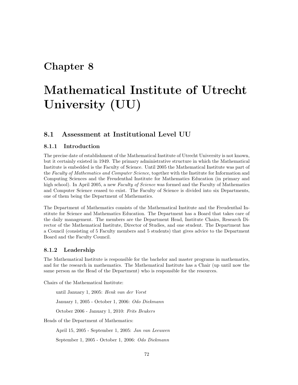## Chapter 8

# Mathematical Institute of Utrecht University (UU)

### 8.1 Assessment at Institutional Level UU

### 8.1.1 Introduction

The precise date of establishment of the Mathematical Institute of Utrecht University is not known, but it certainly existed in 1949. The primary administrative structure in which the Mathematical Institute is embedded is the Faculty of Science. Until 2005 the Mathematical Institute was part of the Faculty of Mathematics and Computer Science, together with the Institute for Information and Computing Sciences and the Freudenthal Institute for Mathematics Education (in primary and high school). In April 2005, a new Faculty of Science was formed and the Faculty of Mathematics and Computer Science ceased to exist. The Faculty of Science is divided into six Departments, one of them being the Department of Mathematics.

The Department of Mathematics consists of the Mathematical Institute and the Freudenthal Institute for Science and Mathematics Education. The Department has a Board that takes care of the daily management. The members are the Department Head, Institute Chairs, Research Director of the Mathematical Institute, Director of Studies, and one student. The Department has a Council (consisting of 5 Faculty members and 5 students) that gives advice to the Department Board and the Faculty Council.

### 8.1.2 Leadership

The Mathematical Institute is responsible for the bachelor and master programs in mathematics, and for the research in mathematics. The Mathematical Institute has a Chair (up until now the same person as the Head of the Department) who is responsible for the resources.

Chairs of the Mathematical Institute:

until January 1, 2005: Henk van der Vorst

January 1, 2005 - October 1, 2006: Odo Diekmann

October 2006 - January 1, 2010: Frits Beukers

Heads of the Department of Mathematics:

April 15, 2005 - September 1, 2005: Jan van Leeuwen

September 1, 2005 - October 1, 2006: Odo Diekmann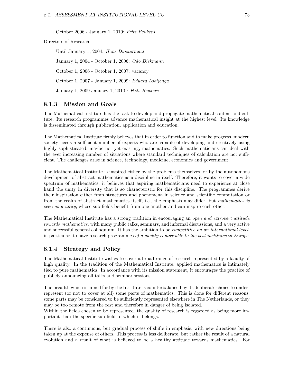October 2006 - January 1, 2010: Frits Beukers

#### Directors of Research

Until January 1, 2004: Hans Duistermaat January 1, 2004 - October 1, 2006: Odo Diekmann October 1, 2006 - October 1, 2007: vacancy October 1, 2007 - January 1, 2009: Eduard Looijenga January 1, 2009 January 1, 2010 : Frits Beukers

### 8.1.3 Mission and Goals

The Mathematical Institute has the task to develop and propagate mathematical content and culture. Its research programmes advance mathematical insight at the highest level. Its knowledge is disseminated through publication, application and education.

The Mathematical Institute firmly believes that in order to function and to make progress, modern society needs a sufficient number of experts who are capable of developing and creatively using highly sophisticated, maybe not yet existing, mathematics. Such mathematicians can deal with the ever increasing number of situations where standard techniques of calculation are not sufficient. The challenges arise in science, technology, medicine, economics and government.

The Mathematical Institute is inspired either by the problems themselves, or by the autonomous development of abstract mathematics as a discipline in itself. Therefore, it wants to cover a wide spectrum of mathematics; it believes that aspiring mathematicians need to experience at close hand the unity in diversity that is so characteristic for this discipline. The programmes derive their inspiration either from structures and phenomena in science and scientific computation or from the realm of abstract mathematics itself, i.e., the emphasis may differ, but mathematics is seen as a unity, whose sub-fields benefit from one another and can inspire each other.

The Mathematical Institute has a strong tradition in encouraging an open and extrovert attitude towards mathematics, with many public talks, seminars, and informal discussions, and a very active and successful general colloquium. It has the ambition to be *competitive on an international level*, in particular, to have research programmes of a quality comparable to the best institutes in Europe.

## 8.1.4 Strategy and Policy

The Mathematical Institute wishes to cover a broad range of research represented by a faculty of high quality. In the tradition of the Mathematical Institute, applied mathematics is intimately tied to pure mathematics. In accordance with its mission statement, it encourages the practice of publicly announcing all talks and seminar sessions.

The breadth which is aimed for by the Institute is counterbalanced by its deliberate choice to underrepresent (or not to cover at all) some parts of mathematics. This is done for different reasons: some parts may be considered to be sufficiently represented elsewhere in The Netherlands, or they may be too remote from the rest and therefore in danger of being isolated.

Within the fields chosen to be represented, the quality of research is regarded as being more important than the specific sub-field to which it belongs.

There is also a continuous, but gradual process of shifts in emphasis, with new directions being taken up at the expense of others. This process is less deliberate, but rather the result of a natural evolution and a result of what is believed to be a healthy attitude towards mathematics. For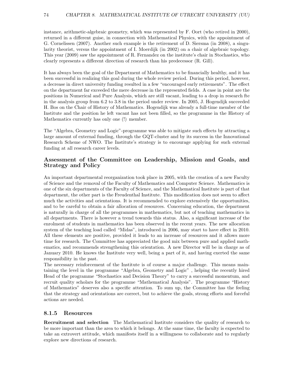instance, arithmetic-algebraic geometry, which was represented by F. Oort (who retired in 2000), returned in a different guise, in connection with Mathematical Physics, with the appointment of G. Cornelissen (2007). Another such example is the retirement of D. Siersma (in 2008), a singularity theorist, versus the appointment of I. Moerdijk (in 2002) on a chair of algebraic topology. This year (2009) saw the appointment of R. Fernandez on the institute's chair in Stochastics, who clearly represents a different direction of research than his predecessor (R. Gill).

It has always been the goal of the Department of Mathematics to be financially healthy, and it has been successful in realizing this goal during the whole review period. During this period, however, a decrease in direct university funding resulted in a few "encouraged early retirements". The effect on the department far exceeded the mere decrease in the represented fields. A case in point are the positions in Numerical and Pure Analysis, which are still vacant, leading to a drop in research fte in the analysis group from 6.2 to 3.8 in the period under review. In 2005, J. Hogendijk succeeded H. Bos on the Chair of History of Mathematics. Hogendijk was already a full-time member of the Institute and the position he left vacant has not been filled, so the programme in the History of Mathematics currently has only one (!) member.

The "Algebra, Geometry and Logic"-programme was able to mitigate such effects by attracting a large amount of external funding, through the GQT-cluster and by its success in the Innovational Research Scheme of NWO. The Institute's strategy is to encourage applying for such external funding at all research career levels.

# Assessment of the Committee on Leadership, Mission and Goals, and Strategy and Policy

An important departmental reorganization took place in 2005, with the creation of a new Faculty of Science and the removal of the Faculty of Mathematics and Computer Science. Mathematics is one of the six departments of the Faculty of Science, and the Mathematical Institute is part of that department, the other part is the Freudenthal Institute. This modification does not seem to affect much the activities and orientations. It is recommended to explore extensively the opportunities, and to be careful to obtain a fair allocation of resources. Concerning education, the department is naturally in charge of all the programmes in mathematics, but not of teaching mathematics in all departments. There is however a trend towards this status. Also, a significant increase of the enrolment of students in mathematics has been observed in the recent years. The new allocation system of the teaching load called "Midas", introduced in 2006, may start to have effect in 2010. All these elements are positive, provided it leads to an increase of resources and it allows more time for research. The Committee has appreciated the good mix between pure and applied mathematics, and recommends strengthening this orientation. A new Director will be in charge as of January 2010. He knows the Institute very well, being a part of it, and having exerted the same responsibility in the past.

The necessary reinforcement of the Institute is of course a major challenge. This means maintaining the level in the programme "Algebra, Geometry and Logic" , helping the recently hired Head of the programme "Stochastics and Decision Theory" to carry a successful momentum, and recruit quality scholars for the programme "Mathematical Analysis". The programme "History of Mathematics" deserves also a specific attention. To sum up, the Committee has the feeling that the strategy and orientations are correct, but to achieve the goals, strong efforts and forceful actions are needed.

## 8.1.5 Resources

Recruitment and selection The Mathematical Institute considers the quality of research to be more important than the area to which it belongs. At the same time, the faculty is expected to take an extrovert attitude, which manifests itself in a willingness to collaborate and to regularly explore new directions of research.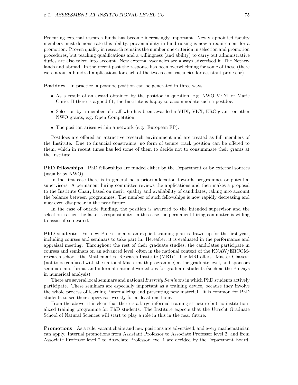Procuring external research funds has become increasingly important. Newly appointed faculty members must demonstrate this ability; proven ability in fund raising is now a requirement for a promotion. Proven quality in research remains the number one criterion in selection and promotion procedures, but teaching qualifications and a willingness (and ability) to carry out administrative duties are also taken into account. New external vacancies are always advertised in The Netherlands and abroad. In the recent past the response has been overwhelming for some of these (there were about a hundred applications for each of the two recent vacancies for assistant professor).

Postdocs In practice, a postdoc position can be generated in three ways.

- As a result of an award obtained by the postdoc in question, e.g. NWO VENI or Marie Curie. If there is a good fit, the Institute is happy to accommodate such a postdoc.
- Selection by a member of staff who has been awarded a VIDI, VICI, ERC grant, or other NWO grants, e.g. Open Competition.
- The position arises within a network (e.g., European FP).

Postdocs are offered an attractive research environment and are treated as full members of the Institute. Due to financial constraints, no form of tenure track position can be offered to them, which in recent times has led some of them to decide not to consummate their grants at the Institute.

PhD fellowships PhD fellowships are funded either by the Department or by external sources (usually by NWO).

In the first case there is in general no a priori allocation towards programmes or potential supervisors: A permanent hiring committee reviews the applications and then makes a proposal to the Institute Chair, based on merit, quality and availability of candidates, taking into account the balance between programmes. The number of such fellowships is now rapidly decreasing and may even disappear in the near future.

In the case of outside funding, the position is awarded to the intended supervisor and the selection is then the latter's responsibility; in this case the permanent hiring committee is willing to assist if so desired.

PhD students For new PhD students, an explicit training plan is drawn up for the first year, including courses and seminars to take part in. Hereafter, it is evaluated in the performance and appraisal meeting. Throughout the rest of their graduate studies, the candidates participate in courses and seminars on an advanced level, often in the national context of the KNAW/ERCOMresearch school "the Mathematical Research Institute (MRI)". The MRI offers "Master Classes" (not to be confused with the national Mastermath programme) at the graduate level, and sponsors seminars and formal and informal national workshops for graduate students (such as the PhDays in numerical analysis).

There are several local seminars and national Intercity Seminars in which PhD students actively participate. These seminars are especially important as a training device, because they involve the whole process of learning, internalizing and presenting new material. It is common for PhD students to see their supervisor weekly for at least one hour.

From the above, it is clear that there is a large informal training structure but no institutionalized training programme for PhD students. The Institute expects that the Utrecht Graduate School of Natural Sciences will start to play a role in this in the near future.

Promotions As a rule, vacant chairs and new positions are advertised, and every mathematician can apply. Internal promotions from Assistant Professor to Associate Professor level 2, and from Associate Professor level 2 to Associate Professor level 1 are decided by the Department Board.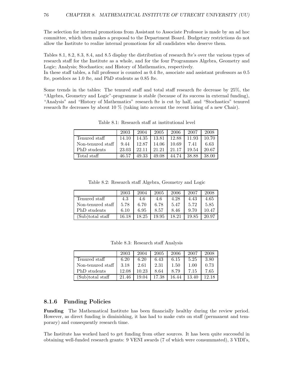The selection for internal promotions from Assistant to Associate Professor is made by an ad hoc committee, which then makes a proposal to the Department Board. Budgetary restrictions do not allow the Institute to realize internal promotions for all candidates who deserve them.

Tables 8.1, 8.2, 8.3, 8.4, and 8.5 display the distribution of research fte's over the various types of research staff for the Institute as a whole, and for the four Programmes Algebra, Geometry and Logic; Analysis; Stochastics; and History of Mathematics, respectively.

In these staff tables, a full professor is counted as 0.4 fte, associate and assistant professors as 0.5 fte, postdocs as 1.0 fte, and PhD students as 0.85 fte.

Some trends in the tables: The tenured staff and total staff research fte decrease by 25%, the "Algebra, Geometry and Logic"-programme is stable (because of its success in external funding), "Analysis" and "History of Mathematics" research fte is cut by half, and "Stochastics" tenured research fte decreases by about 10 % (taking into account the recent hiring of a new Chair).

|                   | 2003  | 2004  | 2005  | 2006  | 2007  | 2008  |
|-------------------|-------|-------|-------|-------|-------|-------|
| Tenured staff     | 14.10 | 14.35 | 13.81 | 12.88 | 11.93 | 10.70 |
| Non-tenured staff | 9.44  | 12.87 | 14.06 | 10.69 | 7.41  | 6.63  |
| PhD students      | 23.03 | 22.11 | 21.21 | 21.17 | 19.54 | 20.67 |
| Total staff       | 46.57 | 49.33 | 49.08 | 44.74 | 38.88 | 38.00 |

Table 8.1: Research staff at institutional level

Table 8.2: Research staff Algebra, Geometry and Logic

|                   | 2003  | 2004  | 2005  | 2006  | -2007 | 2008  |
|-------------------|-------|-------|-------|-------|-------|-------|
| Tenured staff     | 4.3   | 4.6   | 4.6   | 4.28  | 4.43  | 4.65  |
| Non-tenured staff | 5.78  | 6.70  | 6.78  | 5.47  | 5.72  | 5.85  |
| PhD students      | 6.10  | 6.95  | 8.57  | 8.46  | 9.70  | 10.47 |
| (Sub)total staff  | 16.18 | 18.25 | 19.95 | 18.21 | 19.85 | 20.97 |

Table 8.3: Research staff Analysis

|                   | 2003  | 2004  | 2005  | 2006     | 2007  | 2008  |
|-------------------|-------|-------|-------|----------|-------|-------|
| Tenured staff     | 6.20  | 6.20  | 6.43  | 6.15     | 5.25  | 3.80  |
| Non-tenured staff | 3.18  | 2.61  | 2.31  | $1.50\,$ | 1.00  | 0.73  |
| PhD students      | 12.08 | 10.23 | 8.64  | 8.79     | 7.15  | 7.65  |
| (Sub)total staff  | 21.46 | 19.04 | 17.38 | 16.44    | 13.40 | 12.18 |

### 8.1.6 Funding Policies

Funding The Mathematical Institute has been financially healthy during the review period. However, as direct funding is diminishing, it has had to make cuts on staff (permanent and temporary) and consequently research time.

The Institute has worked hard to get funding from other sources. It has been quite successful in obtaining well-funded research grants: 9 VENI awards (7 of which were consummated), 3 VIDI's,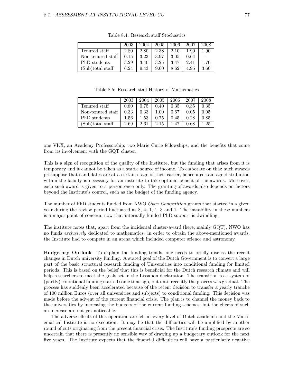|                   | 2003 | 2004 | 12005 | 2006 | -2007 | 2008 |
|-------------------|------|------|-------|------|-------|------|
| Tenured staff     | 2.80 | 2.80 | 2.38  | 2.10 | 1.90  | 1.90 |
| Non-tenured staff | 0.15 | 3.23 | -3.97 | 3.05 | 0.64  |      |
| PhD students      | 3.29 | 3.40 | 3.25  | 3.47 | 2.41  | 1.70 |
| (Sub)total staff  | 6.24 | 9.43 | 9.60  | 8.62 | 4.95  | 3.60 |

Table 8.4: Research staff Stochastics

2003 2004 2005 2006 2007 2008 Tenured staff 0.80 0.75 0.40 0.35 0.35 0.35 Non-tenured staff  $\vert 0.33 \vert 0.33 \vert 1.00 \vert 0.67 \vert 0.05 \vert 0.05$ PhD students  $1.56 \mid 1.53 \mid 0.75 \mid 0.45 \mid 0.28 \mid 0.85$ (Sub)total staff 2.69 2.61 2.15 1.47 0.68 1.25

Table 8.5: Research staff History of Mathematics

one VICI, an Academy Professorship, two Marie Curie fellowships, and the benefits that come from its involvement with the GQT cluster.

This is a sign of recognition of the quality of the Institute, but the funding that arises from it is temporary and it cannot be taken as a stable source of income. To elaborate on this: such awards presuppose that candidates are at a certain stage of their career, hence a certain age distribution within the faculty is necessary for an institute to take optimal benefit of the awards. Moreover, each such award is given to a person once only. The granting of awards also depends on factors beyond the Institute's control, such as the budget of the funding agency.

The number of PhD students funded from NWO Open Competition grants that started in a given year during the review period fluctuated as 8, 4, 1, 1, 3 and 1. The instability in these numbers is a major point of concern, now that internally funded PhD support is dwindling.

The institute notes that, apart from the incidental cluster-award (here, mainly GQT), NWO has no funds *exclusively* dedicated to mathematics: in order to obtain the above-mentioned awards, the Institute had to compete in an arena which included computer science and astronomy.

Budgetary Outlook To explain the funding trends, one needs to briefly discuss the recent changes in Dutch university funding. A stated goal of the Dutch Government is to convert a large part of the basic structural research funding of Universities into conditional funding for limited periods. This is based on the belief that this is beneficial for the Dutch research climate and will help researchers to meet the goals set in the Lissabon declaration. The transition to a system of (partly) conditional funding started some time ago, but until recently the process was gradual. The process has suddenly been accelerated because of the recent decision to transfer a yearly tranche of 100 million Euros (over all universities and subjects) to conditional funding. This decision was made before the advent of the current financial crisis. The plan is to channel the money back to the universities by increasing the budgets of the current funding schemes, but the effects of such an increase are not yet noticeable.

The adverse effects of this operation are felt at every level of Dutch academia and the Mathematical Institute is no exception. It may be that the difficulties will be amplified by another round of cuts originating from the present financial crisis. The Institute's funding prospects are so uncertain that there is presently no sensible way of drawing up a budgetary outlook for the next five years. The Institute expects that the financial difficulties will have a particularly negative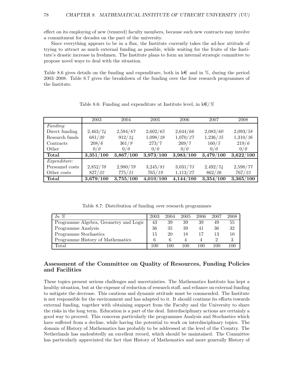effect on its employing of new (tenured) faculty members, because such new contracts may involve a commitment for decades on the part of the university.

Since everything appears to be in a flux, the Institute currently takes the ad-hoc attitude of trying to attract as much external funding as possible, while waiting for the fruits of the Institute's drastic increase in freshmen. The Institute plans to form an internal strategic committee to propose novel ways to deal with the situation.

Table 8.6 gives details on the funding and expenditure, both in  $k\epsilon$  and in %, during the period 2003–2008. Table 8.7 gives the breakdown of the funding over the four research programmes of the Institute.

|                     | 2003      | 2004      | 2005      | 2006      | 2007      | 2008      |
|---------------------|-----------|-----------|-----------|-----------|-----------|-----------|
| <i>Funding:</i>     |           |           |           |           |           |           |
| Direct funding      | 2,463/74  | 2,594/67  | 2,602/65  | 2,644/66  | 2,083/60  | 2,093/58  |
| Research funds      | 681/20    | 912/24    | 1,098/28  | 1,070/27  | 1,236/35  | 1,310/36  |
| Contracts           | 208/6     | 361/9     | 273/7     | 269/7     | 160/5     | 219/6     |
| Other               | 0/0       | 0/0       | 0/0       | 0/0       | 0/0       | 0/0       |
| Total               | 3,351/100 | 3,867/100 | 3,973/100 | 3,983/100 | 3,479/100 | 3,622/100 |
| <i>Expenditure:</i> |           |           |           |           |           |           |
| Personnel costs     | 2,852/78  | 2,980/79  | 3,245/81  | 3,031/73  | 2,492/74  | 2,598/77  |
| Other costs         | 827/22    | 775/21    | 765/19    | 1,113/27  | 862/26    | 767/23    |
| Total               | 3,679/100 | 3,755/100 | 4,010/100 | 4,144/100 | 3,354/100 | 3,365/100 |

Table 8.6: Funding and expenditure at Institute level, in  $k \in \mathcal{K}$ 

Table 8.7: Distribution of funding over research programmes

| In $\%$                               | 2003 | 2004 | 2005 | 2006 | 2007 | 2008           |
|---------------------------------------|------|------|------|------|------|----------------|
| Programme Algebra, Geometry and Logic | 43   | 39   | 39   | 39   | 49   | 55             |
| Programme Analysis                    | 36   | 35   | 39   |      | 36   | 32             |
| Programme Stochastics                 | 15   | 20   |      |      | 13   | 10             |
| Programme History of Mathematics      |      |      |      |      |      |                |
| Total                                 | 100  | 100  |      | 100  | 100  | 0 <sup>0</sup> |

### Assessment of the Committee on Quality of Resources, Funding Policies and Facilities

These topics present serious challenges and uncertainties. The Mathematics Institute has kept a healthy situation, but at the expense of reduction of research staff, and reliance on external funding to mitigate the decrease. This cautious and dynamic attitude must be commended. The Institute is not responsible for the environment and has adapted to it. It should continue its efforts towards external funding, together with obtaining support from the Faculty and the University to share the risks in the long term. Education is a part of the deal. Interdisciplinary actions are certainly a good way to proceed. This concerns particularly the programmes Analysis and Stochastics which have suffered from a decline, while having the potential to work on interdisciplinary topics. The domain of History of Mathematics has probably to be addressed at the level of the Country. The Netherlands has undoubtedly an excellent record, which should be maintained. The Committee has particularly appreciated the fact that History of Mathematics and more generally History of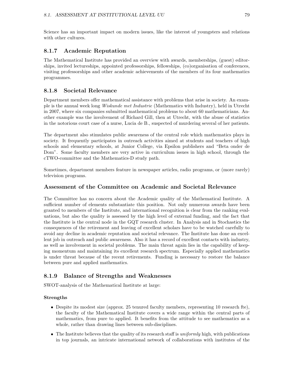Science has an important impact on modern issues, like the interest of youngsters and relations with other cultures.

# 8.1.7 Academic Reputation

The Mathematical Institute has provided an overview with awards, memberships, (guest) editorships, invited lectureships, appointed professorships, fellowships, (co)organisation of conferences, visiting professorships and other academic achievements of the members of its four mathematics programmes.

# 8.1.8 Societal Relevance

Department members offer mathematical assistance with problems that arise in society. An example is the annual week long Wiskunde met Industrie (Mathematics with Industry), held in Utrecht in 2007, where six companies submitted mathematical problems to about 60 mathematicians. Another example was the involvement of Richard Gill, then at Utrecht, with the abuse of statistics in the notorious court case of a nurse, Lucia de B., suspected of murdering several of her patients.

The department also stimulates public awareness of the central role which mathematics plays in society. It frequently participates in outreach activities aimed at students and teachers of high schools and elementary schools, at Junior College, via Epsilon publishers and "Beta onder de Dom". Some faculty members are very active in curriculum issues in high school, through the cTWO-committee and the Mathematics-D study path.

Sometimes, department members feature in newspaper articles, radio programs, or (more rarely) television programs.

### Assessment of the Committee on Academic and Societal Relevance

The Committee has no concern about the Academic quality of the Mathematical Institute. A sufficient number of elements substantiate this position. Not only numerous awards have been granted to members of the Institute, and international recognition is clear from the ranking evaluations, but also the quality is assessed by the high level of external funding, and the fact that the Institute is the central node in the GQT research cluster. In Analysis and in Stochastics the consequences of the retirement and leaving of excellent scholars have to be watched carefully to avoid any decline in academic reputation and societal relevance. The Institute has done an excellent job in outreach and public awareness. Also it has a record of excellent contacts with industry, as well as involvement in societal problems. The main threat again lies in the capability of keeping momentum and maintaining its excellent research spectrum. Especially applied mathematics is under threat because of the recent retirements. Funding is necessary to restore the balance between pure and applied mathematics.

## 8.1.9 Balance of Strengths and Weaknesses

SWOT-analysis of the Mathematical Institute at large:

#### Strengths

- Despite its modest size (approx. 25 tenured faculty members, representing 10 research fte), the faculty of the Mathematical Institute covers a wide range within the central parts of mathematics, from pure to applied. It benefits from the attitude to see mathematics as a whole, rather than drawing lines between sub-disciplines.
- $\bullet$  The Institute believes that the quality of its research staff is uniformly high, with publications in top journals, an intricate international network of collaborations with institutes of the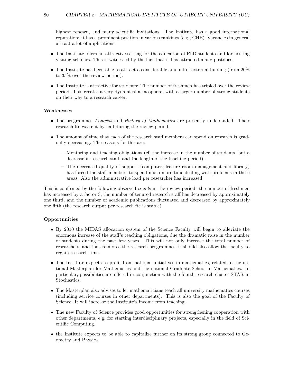highest renown, and many scientific invitations. The Institute has a good international reputation: it has a prominent position in various rankings (e.g., CHE). Vacancies in general attract a lot of applications.

- The Institute offers an attractive setting for the education of PhD students and for hosting visiting scholars. This is witnessed by the fact that it has attracted many postdocs.
- $\bullet$  The Institute has been able to attract a considerable amount of external funding (from 20%) to 35% over the review period).
- The Institute is attractive for students: The number of freshmen has tripled over the review period. This creates a very dynamical atmosphere, with a larger number of strong students on their way to a research career.

#### Weaknesses

- The programmes Analysis and History of Mathematics are presently understaffed. Their research fte was cut by half during the review period.
- The amount of time that each of the research staff members can spend on research is gradually decreasing. The reasons for this are:
	- Mentoring and teaching obligations (cf. the increase in the number of students, but a decrease in research staff; and the length of the teaching period).
	- The decreased quality of support (computer, lecture room management and library) has forced the staff members to spend much more time dealing with problems in these areas. Also the administrative load per researcher has increased.

This is confirmed by the following observed *trends* in the review period: the number of freshmen has increased by a factor 3, the number of tenured research staff has decreased by approximately one third, and the number of academic publications fluctuated and decreased by approximately one fifth (the research output per research fte is stable).

#### Opportunities

- By 2010 the MIDAS allocation system of the Science Faculty will begin to alleviate the enormous increase of the staff's teaching obligations, due the dramatic raise in the number of students during the past few years. This will not only increase the total number of researchers, and thus reinforce the research programmes, it should also allow the faculty to regain research time.
- The Institute expects to profit from national initiatives in mathematics, related to the national Masterplan for Mathematics and the national Graduate School in Mathematics. In particular, possibilities are offered in conjunction with the fourth research cluster STAR in Stochastics.
- The Masterplan also advises to let mathematicians teach all university mathematics courses (including service courses in other departments). This is also the goal of the Faculty of Science. It will increase the Institute's income from teaching.
- The new Faculty of Science provides good opportunities for strengthening cooperation with other departments, e.g. for starting interdisciplinary projects, especially in the field of Scientific Computing.
- the Institute expects to be able to capitalize further on its strong group connected to Geometry and Physics.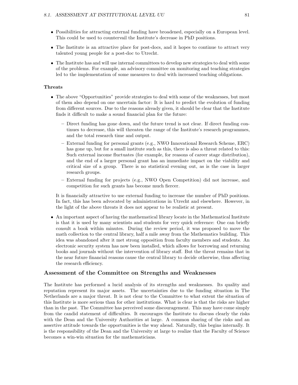- Possibilities for attracting external funding have broadened, especially on a European level. This could be used to countervail the Institute's decrease in PhD positions.
- The Institute is an attractive place for post-docs, and it hopes to continue to attract very talented young people for a post-doc to Utrecht.
- The Institute has and will use internal committees to develop new strategies to deal with some of the problems. For example, an advisory committee on monitoring and teaching strategies led to the implementation of some measures to deal with increased teaching obligations.

#### Threats

- The above "Opportunities" provide strategies to deal with some of the weaknesses, but most of them also depend on one uncertain factor: It is hard to predict the evolution of funding from different sources. Due to the reasons already given, it should be clear that the Institute finds it difficult to make a sound financial plan for the future:
	- Direct funding has gone down, and the future trend is not clear. If direct funding continues to decrease, this will threaten the range of the Institute's research programmes, and the total research time and output.
	- External funding for personal grants (e.g., NWO Innovational Research Scheme, ERC) has gone up, but for a small institute such as this, there is also a threat related to this: Such external income fluctuates (for example, for reasons of career stage distribution), and the end of a larger personal grant has an immediate impact on the viability and critical size of a group. There is no statistical evening out, as is the case in larger research groups.
	- External funding for projects (e.g., NWO Open Competition) did not increase, and competition for such grants has become much fiercer.

It is financially attractive to use external funding to increase the number of PhD positions. In fact, this has been advocated by administrations in Utrecht and elsewhere. However, in the light of the above threats it does not appear to be realistic at present.

 An important aspect of having the mathematical library locate in the Mathematical Institute is that it is used by many scientists and students for very quick reference: One can briefly consult a book within minutes. During the review period, it was proposed to move the math collection to the central library, half a mile away from the Mathematics building. This idea was abandoned after it met strong opposition from faculty members and students. An electronic security system has now been installed, which allows for borrowing and returning books and journals without the intervention of library staff. But the threat remains that in the near future financial reasons cause the central library to decide otherwise, thus affecting the research efficiency.

#### Assessment of the Committee on Strengths and Weaknesses

The Institute has performed a lucid analysis of its strengths and weaknesses. Its quality and reputation represent its major assets. The uncertainties due to the funding situation in The Netherlands are a major threat. It is not clear to the Committee to what extent the situation of this Institute is more serious than for other institutions. What is clear is that the risks are higher than in the past. The Committee has perceived some discouragement. This may have come simply from the candid statement of difficulties. It encourages the Institute to discuss clearly the risks with the Dean and the University Authorities at large. A common sharing of the risks and an assertive attitude towards the opportunities is the way ahead. Naturally, this begins internally. It is the responsibility of the Dean and the University at large to realize that the Faculty of Science becomes a win-win situation for the mathematicians.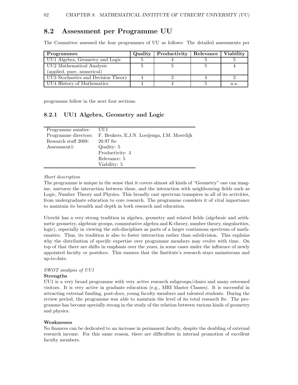# 8.2 Assessment per Programme UU

The Committee assessed the four programmes of UU as follows: The detailed assessments per

| Programmes                          | Quality | Productivity   Relevance | <b>Viability</b> |
|-------------------------------------|---------|--------------------------|------------------|
| UU1 Algebra, Geometry and Logic     |         |                          |                  |
| UU2 Mathematical Analysis           |         |                          |                  |
| (applied, pure, numerical)          |         |                          |                  |
| UU3 Stochastics and Decision Theory |         |                          |                  |
| UU4 History of Mathematics          |         |                          | n.a.             |

programme follow in the next four sections.

## 8.2.1 UU1 Algebra, Geometry and Logic

| Programme number:    | UU1                                         |
|----------------------|---------------------------------------------|
| Programme directors: | F. Beukers, E.J.N. Looijenga, I.M. Moerdijk |
| Research staff 2008: | $20.97$ fte                                 |
| Assessment1:         | Quality: 5                                  |
|                      | Productivity: 4                             |
|                      | Relevance: 5                                |
|                      | Viability: 5                                |

#### Short description

The programme is unique in the sense that it covers almost all kinds of "Geometry" one can imagine, nurtures the interaction between these, and the interaction with neighbouring fields such as Logic, Number Theory and Physics. This broadly cast spectrum transpires in all of its activities, from undergraduate education to core research. The programme considers it of vital importance to maintain its breadth and depth in both research and education.

Utrecht has a very strong tradition in algebra, geometry and related fields (algebraic and arithmetic geometry, algebraic groups, commutative algebra and K-theory, number theory, singularities, logic), especially in viewing the sub-disciplines as parts of a larger continuous spectrum of mathematics. Thus, its tradition is also to foster interaction rather than subdivision. This explains why the distribution of specific expertise over programme members may evolve with time. On top of that there are shifts in emphasis over the years, in some cases under the influence of newly appointed faculty or postdocs. This ensures that the Institute's research stays mainstream and up-to-date.

#### SWOT analysis of UU1

#### Strengths

UU1 is a very broad programme with very active research subgroups/chairs and many esteemed visitors. It is very active in graduate education (e.g., MRI Master Classes). It is successful in attracting external funding, post-docs, young faculty members and talented students. During the review period, the programme was able to maintain the level of its total research fte. The programme has become specially strong in the study of the relation between various kinds of geometry and physics.

#### Weaknesses

No finances can be dedicated to an increase in permanent faculty, despite the doubling of external research income. For this same reason, there are difficulties in internal promotion of excellent faculty members.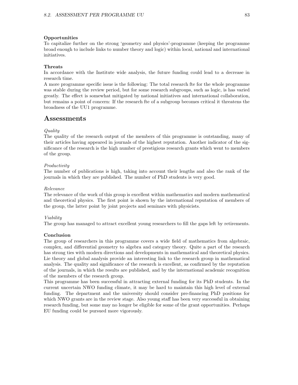#### Opportunities

To capitalize further on the strong 'geometry and physics'-programme (keeping the programme broad enough to include links to number theory and logic) within local, national and international initiatives.

#### Threats

In accordance with the Institute wide analysis, the future funding could lead to a decrease in research time.

A more programme specific issue is the following: The total research fte for the whole programme was stable during the review period, but for some research subgroups, such as logic, is has varied greatly. The effect is somewhat mitigated by national initiatives and international collaboration, but remains a point of concern: If the research fte of a subgroup becomes critical it threatens the broadness of the UU1 programme.

### Assessments

#### Quality

The quality of the research output of the members of this programme is outstanding, many of their articles having appeared in journals of the highest reputation. Another indicator of the significance of the research is the high number of prestigious research grants which went to members of the group.

#### Productivity

The number of publications is high, taking into account their lengths and also the rank of the journals in which they are published. The number of PhD students is very good.

#### Relevance

The relevance of the work of this group is excellent within mathematics and modern mathematical and theoretical physics. The first point is shown by the international reputation of members of the group, the latter point by joint projects and seminars with physicists.

#### Viability

The group has managed to attract excellent young researchers to fill the gaps left by retirements.

#### Conclusion

The group of researchers in this programme covers a wide field of mathematics from algebraic, complex, and differential geometry to algebra and category theory. Quite a part of the research has strong ties with modern directions and developments in mathematical and theoretical physics. Lie theory and global analysis provide an interesting link to the research group in mathematical analysis. The quality and significance of the research is excellent, as confirmed by the reputation of the journals, in which the results are published, and by the international academic recognition of the members of the research group.

This programme has been successful in attracting external funding for its PhD students. In the current uncertain NWO funding climate, it may be hard to maintain this high level of external funding. The department and the university should consider pre-financing PhD positions for which NWO grants are in the review stage. Also young staff has been very successful in obtaining research funding, but some may no longer be eligible for some of the grant opportunities. Perhaps EU funding could be pursued more vigorously.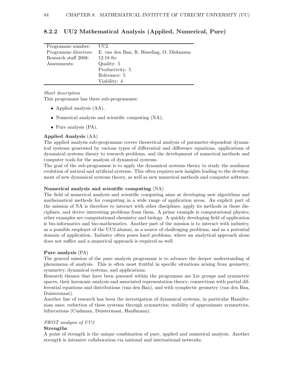| Programme number:    | UU2                                       |
|----------------------|-------------------------------------------|
| Programme directors: | E. van den Ban, R. Bisseling, O. Diekmann |
| Research staff 2008: | $12.18$ fte                               |
| Assessments:         | Quality: 5                                |
|                      | Productivity: 5                           |
|                      | Relevance: 5                              |
|                      | Viability: 4                              |
|                      |                                           |

## 8.2.2 UU2 Mathematical Analysis (Applied, Numerical, Pure)

#### Short description

This programme has three sub-programmes:

- Applied analysis  $(AA)$ ,
- Numerical analysis and scientific computing (NA),
- Pure analysis (PA).

#### Applied Analysis (AA)

The applied analysis sub-programme covers theoretical analysis of parameter-dependent dynamical systems generated by various types of differential and difference equations, applications of dynamical systems theory to research problems, and the development of numerical methods and computer tools for the analysis of dynamical systems.

The goal of the sub-programme is to apply the dynamical systems theory to study the nonlinear evolution of natural and artificial systems. This often requires new insights leading to the development of new dynamical systems theory, as well as new numerical methods and computer software.

#### Numerical analysis and scientific computing (NA)

The field of numerical analysis and scientific computing aims at developing new algorithms and mathematical methods for computing in a wide range of application areas. An explicit part of the mission of NA is therefore to interact with other disciplines, apply its methods in those disciplines, and derive interesting problems from them. A prime example is computational physics; other examples are computational chemistry and biology. A quickly developing field of application is bio-informatics and bio-mathematics. Another part of the mission is to interact with industry, as a possible employer of the UU2 alumni, as a source of challenging problems, and as a potential domain of application. Industry often poses hard problems, where an analytical approach alone does not suffice and a numerical approach is required as well.

#### Pure analysis (PA)

The general mission of the pure analysis programme is to advance the deeper understanding of phenomena of analysis. This is often most fruitful in specific situations arising from geometry, symmetry, dynamical systems, and applications.

Research themes that have been pursued within the programme are Lie groups and symmetric spaces, their harmonic analysis and associated representation theory; connections with partial differential equations and distributions (van den Ban), and with symplectic geometry (van den Ban, Duistermaat).

Another line of research has been the investigation of dynamical systems, in particular Hamiltonian ones; reduction of these systems through symmetries; stability of approximate symmetries, bifurcations (Cushman, Duistermaat, Hanßmann).

#### SWOT analysis of UU2

#### Strengths

A point of strength is the unique combination of pure, applied and numerical analysis. Another strength is intensive collaboration via national and international networks.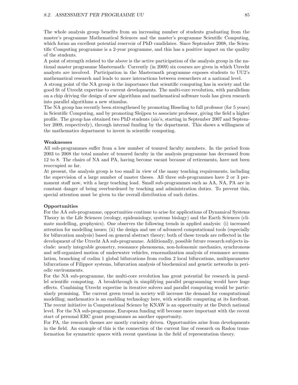#### 8.2. ASSESSMENT PER PROGRAMME UU 85

The whole analysis group benefits from an increasing number of students graduating from the master's programme Mathematical Sciences and the master's programme Scientific Computing, which forms an excellent potential reservoir of PhD candidates. Since September 2008, the Scientific Computing programme is a 2-year programme, and this has a positive impact on the quality of the students.

A point of strength related to the above is the active participation of the analysis group in the national master programme Mastermath: Currently (in 2009) six courses are given in which Utrecht analysts are involved. Participation in the Mastermath programme exposes students to UU2's mathematical research and leads to more interactions between researchers at a national level.

A strong point of the NA group is the importance that scientific computing has in society and the good fit of Utrecht expertise to current developments. The multi-core revolution, with parallelism on a chip driving the design of new algorithms and mathematical software tools has given research into parallel algorithms a new stimulus.

The NA group has recently been strengthened by promoting Bisseling to full professor (for 5 years) in Scientific Computing, and by promoting Sleijpen to associate professor, giving the field a higher profile. The group has obtained two PhD students (aio's, starting in September 2007 and September 2009, respectively), through internal funding by the department. This shows a willingness of the mathematics department to invest in scientific computing.

#### Weaknesses

All sub-programmes suffer from a low number of tenured faculty members. In the period from 2003 to 2008 the total number of tenured faculty in the analysis programme has decreased from 12 to 8. The chairs of NA and PA, having become vacant because of retirements, have not been reoccupied so far.

At present, the analysis group is too small in view of the many teaching requirements, including the supervision of a large number of master theses. All three sub-programmes have 2 or 3 permanent staff now, with a large teaching load. Small sub-programmes such as AA, NA, PA are in constant danger of being overburdened by teaching and administration duties. To prevent this, special attention must be given to the overall distribution of such duties.

#### Opportunities

For the AA sub-programme, opportunities continue to arise for applications of Dynamical Systems Theory in the Life Sciences (ecology, epidemiology, systems biology) and the Earth Sciences (climate modelling, geophysics). One observes the following trends in applied analysis: (i) increased attention for modelling issues; (ii) the design and use of advanced computational tools (especially for bifurcation analysis) based on general abstract theory; both of these trends are reflected in the development of the Utrecht AA sub-programme. Additionally, possible future research subjects include: nearly integrable geometry, resonance phenomena, non-holonomic mechanics, synchronous and self-organized motion of underwater vehicles, renormalization analysis of resonance accumulation, branching of codim 1 global bifurcations from codim 2 local bifurcations, multiparameter bifurcations of Filippov systems, bifurcation analysis of biochemical and genetic networks in periodic environments.

For the NA sub-programme, the multi-core revolution has great potential for research in parallel scientific computing. A breakthrough in simplifying parallel programming would have huge effects. Combining Utrecht expertise in iterative solvers and parallel computing would be particularly promising. The current green trend in society will increase the demand for computational modelling; mathematics is an enabling technology here, with scientific computing at its forefront. The recent initiative in Computational Science by KNAW is an opportunity at the Dutch national level. For the NA sub-programme, European funding will become more important with the recent start of personal ERC grant programmes as another opportunity.

For PA, the research themes are mostly curiosity driven. Opportunities arise from developments in the field. An example of this is the connection of the current line of research on Radon transformation for symmetric spaces with recent questions in the field of representation theory.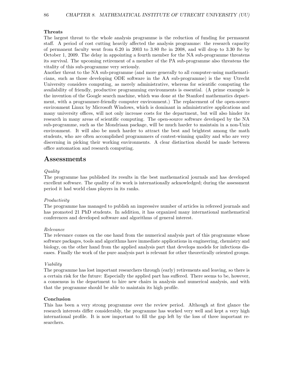86 CHAPTER 8. MATHEMATICAL INSTITUTE OF UTRECHT UNIVERSITY (UU)

#### Threats

The largest threat to the whole analysis programme is the reduction of funding for permanent staff. A period of cost cutting heavily affected the analysis programme: the research capacity of permanent faculty went from 6.20 in 2003 to 3.80 fte in 2008, and will drop to 3.30 fte by October 1, 2009. The delay in appointing a fourth member for the NA sub-programme threatens its survival. The upcoming retirement of a member of the PA sub-programme also threatens the vitality of this sub-programme very seriously.

Another threat to the NA sub-programme (and more generally to all computer-using mathematicians, such as those developing ODE software in the AA sub-programme) is the way Utrecht University considers computing, as merely administrative, whereas for scientific computing the availability of friendly, productive programming environments is essential. (A prime example is the invention of the Google search machine, which was done at the Stanford mathematics department, with a programmer-friendly computer environment.) The replacement of the open-source environment Linux by Microsoft Windows, which is dominant in administrative applications and many university offices, will not only increase costs for the department, but will also hinder its research in many areas of scientific computing. The open-source software developed by the NA sub-programme, such as the Mondriaan package, will be much harder to maintain in a non-Unix environment. It will also be much harder to attract the best and brightest among the math students, who are often accomplished programmers of contest-winning quality and who are very discerning in picking their working environments. A clear distinction should be made between office automation and research computing.

### Assessments

#### Quality

The programme has published its results in the best mathematical journals and has developed excellent software. The quality of its work is internationally acknowledged; during the assessment period it had world class players in its ranks.

#### Productivity

The programme has managed to publish an impressive number of articles in refereed journals and has promoted 21 PhD students. In addition, it has organized many international mathematical conferences and developed software and algorithms of general interest.

#### Relevance

The relevance comes on the one hand from the numerical analysis part of this programme whose software packages, tools and algorithms have immediate applications in engineering, chemistry and biology, on the other hand from the applied analysis part that develops models for infectious diseases. Finally the work of the pure analysis part is relevant for other theoretically oriented groups.

#### Viability

The programme has lost important researchers through (early) retirements and leaving, so there is a certain risk for the future: Especially the applied part has suffered. There seems to be, however, a consensus in the department to hire new chairs in analysis and numerical analysis, and with that the programme should be able to maintain its high profile.

#### Conclusion

This has been a very strong programme over the review period. Although at first glance the research interests differ considerably, the programme has worked very well and kept a very high international profile. It is now important to fill the gap left by the loss of three important researchers.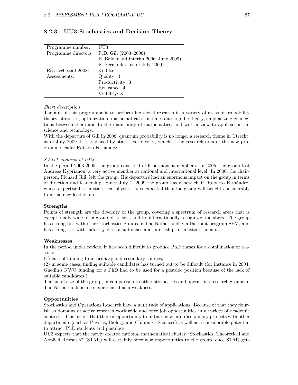| Programme number:    | UU3                                   |
|----------------------|---------------------------------------|
| Programme directors: | R.D. Gill (2003-2006)                 |
|                      | E. Balder (ad interim 2006–June 2009) |
|                      | R. Fernandez (as of July 2009)        |
| Research staff 2008: | $3.60$ fte                            |
| Assessments:         | Quality: 4                            |
|                      | Productivity: 3                       |
|                      | Relevance: 4                          |
|                      | Viability: 3                          |

# 8.2.3 UU3 Stochastics and Decision Theory

#### Short description

The aim of this programme is to perform high-level research in a variety of areas of probability theory, statistics, optimization, mathematical economics and ergodic theory, emphasizing connections between them and to the main body of mathematics, and with a view to applications in science and technology.

With the departure of Gill in 2006, quantum probability is no longer a research theme in Utrecht; as of July 2009, it is replaced by statistical physics, which is the research area of the new programme leader Roberto Fernandez.

#### SWOT analysis of UU3

In the period 2003-2005, the group consisted of 6 permanent members. In 2005, the group lost Andreas Kyprianou, a very active member at national and international level. In 2006, the chairperson, Richard Gill, left the group. His departure had an enormous impact on the group in terms of direction and leadership. Since July 1, 2009 the group has a new chair, Roberto Fern´andez, whose expertise lies in statistical physics. It is expected that the group will benefit considerably from his new leadership.

#### Strengths

Points of strength are the diversity of the group, covering a spectrum of research areas that is exceptionally wide for a group of its size, and its internationally recognized members. The group has strong ties with other stochastics groups in The Netherlands via the joint program SFM, and has strong ties with industry via consultancies and internships of master students.

#### Weaknesses

In the period under review, it has been difficult to produce PhD theses for a combination of reasons:

(1) lack of funding from primary and secondary sources,

(2) in some cases, finding suitable candidates has turned out to be difficult (for instance in 2004, Gnedin's NWO funding for a PhD had to be used for a postdoc position because of the lack of suitable candidates.)

The small size of the group, in comparison to other stochastics and operations research groups in The Netherlands is also experienced as a weakness.

#### Opportunities

Stochastics and Operations Research have a multitude of applications. Because of that they flourish as domains of active research worldwide and offer job opportunities in a variety of academic contexts. This means that there is opportunity to initiate new interdisciplinary projects with other departments (such as Physics, Biology and Computer Sciences) as well as a considerable potential to attract PhD students and postdocs.

UU3 expects that the newly created national mathematical cluster "Stochastics, Theoretical and Applied Research" (STAR) will certainly offer new opportunities to the group, once STAR gets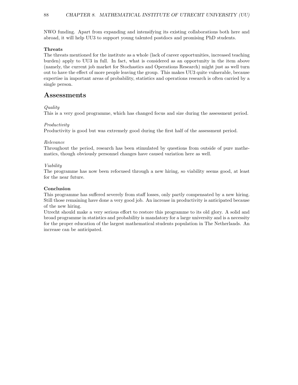NWO funding. Apart from expanding and intensifying its existing collaborations both here and abroad, it will help UU3 to support young talented postdocs and promising PhD students.

#### Threats

The threats mentioned for the institute as a whole (lack of career opportunities, increased teaching burden) apply to UU3 in full. In fact, what is considered as an opportunity in the item above (namely, the current job market for Stochastics and Operations Research) might just as well turn out to have the effect of more people leaving the group. This makes UU3 quite vulnerable, because expertise in important areas of probability, statistics and operations research is often carried by a single person.

# Assessments

#### Quality

This is a very good programme, which has changed focus and size during the assessment period.

#### Productivity

Productivity is good but was extremely good during the first half of the assessment period.

#### Relevance

Throughout the period, research has been stimulated by questions from outside of pure mathematics, though obviously personnel changes have caused variation here as well.

#### Viability

The programme has now been refocused through a new hiring, so viability seems good, at least for the near future.

### Conclusion

This programme has suffered severely from staff losses, only partly compensated by a new hiring. Still those remaining have done a very good job. An increase in productivity is anticipated because of the new hiring.

Utrecht should make a very serious effort to restore this programme to its old glory. A solid and broad programme in statistics and probability is mandatory for a large university and is a necessity for the proper education of the largest mathematical students population in The Netherlands. An increase can be anticipated.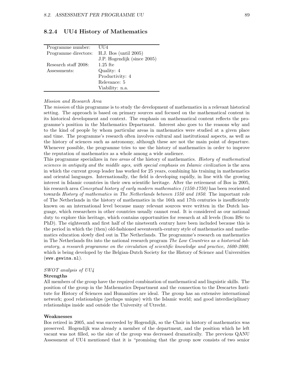| Programme number:    | UU4                         |
|----------------------|-----------------------------|
| Programme directors: | H.J. Bos (until 2005)       |
|                      | J.P. Hogendijk (since 2005) |
| Research staff 2008: | $1.25$ fte                  |
| Assessments:         | Quality: 4                  |
|                      | Productivity: 4             |
|                      | Relevance: 5                |
|                      | Viability: n.a.             |

#### 8.2.4 UU4 History of Mathematics

#### Mission and Research Area

The mission of this programme is to study the development of mathematics in a relevant historical setting. The approach is based on primary sources and focused on the mathematical content in its historical development and context. The emphasis on mathematical content reflects the programme's position in the Mathematics Department. Interest also goes to the reasons why and to the kind of people by whom particular areas in mathematics were studied at a given place and time. The programme's research often involves cultural and institutional aspects, as well as the history of sciences such as astronomy, although these are not the main point of departure. Whenever possible, the programme tries to use the history of mathematics in order to improve the reputation of mathematics as a whole among a wide audience.

This programme specializes in two areas of the history of mathematics. History of mathematical sciences in antiquity and the middle ages, with special emphasis on Islamic civilization is the area in which the current group leader has worked for 25 years, combining his training in mathematics and oriental languages. Internationally, the field is developing rapidly, in line with the growing interest in Islamic countries in their own scientific heritage. After the retirement of Bos in 2005, his research area *Conceptual history of early modern mathematics* (1550-1750) has been reoriented towards History of mathematics in The Netherlands between 1550 and 1850. The important role of The Netherlands in the history of mathematics in the 16th and 17th centuries is insufficiently known on an international level because many relevant sources were written in the Dutch language, which researchers in other countries usually cannot read. It is considered as our national duty to explore this heritage, which contains opportunities for research at all levels (from BSc to PhD). The eighteenth and first half of the nineteenth century have been included because this is the period in which the (then) old-fashioned seventeenth-century style of mathematics and mathematics education slowly died out in The Netherlands. The programme's research on mathematics in The Netherlands fits into the national research program The Low Countries as a historical laboratory, a research programme on the circulation of scientific knowledge and practice, 1600-2000, which is being developed by the Belgian-Dutch Society for the History of Science and Universities (www.gewina.nl).

#### SWOT analysis of UU4

#### Strengths

All members of the group have the required combination of mathematical and linguistic skills. The position of the group in the Mathematics Department and the connection to the Descartes Institute for History of Sciences and Humanities are ideal. The group has an extensive international network; good relationships (perhaps unique) with the Islamic world; and good interdisciplinary relationships inside and outside the University of Utrecht.

#### Weaknesses

Bos retired in 2005, and was succeeded by Hogendijk, so the Chair in history of mathematics was preserved. Hogendijk was already a member of the department, and the position which he left vacant was not filled, so the size of the group was decreased dramatically. The previous QANU Assessment of UU4 mentioned that it is "promising that the group now consists of two senior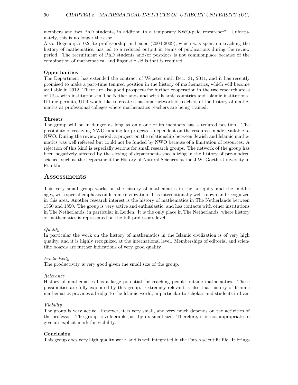members and two PhD students, in addition to a temporary NWO-paid researcher". Unfortunately, this is no longer the case.

Also, Hogendijk's 0.2 fte professorship in Leiden (2004-2009), which was spent on teaching the history of mathematics, has led to a reduced output in terms of publications during the review period. The recruitment of PhD students and/or postdocs is not commonplace because of the combination of mathematical and linguistic skills that is required.

#### Opportunities

The Department has extended the contract of Wepster until Dec. 31, 2011, and it has recently promised to make a part-time tenured position in the history of mathematics, which will become available in 2012. There are also good prospects for further cooperation in the two research areas of UU4 with institutions in The Netherlands and with Islamic countries and Islamic institutions. If time permits, UU4 would like to create a national network of teachers of the history of mathematics at professional colleges where mathematics teachers are being trained.

#### Threats

The group will be in danger as long as only one of its members has a tenured position. The possibility of receiving NWO-funding for projects is dependent on the resources made available to NWO. During the review period, a project on the relationship between Jewish and Islamic mathematics was well refereed but could not be funded by NWO because of a limitation of resources. A rejection of this kind is especially serious for small research groups. The network of the group has been negatively affected by the closing of departments specializing in the history of pre-modern science, such as the Department for History of Natural Sciences at the J.W. Goethe-University in Frankfurt.

## Assessments

This very small group works on the history of mathematics in the antiquity and the middle ages, with special emphasis on Islamic civilization. It is internationally well-known and recognized in this area. Another research interest is the history of mathematics in The Netherlands between 1550 and 1850. The group is very active and enthusiastic, and has contacts with other institutions in The Netherlands, in particular in Leiden. It is the only place in The Netherlands, where history of mathematics is represented on the full professor's level.

#### Quality

In particular the work on the history of mathematics in the Islamic civilization is of very high quality, and it is highly recognized at the international level. Memberships of editorial and scientific boards are further indications of very good quality.

#### Productivity

The productivity is very good given the small size of the group.

#### Relevance

History of mathematics has a large potential for reaching people outside mathematics. These possibilities are fully exploited by this group. Extremely relevant is also that history of Islamic mathematics provides a bridge to the Islamic world, in particular to scholars and students in Iran.

#### Viability

The group is very active. However, it is very small, and very much depends on the activities of the professor. The group is vulnerable just by its small size. Therefore, it is not appropriate to give an explicit mark for viability.

#### Conclusion

This group does very high quality work, and is well integrated in the Dutch scientific life. It brings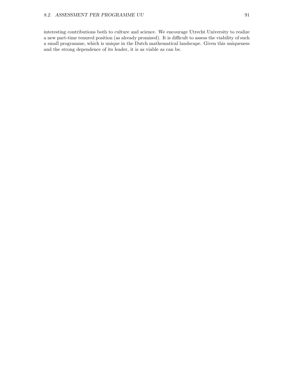interesting contributions both to culture and science. We encourage Utrecht University to realize a new part-time tenured position (as already promised). It is difficult to assess the viability of such a small programme, which is unique in the Dutch mathematical landscape. Given this uniqueness and the strong dependence of its leader, it is as viable as can be.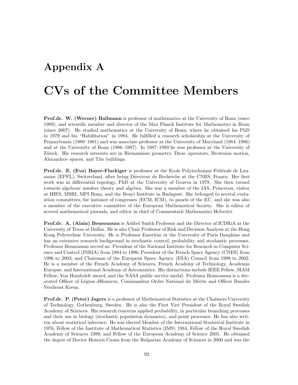# Appendix A

# CVs of the Committee Members

Prof.dr. W. (Werner) Ballmann is professor of mathematics at the University of Bonn (since 1989), and scientific member and director of the Max Planck Institute for Mathematics in Bonn (since 2007). He studied mathematics at the University of Bonn, where he obtained his PhD in 1979 and his "Habilitation" in 1984. He fulfilled a research scholarship at the University of Pennsylvania (1980–1981) and was associate professor at the University of Maryland (1984–1986) and at the University of Bonn (1986–1987). In 1987–1989 he was professor at the University of Zürich. His research interests are in Riemannian geometry, Dirac operators, Brownian motion, Alexandrov spaces, and Tits buildings.

Prof.dr. E. (Eva) Bayer-Fluckiger is professor at the Ecole Polytechnique Fédérale de Lausanne (EPFL), Switzerland, after being Directeur de Recherche at the CNRS, France. Her first work was in differential topology, PhD at the University of Geneva in 1979. She then turned towards algebraic number theory and algebra. She was a member of the IAS, Princeton, visitor at IHES, MSRI, MPI Bonn, and the Renyi Institute in Budapest. She belonged to several evaluation committees, for instance of congresses (ECM, ICM), to panels of the EU, and she was also a member of the executive committee of the European Mathematical Society. She is editor of several mathematical journals, and editor in chief of Commentarii Mathematici Helvetici.

Prof.dr. A. (Alain) Bensoussan is Ashbel Smith Professor and the Director of ICDRiA at the University of Texas at Dallas. He is also Chair Professor of Risk and Decision Analysis at the Hong Kong Polytechnic University. He is Professor Emeritus at the University of Paris Dauphine and has an extensive research background in stochastic control, probability and stochastic processes. Professor Bensoussan served as: President of the National Institute for Research in Computer Science and Control (INRIA) from 1984 to 1996; President of the French Space Agency (CNES) from 1996 to 2003; and Chairman of the European Space Agency (ESA) Council from 1999 to 2002. He is a member of the French Academy of Sciences, French Academy of Technology, Academia Europae, and International Academy of Astronautics. His distinctions include IEEE Fellow, SIAM Fellow, Von Humboldt award, and the NASA public service medal. Professor Bensoussan is a decorated Officer of L´egion dHonneur, Commandeur Ordre National du M´erite and Officer Bundes Verdienst Kreuz.

Prof.dr. P. (Peter) Jagers is a professor of Mathematical Statistics at the Chalmers University of Technology, Gothenburg, Sweden. He is also the First Vice President of the Royal Swedish Academy of Sciences. His research concerns applied probability, in particular branching processes and their use in biology (stochastic population dynamics), and point processes. He has also written about statistical inference. He was elected Member of the International Statistical Institute in 1976, Fellow of the Institute of Mathematical Statistics (IMS) 1984, Fellow of the Royal Swedish Academy of Sciences 1989, and Fellow of the European Academy of Science 2001. He obtained the degree of Doctor Honoris Causa from the Bulgarian Academy of Sciences in 2000 and was the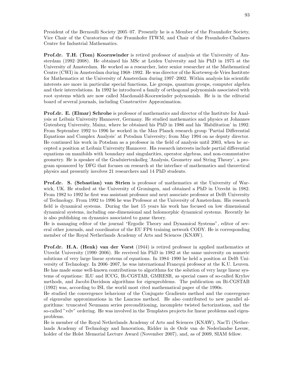President of the Bernoulli Society 2005–07. Presently he is a Member of the Fraunhofer Society, Vice Chair of the Curatorium of the Fraunhofer ITWM, and Chair of the Fraunhofer-Chalmers Centre for Industrial Mathematics.

Prof.dr. T.H. (Tom) Koornwinder is retired professor of analysis at the University of Amsterdam (1992–2008). He obtained his MSc at Leiden University and his PhD in 1975 at the University of Amsterdam. He worked as a researcher, later senior researcher at the Mathematical Centre (CWI) in Amsterdam during 1968–1992. He was director of the Korteweg-de Vries Institute for Mathematics at the University of Amsterdam during 1997–2002. Within analysis his scientific interests are more in particular special functions, Lie groups, quantum groups, computer algebra and their interrelations. In 1992 he introduced a family of orthogonal polynomials associated with root systems which are now called Macdonald-Koornwinder polynomials. He is in the editorial board of several journals, including Constructive Approximation.

Prof.dr. E. (Elmar) Schrohe is professor of mathematics and director of the Institute for Analysis at Leibniz University Hannover, Germany. He studied mathematics and physics at Johannes Gutenberg University, Mainz, where he obtained his PhD in 1986 and his 'Habilitation' in 1992. From September 1992 to 1996 he worked in the Max Planck research group 'Partial Differential Equations and Complex Analysis' at Potsdam University; from May 1994 on as deputy director. He continued his work in Potsdam as a professor in the field of analysis until 2003, when he accepted a position at Leibniz University Hannover. His research interests include partial differential equations on manifolds with boundary and singularities, operator algebras, and non-commutative geometry. He is speaker of the Graduiertenkolleg 'Analysis, Geometry and String Theory', a program sponsored by DFG that focuses on research at the interface of mathematics and theoretical physics and presently involves 21 researchers and 14 PhD students.

Prof.dr. S. (Sebastian) van Strien is professor of mathematics at the University of Warwick, UK. He studied at the University of Groningen, and obtained a PhD in Utrecht in 1982. From 1982 to 1992 he first was assistant professor and next associate professor at Delft University of Technology. From 1992 to 1996 he was Professor at the University of Amsterdam. His research field is dynamical systems. During the last 15 years his work has focused on low dimensional dynamical systems, including one-dimensional and holomorphic dynamical systems. Recently he is also publishing on dynamics associated to game theory.

He is managing editor of the journal "Ergodic Theory and Dynamical Systems", editor of several other journals, and coordinator of the EU FP6 training network CODY. He is corresponding member of the Royal Netherlands Academy of Arts and Sciences (KNAW).

Prof.dr. H.A. (Henk) van der Vorst (1944) is retired professor in applied mathematics at Utrecht University (1990–2006). He received his PhD in 1982 at the same university on numeric solutions of very large linear systems of equations. In 1984–1990 he held a position at Delft University of Technology. In 2006–2007, he was international Francqui professor at the K.U. Leuven. He has made some well-known contributions to algorithms for the solution of very large linear systems of equations: ILU and ICCG, Bi-CGSTAB, GMRESR, as special cases of so-called Krylov methods, and Jacobi-Davidson algorithms for eigenproblems. The publication on Bi-CGSTAB (1992) was, according to ISI, the world most cited mathematical paper of the 1990s.

He studied the convergence behaviour of the Conjugate Gradients method and the convergence of eigenvalue approximations in the Lanczos method. He also contributed to new parallel algorithms: truncated Neumann series preconditioning, incomplete twisted factorizations, and the so-called "vdv" ordering. He was involved in the Templates projects for linear problems and eigenproblems.

He is member of the Royal Netherlands Academy of Arts and Sciences (KNAW), NacTi (Netherlands Academy of Technology and Innovation, Ridder in de Orde van de Nederlandse Leeuw, holder of the Holst Memorial Lecture Award (November 2007), and, as of 2009, SIAM fellow.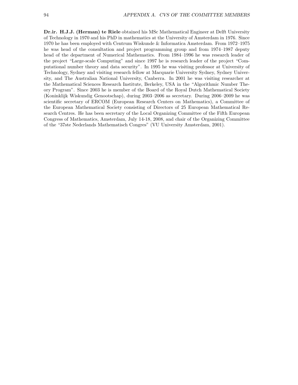Dr.ir. H.J.J. (Herman) te Riele obtained his MSc Mathematical Engineer at Delft University of Technology in 1970 and his PhD in mathematics at the University of Amsterdam in 1976. Since 1970 he has been employed with Centrum Wiskunde & Informatica Amsterdam. From 1972–1975 he was head of the consultation and project programming group and from 1974–1987 deputy head of the department of Numerical Mathematics. From 1984–1996 he was research leader of the project "Large-scale Computing" and since 1997 he is research leader of the project "Computational number theory and data security". In 1995 he was visiting professor at University of Technology, Sydney and visiting research fellow at Macquarie University Sydney, Sydney University, and The Australian National University, Canberra. In 2001 he was visiting researcher at the Mathematical Sciences Research Institute, Berkeley, USA in the "Algorithmic Number Theory Program". Since 2003 he is member of the Board of the Royal Dutch Mathematical Society (Koninklijk Wiskundig Genootschap), during 2003–2006 as secretary. During 2006–2009 he was scientific secretary of ERCOM (European Research Centers on Mathematics), a Committee of the European Mathematical Society consisting of Directors of 25 European Mathematical Research Centres. He has been secretary of the Local Organizing Committee of the Fifth European Congress of Mathematics, Amsterdam, July 14-18, 2008, and chair of the Organizing Committee of the "37ste Nederlands Mathematisch Congres" (VU University Amsterdam, 2001).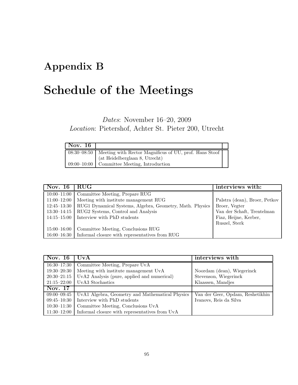# Appendix B

# Schedule of the Meetings

# Dates: November 16–20, 2009

Location: Pietershof, Achter St. Pieter 200, Utrecht

| Nov. $16$ |                                                                      |  |
|-----------|----------------------------------------------------------------------|--|
|           | 08:30–08:50   Meeting with Rector Magnificus of UU, prof. Hans Stoof |  |
|           | (at Heidelberglaan 8, Utrecht)                                       |  |
|           | $09:00-10:00$ Committee Meeting, Introduction                        |  |

| Nov. 16         | RUG                                                            | interviews with:              |
|-----------------|----------------------------------------------------------------|-------------------------------|
| $10:00 - 11:00$ | Committee Meeting, Prepare RUG                                 |                               |
| $11:00-12:00$   | Meeting with institute management RUG                          | Palstra (dean), Broer, Petkov |
| $12:45 - 13:30$ | RUG1 Dynamical Systems, Algebra, Geometry, Math. Physics       | Broer, Vegter                 |
| $13:30 - 14:15$ | RUG2 Systems, Control and Analysis                             | Van der Schaft, Trentelman    |
| $14:15 - 15:00$ | Interview with PhD students                                    | Fiaz, Heijne, Kerber,         |
|                 |                                                                | Ruszel, Sterk                 |
| $15:00 - 16:00$ | Committee Meeting, Conclusions RUG                             |                               |
|                 | $16:00-16:30$   Informal closure with representatives from RUG |                               |

| Nov. 16         | IUVA                                            | interviews with                  |
|-----------------|-------------------------------------------------|----------------------------------|
| $16:30-17:30$   | Committee Meeting, Prepare UvA                  |                                  |
| $19:30 - 20:30$ | Meeting with institute management UvA           | Noordam (dean), Wiegerinck       |
| $20:30 - 21:15$ | UvA2 Analysis (pure, applied and numerical)     | Stevenson, Wiegerinck            |
| $21:15 - 22:00$ | UvA3 Stochastics                                | Klaassen, Mandjes                |
| Nov. 17         |                                                 |                                  |
| $09:00 - 09:45$ | UvA1 Algebra, Geometry and Mathematical Physics | Van der Geer, Opdam, Reshetikhin |
| $09:45 - 10:30$ | Interview with PhD students                     | Ivanovs, Reis da Silva           |
| $10:30-11:30$   | Committee Meeting, Conclusions UvA              |                                  |
| $11:30-12:00$   | Informal closure with representatives from UvA  |                                  |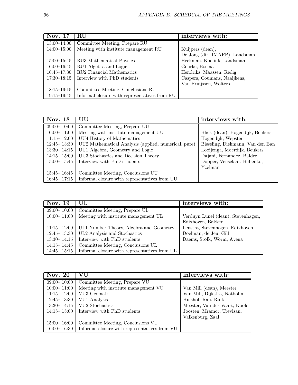| Nov. 17         | RU.                                           | interviews with:               |
|-----------------|-----------------------------------------------|--------------------------------|
| $13:00 - 14:00$ | Committee Meeting, Prepare RU                 |                                |
| $14:00 - 15:00$ | Meeting with institute management RU          | Kuijpers (dean),               |
|                 |                                               | De Jong (dir. IMAPP), Landsman |
| $15:00 - 15:45$ | RU3 Mathematical Physics                      | Heckman, Koelink, Landsman     |
| $16:00 - 16:45$ | RU1 Algebra and Logic                         | Gehrke, Bosma                  |
| $16:45 - 17:30$ | RU2 Financial Mathematics                     | Hendriks, Maassen, Redig       |
| $17:30 - 18:15$ | Interview with PhD students                   | Caspers, Coumans, Naaijkens,   |
|                 |                                               | Van Pruijssen, Wolters         |
| $18:15 - 19:15$ | Committee Meeting, Conclusions RU             |                                |
| $19:15 - 19:45$ | Informal closure with representatives from RU |                                |

| Nov. 18         |                                                      | interviews with:                 |
|-----------------|------------------------------------------------------|----------------------------------|
| $09:00 - 10:00$ | Committee Meeting, Prepare UU                        |                                  |
| $10:00 - 11:00$ | Meeting with institute management UU                 | Bliek (dean), Hogendijk, Beukers |
| $11:15 - 12:00$ | UU4 History of Mathematics                           | Hogendijk, Wepster               |
| $12:45 - 13:30$ | UU2 Mathematical Analysis (applied, numerical, pure) | Bisseling, Diekmann, Van den Ban |
| $13:30 - 14:15$ | UU1 Algebra, Geometry and Logic                      | Looijenga, Moerdijk, Beukers     |
| $14:15 - 15:00$ | UU3 Stochastics and Decision Theory                  | Dajani, Fernandez, Balder        |
| $15:00 - 15:45$ | Interview with PhD students                          | Dopper, Venselaar, Babenko,      |
|                 |                                                      | Yzelman                          |
| $15:45 - 16:45$ | Committee Meeting, Conclusions UU                    |                                  |
| $16:45 - 17:15$ | Informal closure with representatives from UU        |                                  |

| Nov. 19         |                                               | interviews with:                   |
|-----------------|-----------------------------------------------|------------------------------------|
| $09:00 - 10:00$ | Committee Meeting, Prepare UL                 |                                    |
| $10:00 - 11:00$ | Meeting with institute management UL          | Verduyn Lunel (dean), Stevenhagen, |
|                 |                                               | Edixhoven, Bakker                  |
| $11:15 - 12:00$ | UL1 Number Theory, Algebra and Geometry       | Lenstra, Stevenhagen, Edixhoven    |
| $12:45 - 13:30$ | UL2 Analysis and Stochastics                  | Doelman, de Jeu, Gill              |
| $13:30 - 14:15$ | Interview with PhD students                   | Daems, Stolk, Worm, Avena          |
| $14:15 - 14:45$ | Committee Meeting, Conclusions UL             |                                    |
| $14:45 - 15:15$ | Informal closure with representatives from UL |                                    |

| $\sqrt{Nov}$ . 20 |                                               | interviews with:              |
|-------------------|-----------------------------------------------|-------------------------------|
| $09:00 - 10:00$   | Committee Meeting, Prepare VU                 |                               |
| $10:00 - 11:00$   | Meeting with institute management VU          | Van Mill (dean), Meester      |
| $11:15 - 12:00$   | VU3 Geometr                                   | Van Mill, Dijkstra, Notbohm   |
| $12:45 - 13:30$   | VU1 Analysis                                  | Hulshof, Ran, Rink            |
| $13:30 - 14:15$   | VU2 Stochastics                               | Meester, Van der Vaart, Koole |
| $14:15 - 15:00$   | Interview with PhD students                   | Joosten, Mramor, Trevisan,    |
|                   |                                               | Valkenburg, Zaal              |
| $15:00 - 16:00$   | Committee Meeting, Conclusions VU             |                               |
| $16:00 - 16:30$   | Informal closure with representatives from VU |                               |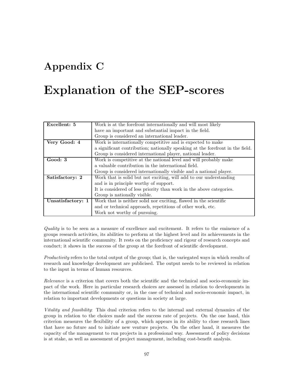# Appendix C

# Explanation of the SEP-scores

| Excellent: 5      | Work is at the forefront internationally and will most likely                  |  |
|-------------------|--------------------------------------------------------------------------------|--|
|                   | have an important and substantial impact in the field.                         |  |
|                   | Group is considered an international leader.                                   |  |
| Very Good: 4      | Work is internationally competitive and is expected to make                    |  |
|                   | a significant contribution; nationally speaking at the forefront in the field. |  |
|                   | Group is considered international player, national leader.                     |  |
| Good: 3           | Work is competitive at the national level and will probably make               |  |
|                   | a valuable contribution in the international field.                            |  |
|                   | Group is considered internationally visible and a national player.             |  |
| Satisfactory: 2   | Work that is solid but not exciting, will add to our understanding             |  |
|                   | and is in principle worthy of support.                                         |  |
|                   | It is considered of less priority than work in the above categories.           |  |
|                   | Group is nationally visible.                                                   |  |
| Unsatisfactory: 1 | Work that is neither solid nor exciting, flawed in the scientific              |  |
|                   | and or technical approach, repetitions of other work, etc.                     |  |
|                   | Work not worthy of pursuing.                                                   |  |

Quality is to be seen as a measure of excellence and excitement. It refers to the eminence of a groups research activities, its abilities to perform at the highest level and its achievements in the international scientific community. It rests on the proficiency and rigour of research concepts and conduct; it shows in the success of the group at the forefront of scientific development.

Productivity refers to the total output of the group; that is, the variegated ways in which results of research and knowledge development are publicised. The output needs to be reviewed in relation to the input in terms of human resources.

Relevance is a criterion that covers both the scientific and the technical and socio-economic impact of the work. Here in particular research choices are assessed in relation to developments in the international scientific community or, in the case of technical and socio-economic impact, in relation to important developments or questions in society at large.

Vitality and feasibility: This dual criterion refers to the internal and external dynamics of the group in relation to the choices made and the success rate of projects. On the one hand, this criterion measures the flexibility of a group, which appears in its ability to close research lines that have no future and to initiate new venture projects. On the other hand, it measures the capacity of the management to run projects in a professional way. Assessment of policy decisions is at stake, as well as assessment of project management, including cost-benefit analysis.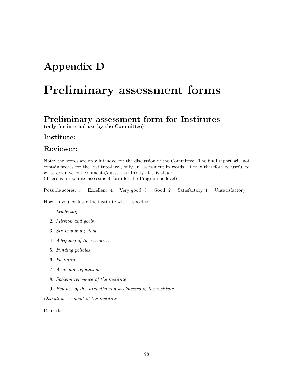# Appendix D

# Preliminary assessment forms

# Preliminary assessment form for Institutes (only for internal use by the Committee)

# Institute:

# Reviewer:

Note: the scores are only intended for the discussion of the Committee. The final report will not contain scores for the Institute-level, only an assessment in words. It may therefore be useful to write down verbal comments/questions already at this stage. (There is a separate assessment form for the Programme-level)

Possible scores:  $5 =$  Excellent,  $4 =$  Very good,  $3 =$  Good,  $2 =$  Satisfactory,  $1 =$  Unsatisfactory

How do you evaluate the institute with respect to:

- 1. Leadership
- 2. Mission and goals
- 3. Strategy and policy
- 4. Adequacy of the resources
- 5. Funding policies
- 6. Facilities
- 7. Academic reputation
- 8. Societal relevance of the institute
- 9. Balance of the strengths and weaknesses of the institute

Overall assessment of the institute

Remarks: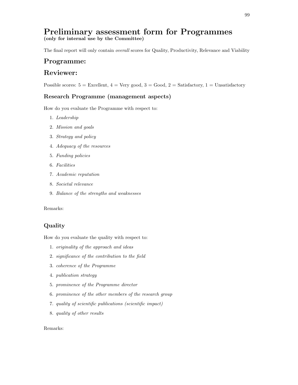# Preliminary assessment form for Programmes (only for internal use by the Committee)

The final report will only contain *overall* scores for Quality, Productivity, Relevance and Viability

# Programme:

# Reviewer:

Possible scores:  $5 =$  Excellent,  $4 =$  Very good,  $3 =$  Good,  $2 =$  Satisfactory,  $1 =$  Unsatisfactory

## Research Programme (management aspects)

How do you evaluate the Programme with respect to:

- 1. Leadership
- 2. Mission and goals
- 3. Strategy and policy
- 4. Adequacy of the resources
- 5. Funding policies
- 6. Facilities
- 7. Academic reputation
- 8. Societal relevance
- 9. Balance of the strengths and weaknesses

Remarks:

## Quality

How do you evaluate the quality with respect to:

- 1. originality of the approach and ideas
- 2. significance of the contribution to the field
- 3. coherence of the Programme
- 4. publication strategy
- 5. prominence of the Programme director
- 6. prominence of the other members of the research group
- 7. quality of scientific publications (scientific impact)
- 8. quality of other results

#### Remarks: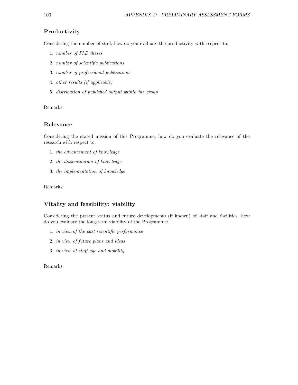# Productivity

Considering the number of staff, how do you evaluate the productivity with respect to:

- 1. number of PhD theses
- 2. number of scientific publications
- 3. number of professional publications
- 4. other results (if applicable)
- 5. distribution of published output within the group

Remarks:

### Relevance

Considering the stated mission of this Programme, how do you evaluate the relevance of the research with respect to:

- 1. the advancement of knowledge
- 2. the dissemination of knowledge
- 3. the implementation of knowledge

Remarks:

## Vitality and feasibility; viability

Considering the present status and future developments (if known) of staff and facilities, how do you evaluate the long-term viability of the Programme:

- 1. in view of the past scientific performance
- 2. in view of future plans and ideas
- 3. in view of staff age and mobility

Remarks: